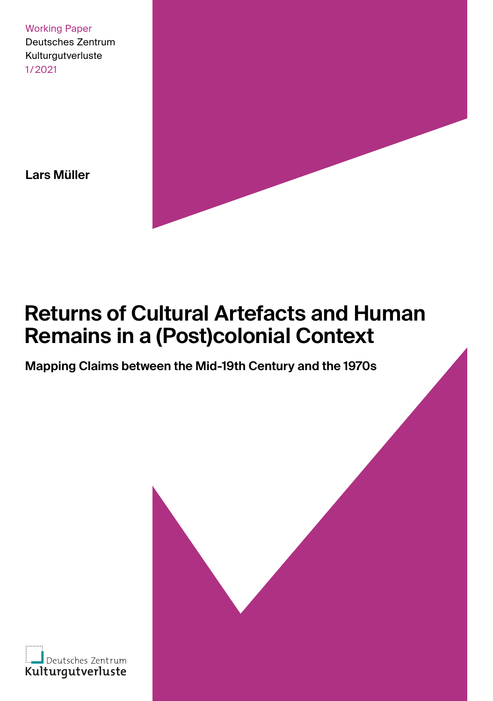Working Paper Deutsches Zentrum Kulturgutverluste 1/2021

**Lars Müller**

# **Returns of Cultural Artefacts and Human Remains in a (Post)colonial Context**

**Mapping Claims between the Mid-19th Century and the 1970s**

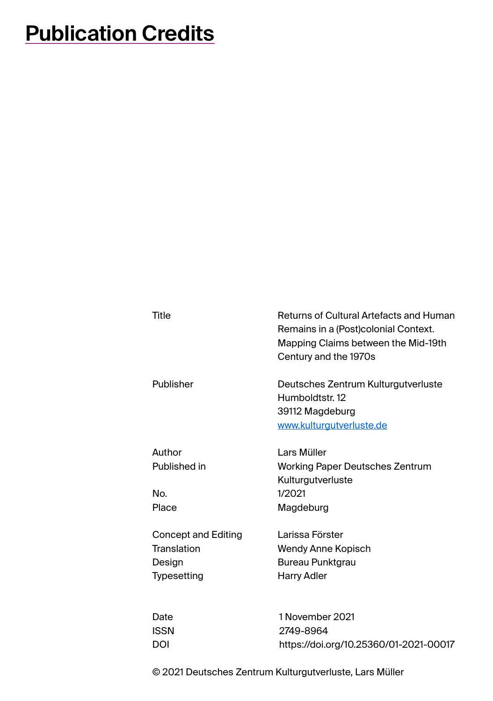# **Publication Credits**

| Title                      | Returns of Cultural Artefacts and Human<br>Remains in a (Post)colonial Context.<br>Mapping Claims between the Mid-19th<br>Century and the 1970s |
|----------------------------|-------------------------------------------------------------------------------------------------------------------------------------------------|
| Publisher                  | Deutsches Zentrum Kulturgutverluste<br>Humboldtstr. 12<br>39112 Magdeburg<br>www.kulturgutverluste.de                                           |
| Author                     | <b>Lars Müller</b>                                                                                                                              |
| Published in               | Working Paper Deutsches Zentrum                                                                                                                 |
|                            | Kulturgutverluste                                                                                                                               |
| No.                        | 1/2021                                                                                                                                          |
| Place                      | Magdeburg                                                                                                                                       |
| <b>Concept and Editing</b> | Larissa Förster                                                                                                                                 |
| Translation                | Wendy Anne Kopisch                                                                                                                              |
| Design                     | Bureau Punktgrau                                                                                                                                |
| Typesetting                | <b>Harry Adler</b>                                                                                                                              |
| Date                       | 1 November 2021                                                                                                                                 |
| <b>ISSN</b>                | 2749-8964                                                                                                                                       |

© 2021 Deutsches Zentrum Kulturgutverluste, Lars Müller

DOI https://doi.org/10.25360/01-2021-00017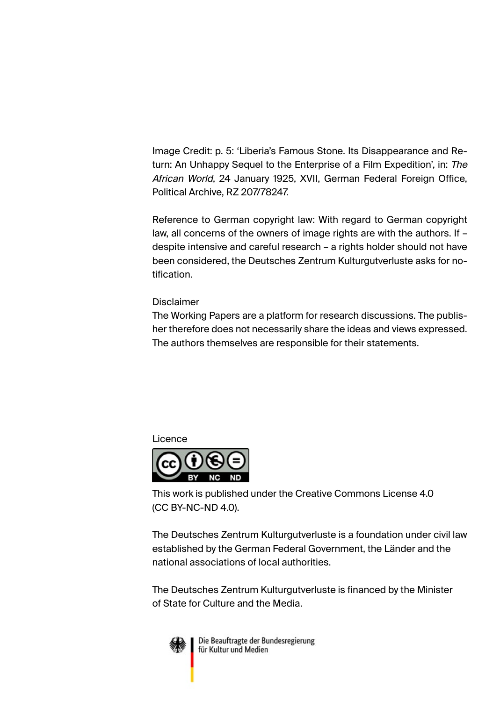Image Credit: p. 5: 'Liberia's Famous Stone. Its Disappearance and Return: An Unhappy Sequel to the Enterprise of a Film Expedition', in: The African World, 24 January 1925, XVII, German Federal Foreign Office, Political Archive, RZ 207/78247.

Reference to German copyright law: With regard to German copyright law, all concerns of the owners of image rights are with the authors. If – despite intensive and careful research – a rights holder should not have been considered, the Deutsches Zentrum Kulturgutverluste asks for notification.

### Disclaimer

The Working Papers are a platform for research discussions. The publisher therefore does not necessarily share the ideas and views expressed. The authors themselves are responsible for their statements.

### Licence



This work is published under the Creative Commons License 4.0 (CC BY-NC-ND 4.0).

The Deutsches Zentrum Kulturgutverluste is a foundation under civil law established by the German Federal Government, the Länder and the national associations of local authorities.

The Deutsches Zentrum Kulturgutverluste is financed by the Minister of State for Culture and the Media.



Die Beauftragte der Bundesregierung für Kultur und Medien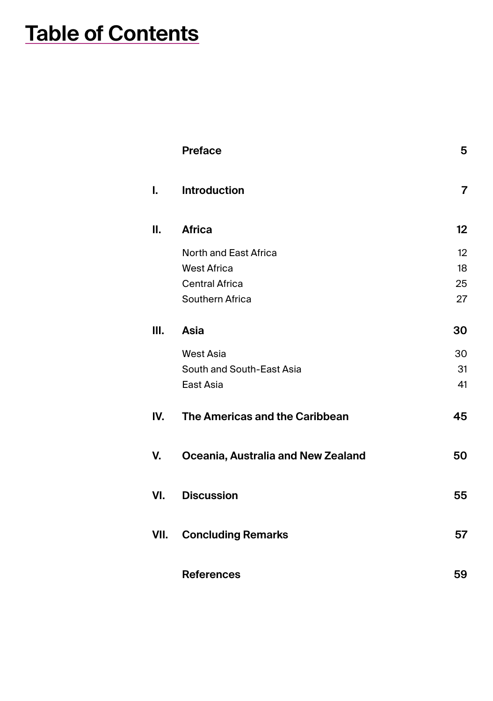# **Table of Contents**

|      | <b>Preface</b>                     | 5  |
|------|------------------------------------|----|
| I.   | <b>Introduction</b>                | 7  |
| П.   | <b>Africa</b>                      | 12 |
|      | North and East Africa              | 12 |
|      | <b>West Africa</b>                 | 18 |
|      | <b>Central Africa</b>              | 25 |
|      | Southern Africa                    | 27 |
| III. | Asia                               | 30 |
|      | <b>West Asia</b>                   | 30 |
|      | South and South-East Asia          | 31 |
|      | East Asia                          | 41 |
| IV.  | The Americas and the Caribbean     | 45 |
| V.   | Oceania, Australia and New Zealand | 50 |
| VI.  | <b>Discussion</b>                  | 55 |
| VII. | <b>Concluding Remarks</b>          | 57 |
|      | <b>References</b>                  | 59 |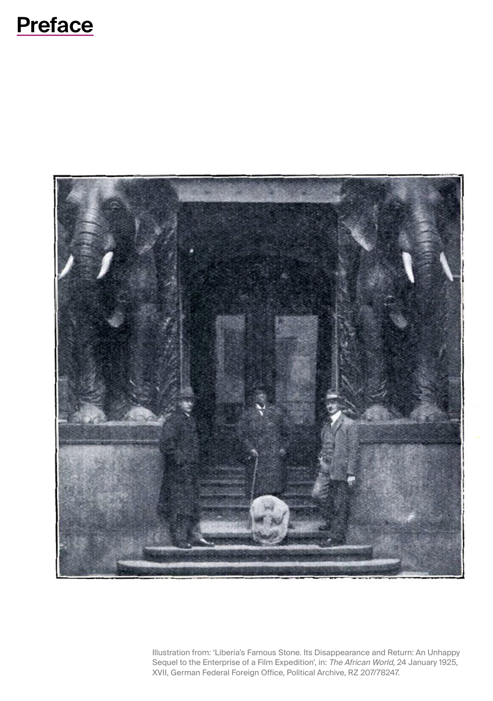## <span id="page-4-0"></span>5



Illustration from: 'Liberia's Famous Stone. Its Disappearance and Return: An Unhappy Sequel to the Enterprise of a Film Expedition', in: The African World, 24 January 1925, XVII, German Federal Foreign Office, Political Archive, RZ 207/78247.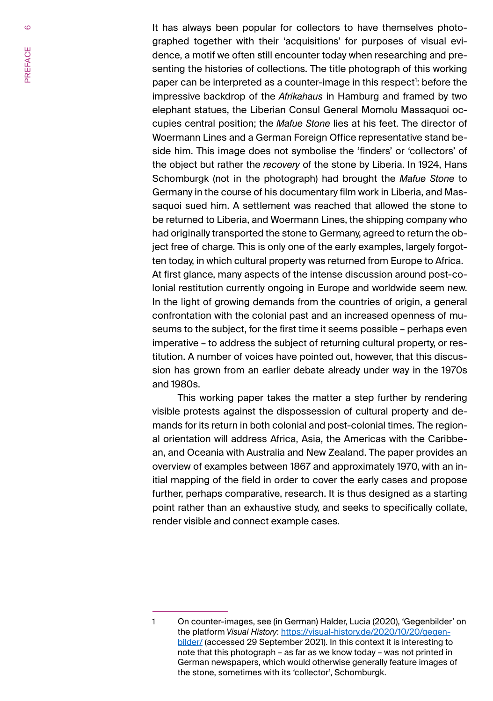It has always been popular for collectors to have themselves photographed together with their 'acquisitions' for purposes of visual evidence, a motif we often still encounter today when researching and presenting the histories of collections. The title photograph of this working paper can be interpreted as a counter-image in this respect": before the impressive backdrop of the *Afrikahaus* in Hamburg and framed by two elephant statues, the Liberian Consul General Momolu Massaquoi occupies central position; the *Mafue Stone* lies at his feet. The director of Woermann Lines and a German Foreign Office representative stand beside him. This image does not symbolise the 'finders' or 'collectors' of the object but rather the *recovery* of the stone by Liberia. In 1924, Hans Schomburgk (not in the photograph) had brought the *Mafue Stone* to Germany in the course of his documentary film work in Liberia, and Massaquoi sued him. A settlement was reached that allowed the stone to be returned to Liberia, and Woermann Lines, the shipping company who had originally transported the stone to Germany, agreed to return the object free of charge. This is only one of the early examples, largely forgotten today, in which cultural property was returned from Europe to Africa. At first glance, many aspects of the intense discussion around post-colonial restitution currently ongoing in Europe and worldwide seem new. In the light of growing demands from the countries of origin, a general confrontation with the colonial past and an increased openness of museums to the subject, for the first time it seems possible – perhaps even imperative – to address the subject of returning cultural property, or restitution. A number of voices have pointed out, however, that this discussion has grown from an earlier debate already under way in the 1970s and 1980s.

This working paper takes the matter a step further by rendering visible protests against the dispossession of cultural property and demands for its return in both colonial and post-colonial times. The regional orientation will address Africa, Asia, the Americas with the Caribbean, and Oceania with Australia and New Zealand. The paper provides an overview of examples between 1867 and approximately 1970, with an initial mapping of the field in order to cover the early cases and propose further, perhaps comparative, research. It is thus designed as a starting point rather than an exhaustive study, and seeks to specifically collate, render visible and connect example cases.

 $\sigma$ 

<sup>1</sup> On counter-images, see (in German) Halder, Lucia (2020), 'Gegenbilder' on the platform *Visual History*: https://visual-history.de/2020/10/20/gegenbilder/ (accessed 29 September 2021). In this context it is interesting to note that this photograph – as far as we know today – was not printed in German newspapers, which would otherwise generally feature images of the stone, sometimes with its 'collector', Schomburgk.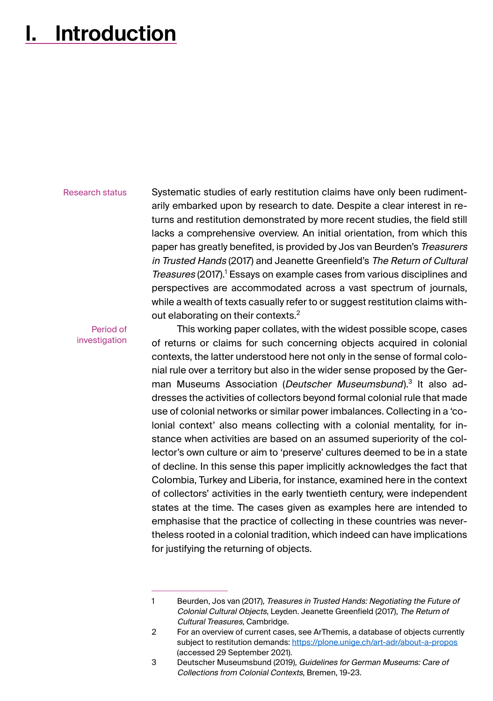## <span id="page-6-0"></span>**I. Introduction**

#### Research status

Systematic studies of early restitution claims have only been rudimentarily embarked upon by research to date. Despite a clear interest in returns and restitution demonstrated by more recent studies, the field still lacks a comprehensive overview. An initial orientation, from which this paper has greatly benefited, is provided by Jos van Beurden's Treasurers in Trusted Hands (2017) and Jeanette Greenfield's The Return of Cultural Treasures (2017). Essays on example cases from various disciplines and perspectives are accommodated across a vast spectrum of journals, while a wealth of texts casually refer to or suggest restitution claims without elaborating on their contexts.<sup>2</sup>

Period of investigation

This working paper collates, with the widest possible scope, cases of returns or claims for such concerning objects acquired in colonial contexts, the latter understood here not only in the sense of formal colonial rule over a territory but also in the wider sense proposed by the German Museums Association (Deutscher Museumsbund).<sup>3</sup> It also addresses the activities of collectors beyond formal colonial rule that made use of colonial networks or similar power imbalances. Collecting in a 'colonial context' also means collecting with a colonial mentality, for instance when activities are based on an assumed superiority of the collector's own culture or aim to 'preserve' cultures deemed to be in a state of decline. In this sense this paper implicitly acknowledges the fact that Colombia, Turkey and Liberia, for instance, examined here in the context of collectors' activities in the early twentieth century, were independent states at the time. The cases given as examples here are intended to emphasise that the practice of collecting in these countries was nevertheless rooted in a colonial tradition, which indeed can have implications for justifying the returning of objects.

<sup>1</sup> Beurden, Jos van (2017), Treasures in Trusted Hands: Negotiating the Future of Colonial Cultural Objects, Leyden. Jeanette Greenfield (2017), The Return of Cultural Treasures, Cambridge.

<sup>2</sup> For an overview of current cases, see ArThemis, a database of objects currently subject to restitution demands: https://plone.unige.ch/art-adr/about-a-propos (accessed 29 September 2021).

<sup>3</sup> Deutscher Museumsbund (2019), Guidelines for German Museums: Care of Collections from Colonial Contexts, Bremen, 19-23.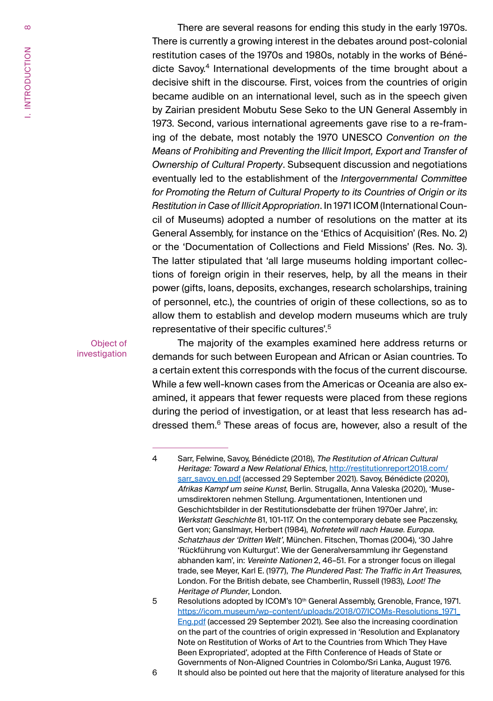There are several reasons for ending this study in the early 1970s. There is currently a growing interest in the debates around post-colonial restitution cases of the 1970s and 1980s, notably in the works of Bénédicte Savov.<sup>4</sup> International developments of the time brought about a decisive shift in the discourse. First, voices from the countries of origin became audible on an international level, such as in the speech given by Zairian president Mobutu Sese Seko to the UN General Assembly in 1973. Second, various international agreements gave rise to a re-framing of the debate, most notably the 1970 UNESCO *Convention on the Means of Prohibiting and Preventing the Illicit Import, Export and Transfer of Ownership of Cultural Property*. Subsequent discussion and negotiations eventually led to the establishment of the *Intergovernmental Committee for Promoting the Return of Cultural Property to its Countries of Origin or its Restitution in Case of Illicit Appropriation*. In 1971 ICOM (International Council of Museums) adopted a number of resolutions on the matter at its General Assembly, for instance on the 'Ethics of Acquisition' (Res. No. 2) or the 'Documentation of Collections and Field Missions' (Res. No. 3). The latter stipulated that 'all large museums holding important collections of foreign origin in their reserves, help, by all the means in their power (gifts, loans, deposits, exchanges, research scholarships, training of personnel, etc.), the countries of origin of these collections, so as to allow them to establish and develop modern museums which are truly representative of their specific cultures'.<sup>5</sup>

Object of investigation

The majority of the examples examined here address returns or demands for such between European and African or Asian countries. To a certain extent this corresponds with the focus of the current discourse. While a few well-known cases from the Americas or Oceania are also examined, it appears that fewer requests were placed from these regions during the period of investigation, or at least that less research has addressed them.<sup>6</sup> These areas of focus are, however, also a result of the

6 It should also be pointed out here that the majority of literature analysed for this

<sup>4</sup> Sarr, Felwine, Savoy, Bénédicte (2018), The Restitution of African Cultural Heritage: Toward a New Relational Ethics, http://restitutionreport2018.com/ sarr\_savoy\_en.pdf (accessed 29 September 2021). Savoy, Bénédicte (2020). Afrikas Kampf um seine Kunst, Berlin. Strugalla, Anna Valeska (2020), 'Museumsdirektoren nehmen Stellung. Argumentationen, Intentionen und Geschichtsbilder in der Restitutionsdebatte der frühen 1970er Jahre', in: Werkstatt Geschichte 81, 101-117. On the contemporary debate see Paczensky, Gert von; Ganslmayr, Herbert (1984), Nofretete will nach Hause. Europa. Schatzhaus der 'Dritten Welt', München. Fitschen, Thomas (2004), '30 Jahre 'Rückführung von Kulturgut'. Wie der Generalversammlung ihr Gegenstand abhanden kam', in: Vereinte Nationen 2, 46–51. For a stronger focus on illegal trade, see Meyer, Karl E. (1977), The Plundered Past: The Traffic in Art Treasures, London. For the British debate, see Chamberlin, Russell (1983), Loot! The Heritage of Plunder, London.

<sup>5</sup> Resolutions adopted by ICOM's 10<sup>th</sup> General Assembly, Grenoble, France, 1971. https://icom.museum/wp-content/uploads/2018/07/ICOMs-Resolutions\_1971\_ Eng.pdf (accessed 29 September 2021). See also the increasing coordination on the part of the countries of origin expressed in 'Resolution and Explanatory Note on Restitution of Works of Art to the Countries from Which They Have Been Expropriated', adopted at the Fifth Conference of Heads of State or Governments of Non-Aligned Countries in Colombo/Sri Lanka, August 1976.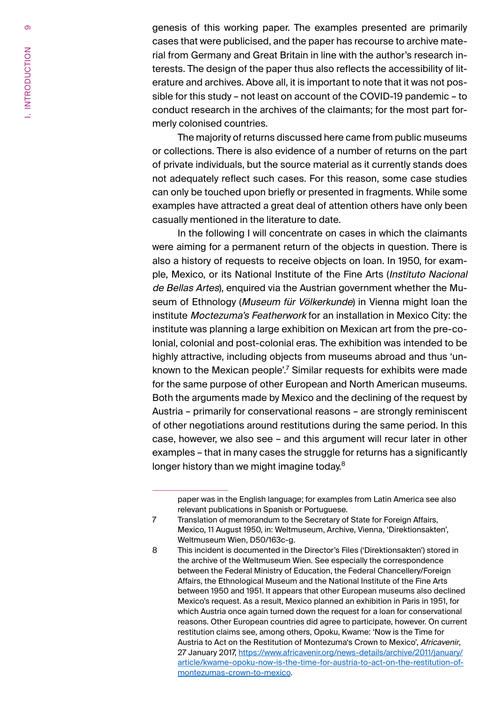genesis of this working paper. The examples presented are primarily cases that were publicised, and the paper has recourse to archive material from Germany and Great Britain in line with the author's research interests. The design of the paper thus also reflects the accessibility of literature and archives. Above all, it is important to note that it was not possible for this study – not least on account of the COVID-19 pandemic – to conduct research in the archives of the claimants; for the most part formerly colonised countries.

The majority of returns discussed here came from public museums or collections. There is also evidence of a number of returns on the part of private individuals, but the source material as it currently stands does not adequately reflect such cases. For this reason, some case studies can only be touched upon briefly or presented in fragments. While some examples have attracted a great deal of attention others have only been casually mentioned in the literature to date.

In the following I will concentrate on cases in which the claimants were aiming for a permanent return of the objects in question. There is also a history of requests to receive objects on loan. In 1950, for example, Mexico, or its National Institute of the Fine Arts (Instituto Nacional de Bellas Artes), enquired via the Austrian government whether the Museum of Ethnology (Museum für Völkerkunde) in Vienna might loan the institute Moctezuma's Featherwork for an installation in Mexico City: the institute was planning a large exhibition on Mexican art from the pre-colonial, colonial and post-colonial eras. The exhibition was intended to be highly attractive, including objects from museums abroad and thus 'unknown to the Mexican people'.<sup>'</sup> Similar requests for exhibits were made for the same purpose of other European and North American museums. Both the arguments made by Mexico and the declining of the request by Austria – primarily for conservational reasons – are strongly reminiscent of other negotiations around restitutions during the same period. In this case, however, we also see – and this argument will recur later in other examples – that in many cases the struggle for returns has a significantly longer history than we might imagine today.<sup>8</sup>

 $\sigma$ 

paper was in the English language; for examples from Latin America see also relevant publications in Spanish or Portuguese.

<sup>7</sup> Translation of memorandum to the Secretary of State for Foreign Affairs, Mexico, 11 August 1950, in: Weltmuseum, Archive, Vienna, 'Direktionsakten', Weltmuseum Wien, D50/163c-g.

<sup>8</sup> This incident is documented in the Director's Files ('Direktionsakten') stored in the archive of the Weltmuseum Wien. See especially the correspondence between the Federal Ministry of Education, the Federal Chancellery/Foreign Affairs, the Ethnological Museum and the National Institute of the Fine Arts between 1950 and 1951. It appears that other European museums also declined Mexico's request. As a result, Mexico planned an exhibition in Paris in 1951, for which Austria once again turned down the request for a loan for conservational reasons. Other European countries did agree to participate, however. On current restitution claims see, among others, Opoku, Kwame: 'Now is the Time for Austria to Act on the Restitution of Montezuma's Crown to Mexico', Africavenir, 27 January 2017, https://www.africavenir.org/news-details/archive/2011/january/ article/kwame-opoku-now-is-the-time-for-austria-to-act-on-the-restitution-ofmontezumas-crown-to-mexico.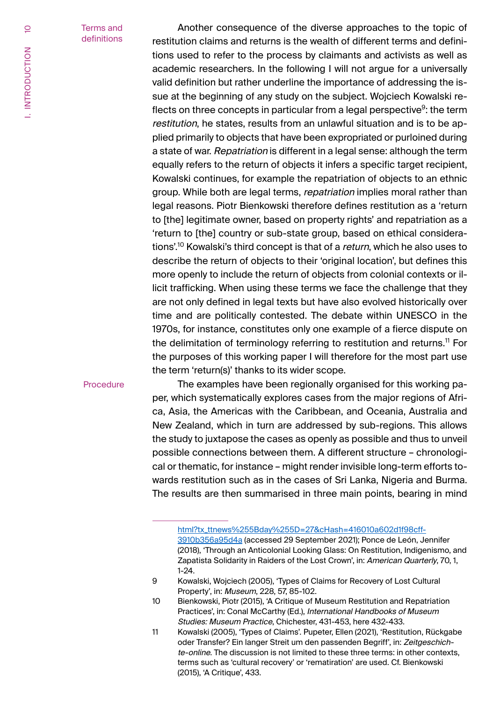#### Terms and definitions

Another consequence of the diverse approaches to the topic of restitution claims and returns is the wealth of different terms and definitions used to refer to the process by claimants and activists as well as academic researchers. In the following I will not argue for a universally valid definition but rather underline the importance of addressing the issue at the beginning of any study on the subject. Wojciech Kowalski reflects on three concepts in particular from a legal perspective<sup>9</sup>: the term restitution, he states, results from an unlawful situation and is to be applied primarily to objects that have been expropriated or purloined during a state of war. Repatriation is different in a legal sense: although the term equally refers to the return of objects it infers a specific target recipient, Kowalski continues, for example the repatriation of objects to an ethnic group. While both are legal terms, *repatriation* implies moral rather than legal reasons. Piotr Bienkowski therefore defines restitution as a 'return to [the] legitimate owner, based on property rights' and repatriation as a 'return to [the] country or sub-state group, based on ethical considerations'.<sup>10</sup> Kowalski's third concept is that of a return, which he also uses to describe the return of objects to their 'original location', but defines this more openly to include the return of objects from colonial contexts or illicit trafficking. When using these terms we face the challenge that they are not only defined in legal texts but have also evolved historically over time and are politically contested. The debate within UNESCO in the 1970s, for instance, constitutes only one example of a fierce dispute on the delimitation of terminology referring to restitution and returns.<sup>11</sup> For the purposes of this working paper I will therefore for the most part use the term 'return(s)' thanks to its wider scope.

#### **Procedure**

The examples have been regionally organised for this working paper, which systematically explores cases from the major regions of Africa, Asia, the Americas with the Caribbean, and Oceania, Australia and New Zealand, which in turn are addressed by sub-regions. This allows the study to juxtapose the cases as openly as possible and thus to unveil possible connections between them. A different structure – chronological or thematic, for instance – might render invisible long-term efforts towards restitution such as in the cases of Sri Lanka, Nigeria and Burma. The results are then summarised in three main points, bearing in mind

html?tx\_ttnews%255Bday%255D=27&cHash=416010a602d1f98cff-3910b356a95d4a (accessed 29 September 2021); Ponce de León, Jennifer (2018), 'Through an Anticolonial Looking Glass: On Restitution, Indigenismo, and Zapatista Solidarity in Raiders of the Lost Crown', in: American Quarterly, 70, 1, 1-24.

<sup>9</sup> Kowalski, Wojciech (2005), 'Types of Claims for Recovery of Lost Cultural Property', in: Museum, 228, 57, 85-102.

<sup>10</sup> Bienkowski, Piotr (2015), 'A Critique of Museum Restitution and Repatriation Practices', in: Conal McCarthy (Ed.), International Handbooks of Museum Studies: Museum Practice, Chichester, 431-453, here 432-433.

<sup>11</sup> Kowalski (2005), 'Types of Claims'. Pupeter, Ellen (2021), 'Restitution, Rückgabe oder Transfer? Ein langer Streit um den passenden Begriff', in: Zeitgeschichte-online. The discussion is not limited to these three terms: in other contexts, terms such as 'cultural recovery' or 'rematiration' are used. Cf. Bienkowski (2015), 'A Critique', 433.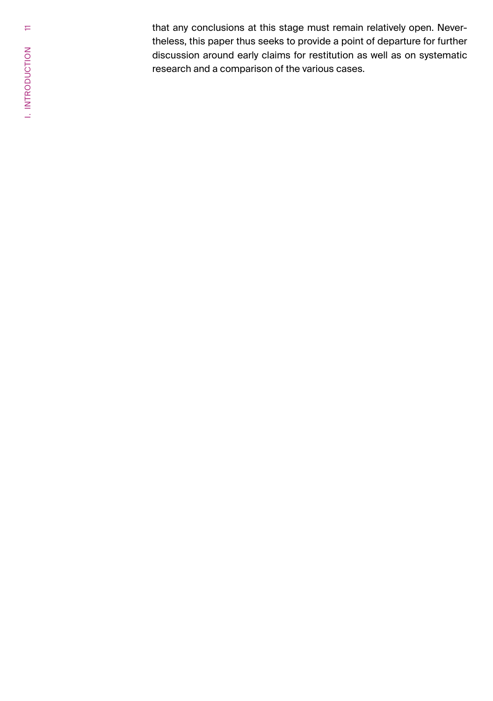that any conclusions at this stage must remain relatively open. Nevertheless, this paper thus seeks to provide a point of departure for further discussion around early claims for restitution as well as on systematic research and a comparison of the various cases.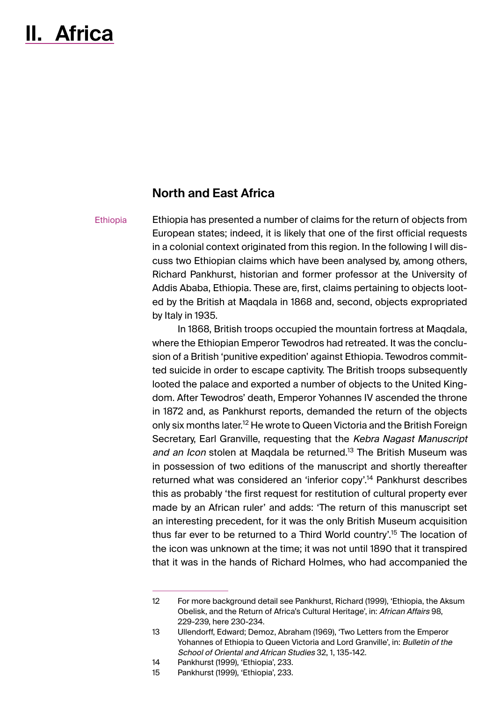## <span id="page-11-0"></span>**II. Africa**

### **North and East Africa**

#### **Ethiopia**

Ethiopia has presented a number of claims for the return of objects from European states; indeed, it is likely that one of the first official requests in a colonial context originated from this region. In the following I will discuss two Ethiopian claims which have been analysed by, among others, Richard Pankhurst, historian and former professor at the University of Addis Ababa, Ethiopia. These are, first, claims pertaining to objects looted by the British at Maqdala in 1868 and, second, objects expropriated by Italy in 1935.

In 1868, British troops occupied the mountain fortress at Maqdala, where the Ethiopian Emperor Tewodros had retreated. It was the conclusion of a British 'punitive expedition' against Ethiopia. Tewodros committed suicide in order to escape captivity. The British troops subsequently looted the palace and exported a number of objects to the United Kingdom. After Tewodros' death, Emperor Yohannes IV ascended the throne in 1872 and, as Pankhurst reports, demanded the return of the objects only six months later.<sup>12</sup> He wrote to Queen Victoria and the British Foreign Secretary, Earl Granville, requesting that the Kebra Nagast Manuscript and an Icon stolen at Magdala be returned.<sup>13</sup> The British Museum was in possession of two editions of the manuscript and shortly thereafter returned what was considered an 'inferior copy'.<sup>14</sup> Pankhurst describes this as probably 'the first request for restitution of cultural property ever made by an African ruler' and adds: 'The return of this manuscript set an interesting precedent, for it was the only British Museum acquisition thus far ever to be returned to a Third World country'.15 The location of the icon was unknown at the time; it was not until 1890 that it transpired that it was in the hands of Richard Holmes, who had accompanied the

<sup>12</sup> For more background detail see Pankhurst, Richard (1999), 'Ethiopia, the Aksum Obelisk, and the Return of Africa's Cultural Heritage', in: African Affairs 98, 229-239, here 230-234.

<sup>13</sup> Ullendorff, Edward; Demoz, Abraham (1969), 'Two Letters from the Emperor Yohannes of Ethiopia to Queen Victoria and Lord Granville', in: Bulletin of the School of Oriental and African Studies 32, 1, 135-142.

<sup>14</sup> Pankhurst (1999), 'Ethiopia', 233.<br>15 Pankhurst (1999). 'Ethiopia', 233.

Pankhurst (1999), 'Ethiopia', 233.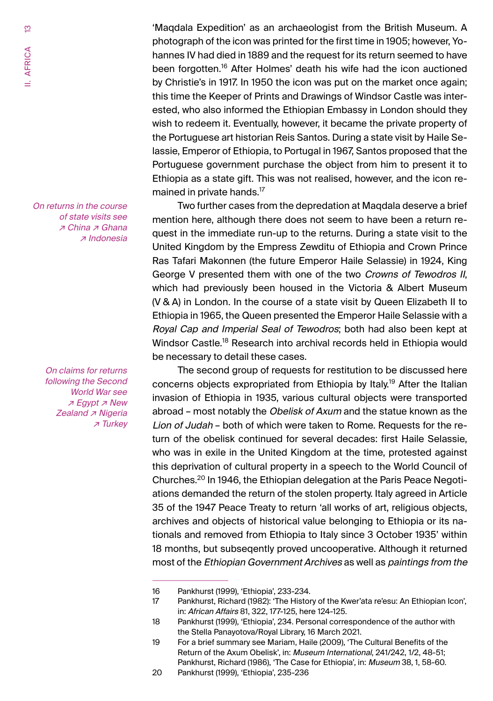$\frac{1}{2}$ II. AFRICA II. AFRICA

> On returns in the course of state visits see ↗ China ↗ Ghana ↗ Indonesia

> > On claims for returns following the Second World War see ↗ Egypt ↗ New Zealand <sub>₹</sub> Nigeria ↗ Turkey

'Maqdala Expedition' as an archaeologist from the British Museum. A photograph of the icon was printed for the first time in 1905; however, Yohannes IV had died in 1889 and the request for its return seemed to have been forgotten.16 After Holmes' death his wife had the icon auctioned by Christie's in 1917. In 1950 the icon was put on the market once again; this time the Keeper of Prints and Drawings of Windsor Castle was interested, who also informed the Ethiopian Embassy in London should they wish to redeem it. Eventually, however, it became the private property of the Portuguese art historian Reis Santos. During a state visit by Haile Selassie, Emperor of Ethiopia, to Portugal in 1967, Santos proposed that the Portuguese government purchase the object from him to present it to Ethiopia as a state gift. This was not realised, however, and the icon remained in private hands.<sup>17</sup>

Two further cases from the depredation at Maqdala deserve a brief mention here, although there does not seem to have been a return request in the immediate run-up to the returns. During a state visit to the United Kingdom by the Empress Zewditu of Ethiopia and Crown Prince Ras Tafari Makonnen (the future Emperor Haile Selassie) in 1924, King George V presented them with one of the two Crowns of Tewodros II, which had previously been housed in the Victoria & Albert Museum (V & A) in London. In the course of a state visit by Queen Elizabeth II to Ethiopia in 1965, the Queen presented the Emperor Haile Selassie with a Royal Cap and Imperial Seal of Tewodros; both had also been kept at Windsor Castle.<sup>18</sup> Research into archival records held in Ethiopia would be necessary to detail these cases.

The second group of requests for restitution to be discussed here concerns objects expropriated from Ethiopia by Italy.19 After the Italian invasion of Ethiopia in 1935, various cultural objects were transported abroad – most notably the *Obelisk of Axum* and the statue known as the Lion of Judah – both of which were taken to Rome. Requests for the return of the obelisk continued for several decades: first Haile Selassie, who was in exile in the United Kingdom at the time, protested against this deprivation of cultural property in a speech to the World Council of Churches.20 In 1946, the Ethiopian delegation at the Paris Peace Negotiations demanded the return of the stolen property. Italy agreed in Article 35 of the 1947 Peace Treaty to return 'all works of art, religious objects, archives and objects of historical value belonging to Ethiopia or its nationals and removed from Ethiopia to Italy since 3 October 1935' within 18 months, but subseqently proved uncooperative. Although it returned most of the Ethiopian Government Archives as well as paintings from the

<sup>16</sup> Pankhurst (1999), 'Ethiopia', 233-234.<br>17 Pankhurst. Richard (1982): 'The Histor

Pankhurst, Richard (1982): 'The History of the Kwer'ata re'esu: An Ethiopian Icon', in: African Affairs 81, 322, 177-125, here 124-125.

<sup>18</sup> Pankhurst (1999), 'Ethiopia', 234. Personal correspondence of the author with the Stella Panayotova/Royal Library, 16 March 2021.

<sup>19</sup> For a brief summary see Mariam, Haile (2009), 'The Cultural Benefits of the Return of the Axum Obelisk', in: Museum International, 241/242, 1/2, 48-51; Pankhurst, Richard (1986), 'The Case for Ethiopia', in: Museum 38, 1, 58-60.

<sup>20</sup> Pankhurst (1999), 'Ethiopia', 235-236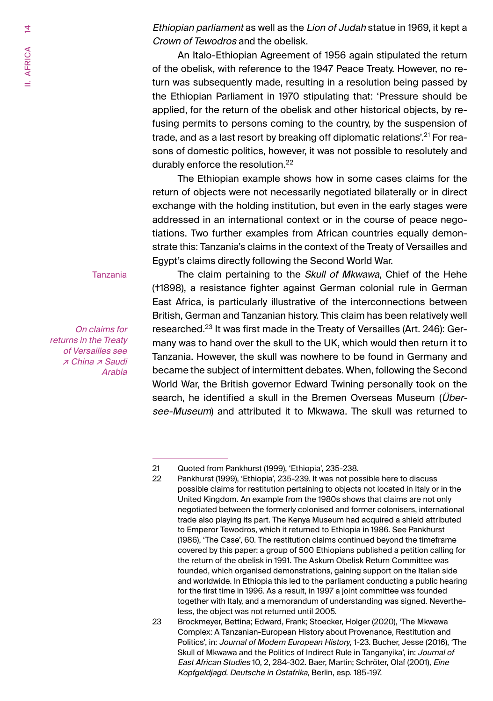Ethiopian parliament as well as the Lion of Judah statue in 1969, it kept a Crown of Tewodros and the obelisk.

An Italo-Ethiopian Agreement of 1956 again stipulated the return of the obelisk, with reference to the 1947 Peace Treaty. However, no return was subsequently made, resulting in a resolution being passed by the Ethiopian Parliament in 1970 stipulating that: 'Pressure should be applied, for the return of the obelisk and other historical objects, by refusing permits to persons coming to the country, by the suspension of trade, and as a last resort by breaking off diplomatic relations'.<sup>21</sup> For reasons of domestic politics, however, it was not possible to resolutely and durably enforce the resolution.<sup>22</sup>

The Ethiopian example shows how in some cases claims for the return of objects were not necessarily negotiated bilaterally or in direct exchange with the holding institution, but even in the early stages were addressed in an international context or in the course of peace negotiations. Two further examples from African countries equally demonstrate this: Tanzania's claims in the context of the Treaty of Versailles and Egypt's claims directly following the Second World War.

Tanzania

On claims for returns in the Treaty of Versailles see ↗ China ↗ Saudi Arabia

The claim pertaining to the Skull of Mkwawa, Chief of the Hehe (†1898), a resistance fighter against German colonial rule in German East Africa, is particularly illustrative of the interconnections between British, German and Tanzanian history. This claim has been relatively well researched.<sup>23</sup> It was first made in the Treaty of Versailles (Art. 246): Germany was to hand over the skull to the UK, which would then return it to Tanzania. However, the skull was nowhere to be found in Germany and became the subject of intermittent debates. When, following the Second World War, the British governor Edward Twining personally took on the search, he identified a skull in the Bremen Overseas Museum (Übersee-Museum) and attributed it to Mkwawa. The skull was returned to

<sup>21</sup> Quoted from Pankhurst (1999), 'Ethiopia', 235-238.

<sup>22</sup> Pankhurst (1999), 'Ethiopia', 235-239. It was not possible here to discuss possible claims for restitution pertaining to objects not located in Italy or in the United Kingdom. An example from the 1980s shows that claims are not only negotiated between the formerly colonised and former colonisers, international trade also playing its part. The Kenya Museum had acquired a shield attributed to Emperor Tewodros, which it returned to Ethiopia in 1986. See Pankhurst (1986), 'The Case', 60. The restitution claims continued beyond the timeframe covered by this paper: a group of 500 Ethiopians published a petition calling for the return of the obelisk in 1991. The Askum Obelisk Return Committee was founded, which organised demonstrations, gaining support on the Italian side and worldwide. In Ethiopia this led to the parliament conducting a public hearing for the first time in 1996. As a result, in 1997 a joint committee was founded together with Italy, and a memorandum of understanding was signed. Nevertheless, the object was not returned until 2005.

<sup>23</sup> Brockmeyer, Bettina; Edward, Frank; Stoecker, Holger (2020), 'The Mkwawa Complex: A Tanzanian-European History about Provenance, Restitution and Politics', in: Journal of Modern European History, 1-23. Bucher, Jesse (2016), 'The Skull of Mkwawa and the Politics of Indirect Rule in Tanganyika', in: Journal of East African Studies 10, 2, 284-302. Baer, Martin; Schröter, Olaf (2001), Eine Kopfgeldjagd. Deutsche in Ostafrika, Berlin, esp. 185-197.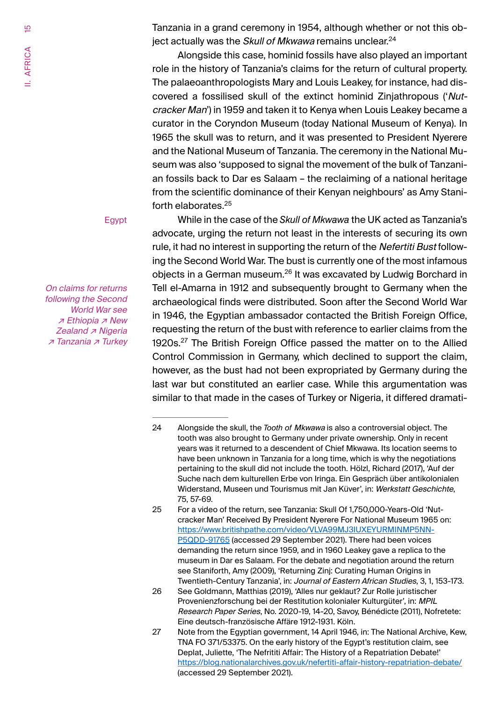Tanzania in a grand ceremony in 1954, although whether or not this object actually was the Skull of Mkwawa remains unclear.<sup>24</sup>

Alongside this case, hominid fossils have also played an important role in the history of Tanzania's claims for the return of cultural property. The palaeoanthropologists Mary and Louis Leakey, for instance, had discovered a fossilised skull of the extinct hominid Zinjathropous ('Nutcracker Man') in 1959 and taken it to Kenya when Louis Leakey became a curator in the Coryndon Museum (today National Museum of Kenya). In 1965 the skull was to return, and it was presented to President Nyerere and the National Museum of Tanzania. The ceremony in the National Museum was also 'supposed to signal the movement of the bulk of Tanzanian fossils back to Dar es Salaam – the reclaiming of a national heritage from the scientific dominance of their Kenyan neighbours' as Amy Staniforth elaborates.25

Egypt

On claims for returns following the Second World War see ↗ Ethiopia ↗ New Zealand <sub></sub> ∧ Nigeria ↗ Tanzania ↗ Turkey

While in the case of the *Skull of Mkwawa* the UK acted as Tanzania's advocate, urging the return not least in the interests of securing its own rule, it had no interest in supporting the return of the Nefertiti Bust following the Second World War. The bust is currently one of the most infamous objects in a German museum.<sup>26</sup> It was excavated by Ludwig Borchard in Tell el-Amarna in 1912 and subsequently brought to Germany when the archaeological finds were distributed. Soon after the Second World War in 1946, the Egyptian ambassador contacted the British Foreign Office, requesting the return of the bust with reference to earlier claims from the 1920s. 27 The British Foreign Office passed the matter on to the Allied Control Commission in Germany, which declined to support the claim, however, as the bust had not been expropriated by Germany during the last war but constituted an earlier case. While this argumentation was similar to that made in the cases of Turkey or Nigeria, it differed dramati-

<sup>24</sup> Alongside the skull, the *Tooth of* Mkwawa is also a controversial object. The tooth was also brought to Germany under private ownership. Only in recent years was it returned to a descendent of Chief Mkwawa. Its location seems to have been unknown in Tanzania for a long time, which is why the negotiations pertaining to the skull did not include the tooth. Hölzl, Richard (2017), 'Auf der Suche nach dem kulturellen Erbe von Iringa. Ein Gespräch über antikolonialen Widerstand, Museen und Tourismus mit Jan Küver', in: Werkstatt Geschichte, 75, 57-69.

<sup>25</sup> For a video of the return, see Tanzania: Skull Of 1,750,000-Years-Old 'Nutcracker Man' Received By President Nyerere For National Museum 1965 on: https://www.britishpathe.com/video/VLVA99MJ3IUXEYURMINMP5NN-P5QDD-91765 (accessed 29 September 2021). There had been voices demanding the return since 1959, and in 1960 Leakey gave a replica to the museum in Dar es Salaam. For the debate and negotiation around the return see Staniforth, Amy (2009), 'Returning Zinj: Curating Human Origins in Twentieth-Century Tanzania', in: Journal of Eastern African Studies, 3, 1, 153-173.

<sup>26</sup> See Goldmann, Matthias (2019), 'Alles nur geklaut? Zur Rolle juristischer Provenienzforschung bei der Restitution kolonialer Kulturgüter', in: MPIL Research Paper Series, No. 2020-19, 14-20, Savoy, Bénédicte (2011), Nofretete: Eine deutsch-französische Affäre 1912-1931. Köln.

<sup>27</sup> Note from the Egyptian government, 14 April 1946, in: The National Archive, Kew, TNA FO 371/53375. On the early history of the Egypt's restitution claim, see Deplat, Juliette, 'The Nefrititi Affair: The History of a Repatriation Debate!' https://blog.nationalarchives.gov.uk/nefertiti-affair-history-repatriation-debate/ (accessed 29 September 2021).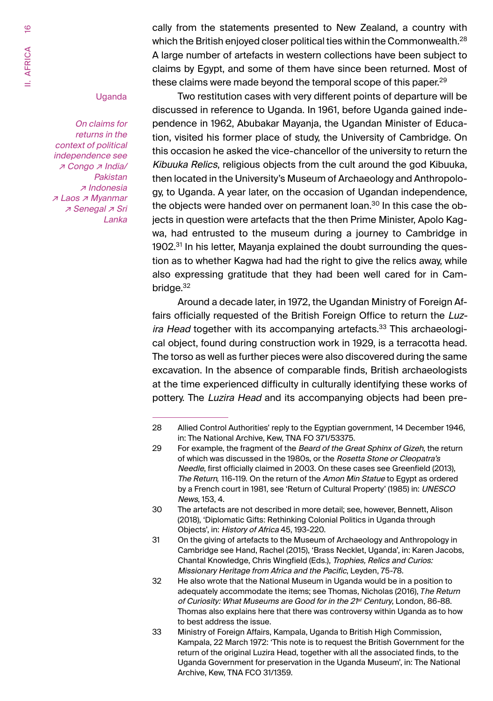cally from the statements presented to New Zealand, a country with which the British enjoyed closer political ties within the Commonwealth.<sup>28</sup> A large number of artefacts in western collections have been subject to claims by Egypt, and some of them have since been returned. Most of these claims were made beyond the temporal scope of this paper. $29$ 

#### Uganda

On claims for returns in the context of political independence see ↗ Congo ↗ India/ Pakistan ↗ Indonesia ↗ Laos ↗ Myanmar ↗ Senegal ↗ Sri Lanka

Two restitution cases with very different points of departure will be discussed in reference to Uganda. In 1961, before Uganda gained independence in 1962, Abubakar Mayanja, the Ugandan Minister of Education, visited his former place of study, the University of Cambridge. On this occasion he asked the vice-chancellor of the university to return the Kibuuka Relics, religious objects from the cult around the god Kibuuka, then located in the University's Museum of Archaeology and Anthropology, to Uganda. A year later, on the occasion of Ugandan independence, the objects were handed over on permanent loan.<sup>30</sup> In this case the objects in question were artefacts that the then Prime Minister, Apolo Kagwa, had entrusted to the museum during a journey to Cambridge in 1902.<sup>31</sup> In his letter, Mayania explained the doubt surrounding the question as to whether Kagwa had had the right to give the relics away, while also expressing gratitude that they had been well cared for in Cambridge. $32$ 

Around a decade later, in 1972, the Ugandan Ministry of Foreign Affairs officially requested of the British Foreign Office to return the Luzira Head together with its accompanying artefacts.<sup>33</sup> This archaeological object, found during construction work in 1929, is a terracotta head. The torso as well as further pieces were also discovered during the same excavation. In the absence of comparable finds, British archaeologists at the time experienced difficulty in culturally identifying these works of pottery. The Luzira Head and its accompanying objects had been pre-

<sup>28</sup> Allied Control Authorities' reply to the Egyptian government, 14 December 1946, in: The National Archive, Kew, TNA FO 371/53375.

<sup>29</sup> For example, the fragment of the Beard of the Great Sphinx of Gizeh, the return of which was discussed in the 1980s, or the Rosetta Stone or Cleopatra's Needle, first officially claimed in 2003. On these cases see Greenfield (2013), The Return*,* 116-119. On the return of the Amon Min Statue to Egypt as ordered by a French court in 1981, see 'Return of Cultural Property' (1985) in: UNESCO News, 153, 4.

<sup>30</sup> The artefacts are not described in more detail; see, however, Bennett, Alison (2018), 'Diplomatic Gifts: Rethinking Colonial Politics in Uganda through Objects', in: History of Africa 45, 193-220.

<sup>31</sup> On the giving of artefacts to the Museum of Archaeology and Anthropology in Cambridge see Hand, Rachel (2015), 'Brass Necklet, Uganda', in: Karen Jacobs, Chantal Knowledge, Chris Wingfield (Eds.), Trophies, Relics and Curios: Missionary Heritage from Africa and the Pacific, Leyden, 75-78.

<sup>32</sup> He also wrote that the National Museum in Uganda would be in a position to adequately accommodate the items; see Thomas, Nicholas (2016), *T*he Return of Curiosity: What Museums are Good for in the 2<sup>1st</sup> Century, London, 86-88. Thomas also explains here that there was controversy within Uganda as to how to best address the issue.

<sup>33</sup> Ministry of Foreign Affairs, Kampala, Uganda to British High Commission, Kampala, 22 March 1972: 'This note is to request the British Government for the return of the original Luzira Head, together with all the associated finds, to the Uganda Government for preservation in the Uganda Museum', in: The National Archive, Kew, TNA FCO 31/1359.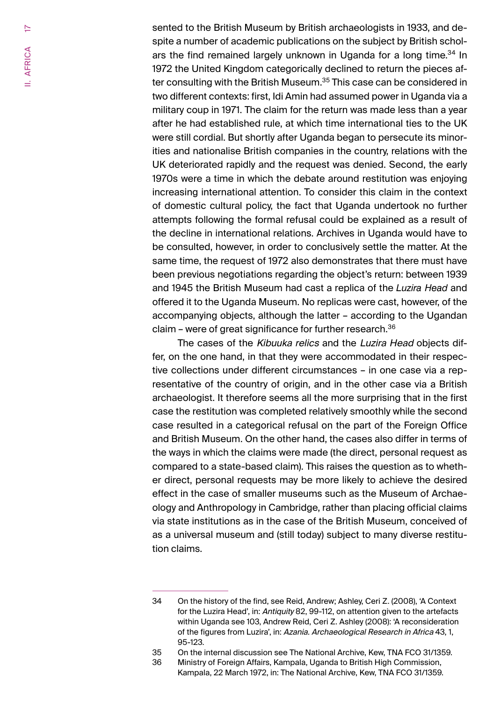sented to the British Museum by British archaeologists in 1933, and despite a number of academic publications on the subject by British scholars the find remained largely unknown in Uganda for a long time.<sup>34</sup> In 1972 the United Kingdom categorically declined to return the pieces after consulting with the British Museum.<sup>35</sup> This case can be considered in two different contexts: first, Idi Amin had assumed power in Uganda via a military coup in 1971. The claim for the return was made less than a year after he had established rule, at which time international ties to the UK were still cordial. But shortly after Uganda began to persecute its minorities and nationalise British companies in the country, relations with the UK deteriorated rapidly and the request was denied. Second, the early 1970s were a time in which the debate around restitution was enjoying increasing international attention. To consider this claim in the context of domestic cultural policy, the fact that Uganda undertook no further attempts following the formal refusal could be explained as a result of the decline in international relations. Archives in Uganda would have to be consulted, however, in order to conclusively settle the matter. At the same time, the request of 1972 also demonstrates that there must have been previous negotiations regarding the object's return: between 1939 and 1945 the British Museum had cast a replica of the *Luzira Head* and offered it to the Uganda Museum. No replicas were cast, however, of the accompanying objects, although the latter – according to the Ugandan claim – were of great significance for further research. $36$ 

The cases of the Kibuuka relics and the Luzira Head objects differ, on the one hand, in that they were accommodated in their respective collections under different circumstances – in one case via a representative of the country of origin, and in the other case via a British archaeologist. It therefore seems all the more surprising that in the first case the restitution was completed relatively smoothly while the second case resulted in a categorical refusal on the part of the Foreign Office and British Museum. On the other hand, the cases also differ in terms of the ways in which the claims were made (the direct, personal request as compared to a state-based claim). This raises the question as to whether direct, personal requests may be more likely to achieve the desired effect in the case of smaller museums such as the Museum of Archaeology and Anthropology in Cambridge, rather than placing official claims via state institutions as in the case of the British Museum, conceived of as a universal museum and (still today) subject to many diverse restitution claims.

<sup>34</sup> On the history of the find, see Reid, Andrew; Ashley, Ceri Z. (2008), 'A Context for the Luzira Head', in: Antiquity 82, 99-112, on attention given to the artefacts within Uganda see 103, Andrew Reid, Ceri Z. Ashley (2008): 'A reconsideration of the figures from Luzira', in: Azania. Archaeological Research in Africa 43, 1, 95-123.

<sup>35</sup> On the internal discussion see The National Archive, Kew, TNA FCO 31/1359.

<sup>36</sup> Ministry of Foreign Affairs, Kampala, Uganda to British High Commission, Kampala, 22 March 1972, in: The National Archive, Kew, TNA FCO 31/1359.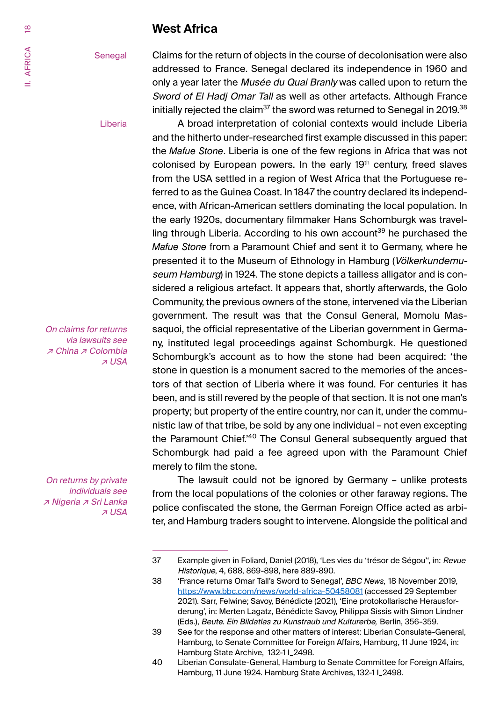### **West Africa**

<span id="page-17-0"></span>**Senegal** 

Claims for the return of objects in the course of decolonisation were also addressed to France. Senegal declared its independence in 1960 and only a year later the Musée du Quai Branly was called upon to return the Sword of El Hadj Omar Tall as well as other artefacts. Although France initially rejected the claim<sup>37</sup> the sword was returned to Senegal in 2019.<sup>38</sup>

A broad interpretation of colonial contexts would include Liberia and the hitherto under-researched first example discussed in this paper: the *Mafue Stone*. Liberia is one of the few regions in Africa that was not colonised by European powers. In the early 19<sup>th</sup> century, freed slaves from the USA settled in a region of West Africa that the Portuguese referred to as the Guinea Coast. In 1847 the country declared its independence, with African-American settlers dominating the local population. In the early 1920s, documentary filmmaker Hans Schomburgk was travelling through Liberia. According to his own account<sup>39</sup> he purchased the *Mafue Stone* from a Paramount Chief and sent it to Germany, where he presented it to the Museum of Ethnology in Hamburg (Völkerkundemuseum Hamburg) in 1924. The stone depicts a tailless alligator and is considered a religious artefact. It appears that, shortly afterwards, the Golo Community, the previous owners of the stone, intervened via the Liberian government. The result was that the Consul General, Momolu Massaquoi, the official representative of the Liberian government in Germany, instituted legal proceedings against Schomburgk. He questioned Schomburgk's account as to how the stone had been acquired: 'the stone in question is a monument sacred to the memories of the ancestors of that section of Liberia where it was found. For centuries it has been, and is still revered by the people of that section. It is not one man's property; but property of the entire country, nor can it, under the communistic law of that tribe, be sold by any one individual – not even excepting the Paramount Chief.'40 The Consul General subsequently argued that Schomburgk had paid a fee agreed upon with the Paramount Chief merely to film the stone.

The lawsuit could not be ignored by Germany – unlike protests from the local populations of the colonies or other faraway regions. The police confiscated the stone, the German Foreign Office acted as arbiter, and Hamburg traders sought to intervene. Alongside the political and

Liberia

On claims for returns via lawsuits see ↗ China ↗ Colombia ↗ USA

On returns by private individuals see ↗ Nigeria ↗ Sri Lanka ↗ USA

<sup>37</sup> Example given in Foliard, Daniel (2018), 'Les vies du 'trésor de Ségou'', in: Revue Historique, 4, 688, 869-898, here 889-890.

<sup>38</sup> 'France returns Omar Tall's Sword to Senegal', *BBC News,* 18 November 2019, https://www.bbc.com/news/world-africa-50458081 (accessed 29 September 2021). Sarr, Felwine; Savoy, Bénédicte (2021), 'Eine protokollarische Herausforderung', in: Merten Lagatz, Bénédicte Savoy, Philippa Sissis with Simon Lindner (Eds.), Beute. Ein Bildatlas zu Kunstraub und Kulturerbe*,* Berlin, 356-359.

<sup>39</sup> See for the response and other matters of interest: Liberian Consulate-General, Hamburg, to Senate Committee for Foreign Affairs, Hamburg, 11 June 1924, in: Hamburg State Archive, 132-1 I\_2498.

<sup>40</sup> Liberian Consulate-General, Hamburg to Senate Committee for Foreign Affairs, Hamburg, 11 June 1924. Hamburg State Archives, 132-1 | 2498.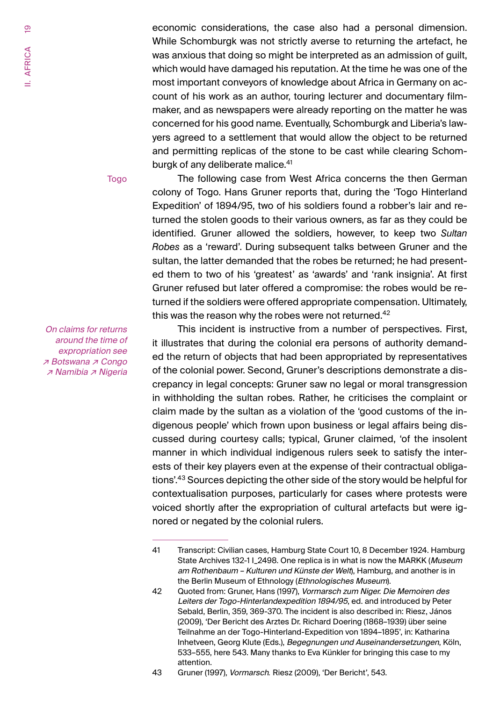economic considerations, the case also had a personal dimension. While Schomburgk was not strictly averse to returning the artefact, he was anxious that doing so might be interpreted as an admission of guilt, which would have damaged his reputation. At the time he was one of the most important conveyors of knowledge about Africa in Germany on account of his work as an author, touring lecturer and documentary filmmaker, and as newspapers were already reporting on the matter he was concerned for his good name. Eventually, Schomburgk and Liberia's lawyers agreed to a settlement that would allow the object to be returned and permitting replicas of the stone to be cast while clearing Schomburgk of any deliberate malice.<sup>41</sup>

Togo

On claims for returns around the time of expropriation see ↗ Botswana ↗ Congo ↗ Namibia ↗ Nigeria

The following case from West Africa concerns the then German colony of Togo. Hans Gruner reports that, during the 'Togo Hinterland Expedition' of 1894/95, two of his soldiers found a robber's lair and returned the stolen goods to their various owners, as far as they could be identified. Gruner allowed the soldiers, however, to keep two *Sultan Robes* as a 'reward'. During subsequent talks between Gruner and the sultan, the latter demanded that the robes be returned; he had presented them to two of his 'greatest' as 'awards' and 'rank insignia'. At first Gruner refused but later offered a compromise: the robes would be returned if the soldiers were offered appropriate compensation. Ultimately, this was the reason why the robes were not returned.<sup>42</sup>

This incident is instructive from a number of perspectives. First, it illustrates that during the colonial era persons of authority demanded the return of objects that had been appropriated by representatives of the colonial power. Second, Gruner's descriptions demonstrate a discrepancy in legal concepts: Gruner saw no legal or moral transgression in withholding the sultan robes. Rather, he criticises the complaint or claim made by the sultan as a violation of the 'good customs of the indigenous people' which frown upon business or legal affairs being discussed during courtesy calls; typical, Gruner claimed, 'of the insolent manner in which individual indigenous rulers seek to satisfy the interests of their key players even at the expense of their contractual obligations'.43 Sources depicting the other side of the story would be helpful for contextualisation purposes, particularly for cases where protests were voiced shortly after the expropriation of cultural artefacts but were ignored or negated by the colonial rulers.

<sup>41</sup> Transcript: Civilian cases, Hamburg State Court 10, 8 December 1924. Hamburg State Archives 132-1 I\_2498. One replica is in what is now the MARKK (Museum am Rothenbaum – Kulturen und Künste der Welt), Hamburg, and another is in the Berlin Museum of Ethnology (Ethnologisches Museum).

<sup>42</sup> Quoted from: Gruner, Hans (1997), Vormarsch zum Niger. Die Memoiren des Leiters der Togo-Hinterlandexpedition 1894/95, ed. and introduced by Peter Sebald, Berlin, 359, 369-370. The incident is also described in: Riesz, János (2009), 'Der Bericht des Arztes Dr. Richard Doering (1868–1939) über seine Teilnahme an der Togo-Hinterland-Expedition von 1894–1895', in: Katharina Inhetveen, Georg Klute (Eds.), Begegnungen und Auseinandersetzungen, Köln, 533–555, here 543. Many thanks to Eva Künkler for bringing this case to my attention.

<sup>43</sup> Gruner (1997), Vormarsch*.* Riesz (2009), 'Der Bericht', 543.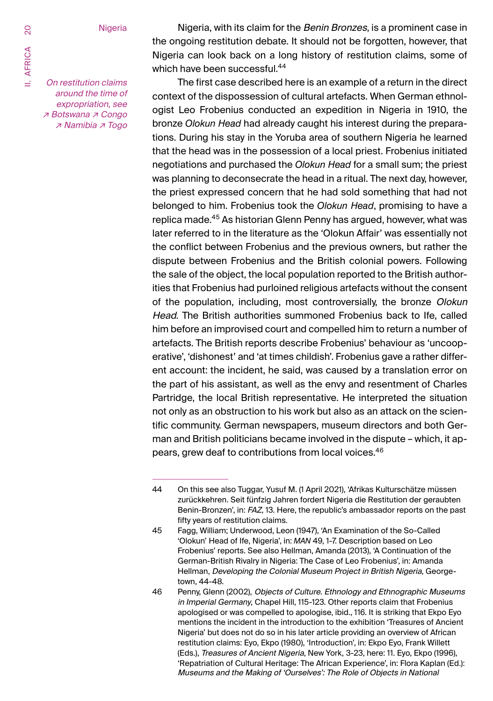**Nigeria** 

On restitution claims around the time of expropriation, see ↗ Botswana ↗ Congo ↗ Namibia ↗ Togo

Nigeria, with its claim for the Benin Bronzes, is a prominent case in the ongoing restitution debate. It should not be forgotten, however, that Nigeria can look back on a long history of restitution claims, some of which have been successful.<sup>44</sup>

The first case described here is an example of a return in the direct context of the dispossession of cultural artefacts. When German ethnologist Leo Frobenius conducted an expedition in Nigeria in 1910, the bronze *Olokun Head* had already caught his interest during the preparations. During his stay in the Yoruba area of southern Nigeria he learned that the head was in the possession of a local priest. Frobenius initiated negotiations and purchased the *Olokun Head* for a small sum; the priest was planning to deconsecrate the head in a ritual. The next day, however, the priest expressed concern that he had sold something that had not belonged to him. Frobenius took the *Olokun Head*, promising to have a replica made.<sup>45</sup> As historian Glenn Penny has argued, however, what was later referred to in the literature as the 'Olokun Affair' was essentially not the conflict between Frobenius and the previous owners, but rather the dispute between Frobenius and the British colonial powers. Following the sale of the object, the local population reported to the British authorities that Frobenius had purloined religious artefacts without the consent of the population, including, most controversially, the bronze Olokun Head. The British authorities summoned Frobenius back to Ife, called him before an improvised court and compelled him to return a number of artefacts. The British reports describe Frobenius' behaviour as 'uncooperative', 'dishonest' and 'at times childish'. Frobenius gave a rather different account: the incident, he said, was caused by a translation error on the part of his assistant, as well as the envy and resentment of Charles Partridge, the local British representative. He interpreted the situation not only as an obstruction to his work but also as an attack on the scientific community. German newspapers, museum directors and both German and British politicians became involved in the dispute – which, it appears, grew deaf to contributions from local voices.<sup>46</sup>

<sup>44</sup> On this see also Tuggar, Yusuf M. (1 April 2021), 'Afrikas Kulturschätze müssen zurückkehren. Seit fünfzig Jahren fordert Nigeria die Restitution der geraubten Benin-Bronzen', in: FAZ, 13. Here, the republic's ambassador reports on the past fifty years of restitution claims.

<sup>45</sup> Fagg, William; Underwood, Leon (1947), 'An Examination of the So-Called 'Olokun' Head of Ife, Nigeria', in: *MAN* 49, 1-7. Description based on Leo Frobenius' reports. See also Hellman, Amanda (2013), 'A Continuation of the German-British Rivalry in Nigeria: The Case of Leo Frobenius', in: Amanda Hellman, Developing the Colonial Museum Project in British Nigeria, Georgetown, 44-48.

<sup>46</sup> Penny, Glenn (2002), Objects of Culture. Ethnology and Ethnographic Museums in Imperial Germany, Chapel Hill, 115-123. Other reports claim that Frobenius apologised or was compelled to apologise, ibid., 116. It is striking that Ekpo Eyo mentions the incident in the introduction to the exhibition 'Treasures of Ancient Nigeria' but does not do so in his later article providing an overview of African restitution claims: Eyo, Ekpo (1980), 'Introduction', in: Ekpo Eyo, Frank Willett (Eds.), Treasures of Ancient Nigeria, New York, 3-23, here: 11. Eyo, Ekpo (1996), 'Repatriation of Cultural Heritage: The African Experience', in: Flora Kaplan (Ed.): Museums and the Making of 'Ourselves': The Role of Objects in National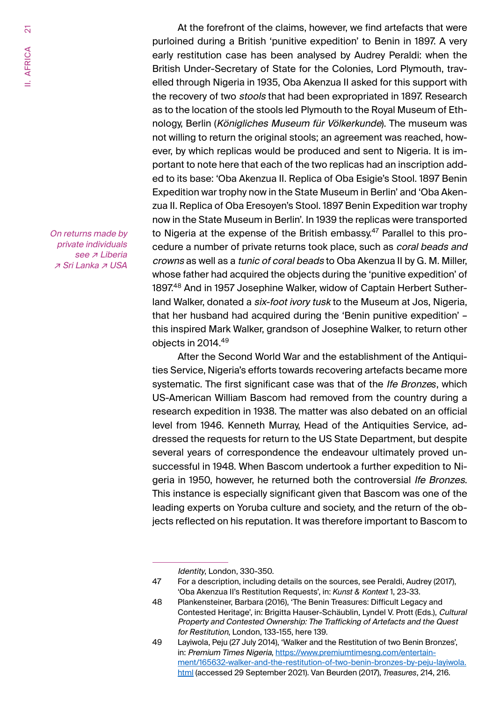At the forefront of the claims, however, we find artefacts that were purloined during a British 'punitive expedition' to Benin in 1897. A very early restitution case has been analysed by Audrey Peraldi: when the British Under-Secretary of State for the Colonies, Lord Plymouth, travelled through Nigeria in 1935, Oba Akenzua II asked for this support with the recovery of two *stools* that had been expropriated in 1897. Research as to the location of the stools led Plymouth to the Royal Museum of Ethnology, Berlin (Königliches Museum für Völkerkunde). The museum was not willing to return the original stools; an agreement was reached, however, by which replicas would be produced and sent to Nigeria. It is important to note here that each of the two replicas had an inscription added to its base: 'Oba Akenzua II. Replica of Oba Esigie's Stool. 1897 Benin Expedition war trophy now in the State Museum in Berlin' and 'Oba Akenzua II. Replica of Oba Eresoyen's Stool. 1897 Benin Expedition war trophy now in the State Museum in Berlin'. In 1939 the replicas were transported to Nigeria at the expense of the British embassy.<sup>47</sup> Parallel to this procedure a number of private returns took place, such as *coral beads and* crowns as well as a tunic of coral beads to Oba Akenzua II by G. M. Miller, whose father had acquired the objects during the 'punitive expedition' of 1897.48 And in 1957 Josephine Walker, widow of Captain Herbert Sutherland Walker, donated a six-foot ivory tusk to the Museum at Jos, Nigeria, that her husband had acquired during the 'Benin punitive expedition' – this inspired Mark Walker, grandson of Josephine Walker, to return other objects in 2014.<sup>49</sup>

After the Second World War and the establishment of the Antiquities Service, Nigeria's efforts towards recovering artefacts became more systematic. The first significant case was that of the Ife Bronze*s*, which US-American William Bascom had removed from the country during a research expedition in 1938. The matter was also debated on an official level from 1946. Kenneth Murray, Head of the Antiquities Service, addressed the requests for return to the US State Department, but despite several years of correspondence the endeavour ultimately proved unsuccessful in 1948. When Bascom undertook a further expedition to Nigeria in 1950, however, he returned both the controversial Ife Bronzes. This instance is especially significant given that Bascom was one of the leading experts on Yoruba culture and society, and the return of the objects reflected on his reputation. It was therefore important to Bascom to

Identity, London, 330-350.

On returns made by private individuals see *⊼* Liberia ↗ Sri Lanka ↗ USA

<sup>47</sup> For a description, including details on the sources, see Peraldi, Audrey (2017), 'Oba Akenzua II's Restitution Requests', in: *Kunst & Kontext* 1, 23-33.

<sup>48</sup> Plankensteiner, Barbara (2016), 'The Benin Treasures: Difficult Legacy and Contested Heritage', in: Brigitta Hauser-Schäublin, Lyndel V. Prott (Eds.), Cultural Property and Contested Ownership: The Trafficking of Artefacts and the Quest for Restitution, London, 133-155, here 139.

<sup>49</sup> Layiwola, Peju (27 July 2014), 'Walker and the Restitution of two Benin Bronzes', in: Premium Times Nigeria, https://www.premiumtimesng.com/entertainment/165632-walker-and-the-restitution-of-two-benin-bronzes-by-peju-layiwola. html (accessed 29 September 2021). Van Beurden (2017), *Treasures*, 214, 216.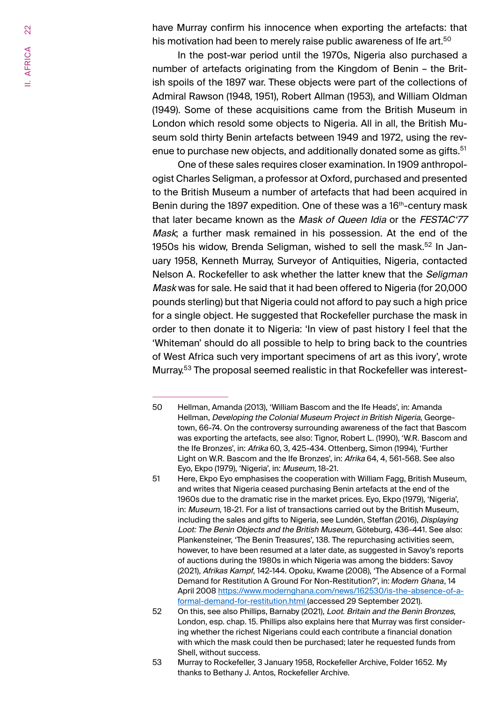have Murray confirm his innocence when exporting the artefacts: that his motivation had been to merely raise public awareness of Ife art.<sup>50</sup>

In the post-war period until the 1970s, Nigeria also purchased a number of artefacts originating from the Kingdom of Benin – the British spoils of the 1897 war. These objects were part of the collections of Admiral Rawson (1948, 1951), Robert Allman (1953), and William Oldman (1949). Some of these acquisitions came from the British Museum in London which resold some objects to Nigeria. All in all, the British Museum sold thirty Benin artefacts between 1949 and 1972, using the revenue to purchase new objects, and additionally donated some as gifts.<sup>51</sup>

One of these sales requires closer examination. In 1909 anthropologist Charles Seligman, a professor at Oxford, purchased and presented to the British Museum a number of artefacts that had been acquired in Benin during the 1897 expedition. One of these was a 16<sup>th</sup>-century mask that later became known as the *Mask of Queen Idia* or the *FESTAC'77* Mask; a further mask remained in his possession. At the end of the 1950s his widow. Brenda Seligman, wished to sell the mask.<sup>52</sup> In January 1958, Kenneth Murray, Surveyor of Antiquities, Nigeria, contacted Nelson A. Rockefeller to ask whether the latter knew that the Seligman Mask was for sale. He said that it had been offered to Nigeria (for 20,000 pounds sterling) but that Nigeria could not afford to pay such a high price for a single object. He suggested that Rockefeller purchase the mask in order to then donate it to Nigeria: 'In view of past history I feel that the 'Whiteman' should do all possible to help to bring back to the countries of West Africa such very important specimens of art as this ivory', wrote Murray.53 The proposal seemed realistic in that Rockefeller was interest-

53 Murray to Rockefeller, 3 January 1958, Rockefeller Archive, Folder 1652. My thanks to Bethany J. Antos, Rockefeller Archive.

<sup>50</sup> Hellman, Amanda (2013), 'William Bascom and the Ife Heads', in: Amanda Hellman, Developing the Colonial Museum Project in British Nigeria, Georgetown, 66-74. On the controversy surrounding awareness of the fact that Bascom was exporting the artefacts, see also: Tignor, Robert L. (1990), 'W.R. Bascom and the Ife Bronzes', in: Afrika 60, 3, 425-434. Ottenberg, Simon (1994), 'Further Light on W.R. Bascom and the Ife Bronzes', in: Afrika 64, 4, 561-568. See also Eyo, Ekpo (1979), 'Nigeria', in: Museum, 18-21.

<sup>51</sup> Here, Ekpo Eyo emphasises the cooperation with William Fagg, British Museum, and writes that Nigeria ceased purchasing Benin artefacts at the end of the 1960s due to the dramatic rise in the market prices. Eyo, Ekpo (1979), 'Nigeria', in: Museum, 18-21. For a list of transactions carried out by the British Museum, including the sales and gifts to Nigeria, see Lundén, Steffan (2016), Displaying Loot: The Benin Objects and the British Museum, Göteburg, 436-441. See also: Plankensteiner, 'The Benin Treasures', 138. The repurchasing activities seem, however, to have been resumed at a later date, as suggested in Savoy's reports of auctions during the 1980s in which Nigeria was among the bidders: Savoy (2021), Afrikas Kampf, 142-144. Opoku, Kwame (2008), 'The Absence of a Formal Demand for Restitution A Ground For Non-Restitution?', in: *Modern Ghana*, 14 April 2008 https://www.modernghana.com/news/162530/is-the-absence-of-aformal-demand-for-restitution.html (accessed 29 September 2021).

<sup>52</sup> On this, see also Phillips, Barnaby (2021), Loot. Britain and the Benin Bronzes, London, esp. chap. 15. Phillips also explains here that Murray was first considering whether the richest Nigerians could each contribute a financial donation with which the mask could then be purchased; later he requested funds from Shell, without success.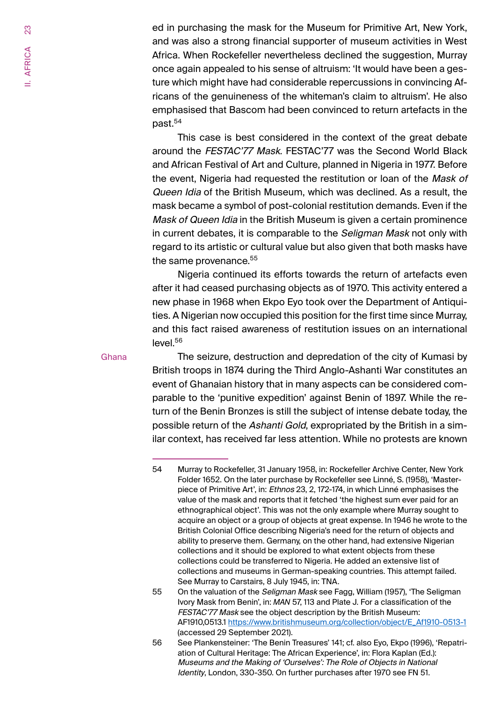ed in purchasing the mask for the Museum for Primitive Art, New York, and was also a strong financial supporter of museum activities in West Africa. When Rockefeller nevertheless declined the suggestion, Murray once again appealed to his sense of altruism: 'It would have been a gesture which might have had considerable repercussions in convincing Africans of the genuineness of the whiteman's claim to altruism'. He also emphasised that Bascom had been convinced to return artefacts in the past.54

This case is best considered in the context of the great debate around the FESTAC'77 Mask. FESTAC'77 was the Second World Black and African Festival of Art and Culture, planned in Nigeria in 1977. Before the event, Nigeria had requested the restitution or loan of the Mask of Queen Idia of the British Museum, which was declined. As a result, the mask became a symbol of post-colonial restitution demands. Even if the Mask of Queen Idia in the British Museum is given a certain prominence in current debates, it is comparable to the *Seligman Mask* not only with regard to its artistic or cultural value but also given that both masks have the same provenance.<sup>55</sup>

Nigeria continued its efforts towards the return of artefacts even after it had ceased purchasing objects as of 1970. This activity entered a new phase in 1968 when Ekpo Eyo took over the Department of Antiquities. A Nigerian now occupied this position for the first time since Murray, and this fact raised awareness of restitution issues on an international  $level<sup>56</sup>$ 

#### **Ghana**

The seizure, destruction and depredation of the city of Kumasi by British troops in 1874 during the Third Anglo-Ashanti War constitutes an event of Ghanaian history that in many aspects can be considered comparable to the 'punitive expedition' against Benin of 1897. While the return of the Benin Bronzes is still the subject of intense debate today, the possible return of the Ashanti Gold, expropriated by the British in a similar context, has received far less attention. While no protests are known

<sup>54</sup> Murray to Rockefeller, 31 January 1958, in: Rockefeller Archive Center, New York Folder 1652. On the later purchase by Rockefeller see Linné, S. (1958), 'Masterpiece of Primitive Art', in: Ethnos 23, 2, 172-174, in which Linné emphasises the value of the mask and reports that it fetched 'the highest sum ever paid for an ethnographical object'. This was not the only example where Murray sought to acquire an object or a group of objects at great expense. In 1946 he wrote to the British Colonial Office describing Nigeria's need for the return of objects and ability to preserve them. Germany, on the other hand, had extensive Nigerian collections and it should be explored to what extent objects from these collections could be transferred to Nigeria. He added an extensive list of collections and museums in German-speaking countries. This attempt failed. See Murray to Carstairs, 8 July 1945, in: TNA.

<sup>55</sup> On the valuation of the Seligman Mask see Fagg, William (1957), 'The Seligman Ivory Mask from Benin', in: *MAN* 57, 113 and Plate J. For a classification of the FESTAC'77 Mask see the object description by the British Museum: AF1910,0513.1 https://www.britishmuseum.org/collection/object/E\_Af1910-0513-1 (accessed 29 September 2021).

<sup>56</sup> See Plankensteiner: 'The Benin Treasures' 141; cf. also Eyo, Ekpo (1996), 'Repatriation of Cultural Heritage: The African Experience', in: Flora Kaplan (Ed.): Museums and the Making of 'Ourselves': The Role of Objects in National Identity, London, 330-350. On further purchases after 1970 see FN 51.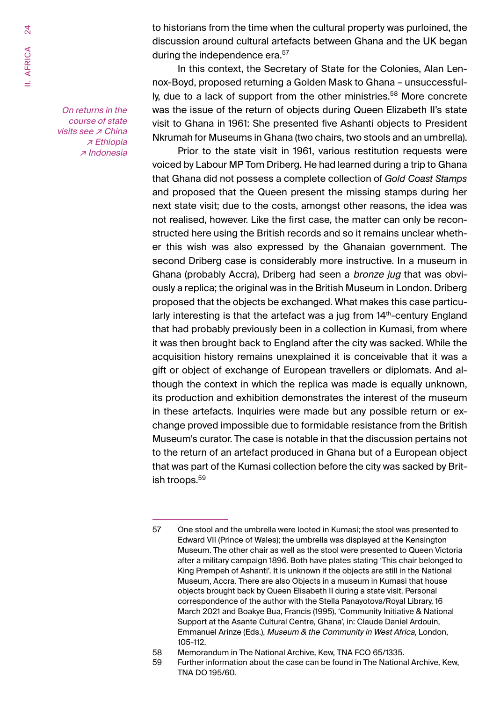On returns in the course of state visits see <sub>₹</sub> China ↗ Ethiopia ↗ Indonesia to historians from the time when the cultural property was purloined, the discussion around cultural artefacts between Ghana and the UK began during the independence era.<sup>57</sup>

In this context, the Secretary of State for the Colonies, Alan Lennox-Boyd, proposed returning a Golden Mask to Ghana – unsuccessfully, due to a lack of support from the other ministries.<sup>58</sup> More concrete was the issue of the return of objects during Queen Elizabeth II's state visit to Ghana in 1961: She presented five Ashanti objects to President Nkrumah for Museums in Ghana (two chairs, two stools and an umbrella).

Prior to the state visit in 1961, various restitution requests were voiced by Labour MP Tom Driberg. He had learned during a trip to Ghana that Ghana did not possess a complete collection of *Gold Coast Stamps* and proposed that the Queen present the missing stamps during her next state visit; due to the costs, amongst other reasons, the idea was not realised, however. Like the first case, the matter can only be reconstructed here using the British records and so it remains unclear whether this wish was also expressed by the Ghanaian government. The second Driberg case is considerably more instructive. In a museum in Ghana (probably Accra), Driberg had seen a *bronze jug* that was obviously a replica; the original was in the British Museum in London. Driberg proposed that the objects be exchanged. What makes this case particularly interesting is that the artefact was a jug from 14<sup>th</sup>-century England that had probably previously been in a collection in Kumasi, from where it was then brought back to England after the city was sacked. While the acquisition history remains unexplained it is conceivable that it was a gift or object of exchange of European travellers or diplomats. And although the context in which the replica was made is equally unknown, its production and exhibition demonstrates the interest of the museum in these artefacts. Inquiries were made but any possible return or exchange proved impossible due to formidable resistance from the British Museum's curator. The case is notable in that the discussion pertains not to the return of an artefact produced in Ghana but of a European object that was part of the Kumasi collection before the city was sacked by British troops.59

<sup>57</sup> One stool and the umbrella were looted in Kumasi; the stool was presented to Edward VII (Prince of Wales); the umbrella was displayed at the Kensington Museum. The other chair as well as the stool were presented to Queen Victoria after a military campaign 1896. Both have plates stating 'This chair belonged to King Prempeh of Ashanti'. It is unknown if the objects are still in the National Museum, Accra. There are also Objects in a museum in Kumasi that house objects brought back by Queen Elisabeth II during a state visit. Personal correspondence of the author with the Stella Panayotova/Royal Library, 16 March 2021 and Boakye Bua, Francis (1995), 'Community Initiative & National Support at the Asante Cultural Centre, Ghana', in: Claude Daniel Ardouin, Emmanuel Arinze (Eds.), Museum & the Community in West Africa, London, 105-112.

<sup>58</sup> Memorandum in The National Archive, Kew, TNA FCO 65/1335.

<sup>59</sup> Further information about the case can be found in The National Archive, Kew, TNA DO 195/60.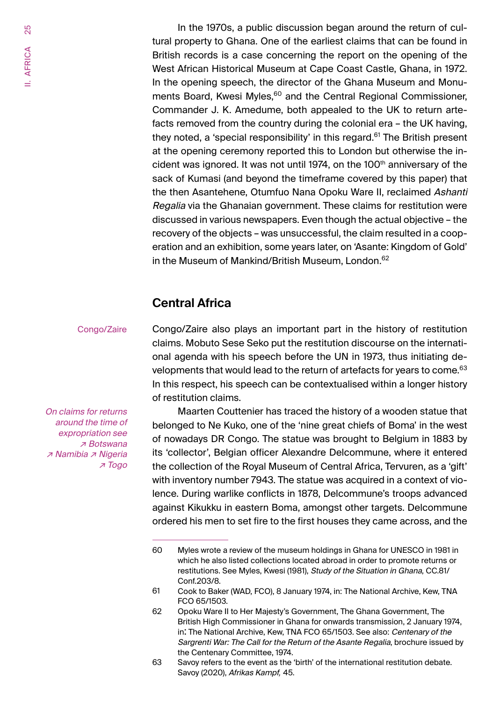<span id="page-24-0"></span>In the 1970s, a public discussion began around the return of cultural property to Ghana. One of the earliest claims that can be found in British records is a case concerning the report on the opening of the West African Historical Museum at Cape Coast Castle, Ghana, in 1972. In the opening speech, the director of the Ghana Museum and Monuments Board, Kwesi Myles,<sup>60</sup> and the Central Regional Commissioner, Commander J. K. Amedume, both appealed to the UK to return artefacts removed from the country during the colonial era – the UK having, they noted, a 'special responsibility' in this regard.<sup>61</sup> The British present at the opening ceremony reported this to London but otherwise the incident was ignored. It was not until 1974, on the 100<sup>th</sup> anniversary of the sack of Kumasi (and beyond the timeframe covered by this paper) that the then Asantehene, Otumfuo Nana Opoku Ware II, reclaimed Ashanti Regalia via the Ghanaian government. These claims for restitution were discussed in various newspapers. Even though the actual objective – the recovery of the objects – was unsuccessful, the claim resulted in a cooperation and an exhibition, some years later, on 'Asante: Kingdom of Gold' in the Museum of Mankind/British Museum, London. 62

## **Central Africa**

#### Congo/Zaire

Congo/Zaire also plays an important part in the history of restitution claims. Mobuto Sese Seko put the restitution discourse on the international agenda with his speech before the UN in 1973, thus initiating developments that would lead to the return of artefacts for years to come.<sup>63</sup> In this respect, his speech can be contextualised within a longer history of restitution claims.

On claims for returns around the time of expropriation see ↗ Botswana ↗ Namibia ↗ Nigeria ↗ Togo

Maarten Couttenier has traced the history of a wooden statue that belonged to Ne Kuko, one of the 'nine great chiefs of Boma' in the west of nowadays DR Congo. The statue was brought to Belgium in 1883 by its 'collector', Belgian officer Alexandre Delcommune, where it entered the collection of the Royal Museum of Central Africa, Tervuren, as a 'gift' with inventory number 7943. The statue was acquired in a context of violence. During warlike conflicts in 1878, Delcommune's troops advanced against Kikukku in eastern Boma, amongst other targets. Delcommune ordered his men to set fire to the first houses they came across, and the

<sup>60</sup> Myles wrote a review of the museum holdings in Ghana for UNESCO in 1981 in which he also listed collections located abroad in order to promote returns or restitutions. See Myles, Kwesi (1981), Study of the Situation in Ghana, CC.81/ Conf.203/8.

<sup>61</sup> Cook to Baker (WAD, FCO), 8 January 1974, in: The National Archive, Kew, TNA FCO 65/1503.

<sup>62</sup> Opoku Ware II to Her Majesty's Government, The Ghana Government, The British High Commissioner in Ghana for onwards transmission, 2 January 1974, in: The National Archive, Kew, TNA FCO 65/1503. See also: Centenary of the Sargrenti War: The Call for the Return of the Asante Regalia, brochure issued by the Centenary Committee, 1974.

<sup>63</sup> Savoy refers to the event as the 'birth' of the international restitution debate. Savoy (2020), Afrikas Kampf*,* 45.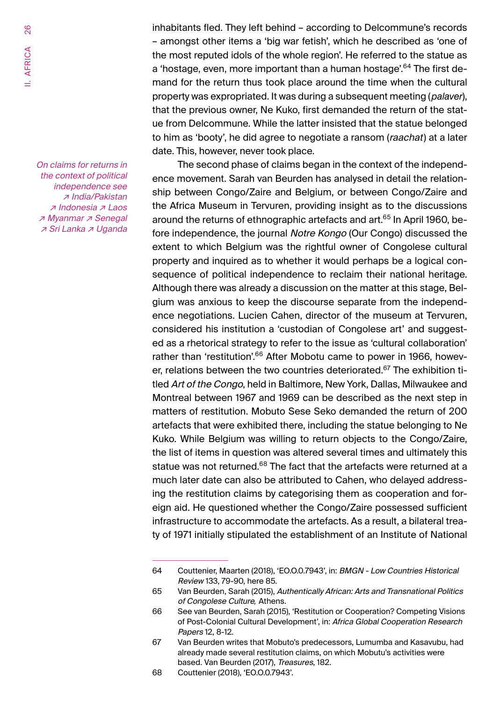On claims for returns in the context of political independence see ↗ India/Pakistan ↗ Indonesia ↗ Laos ↗ Myanmar ↗ Senegal ↗ Sri Lanka ↗ Uganda

inhabitants fled. They left behind – according to Delcommune's records – amongst other items a 'big war fetish', which he described as 'one of the most reputed idols of the whole region'. He referred to the statue as a 'hostage, even, more important than a human hostage'.<sup>64</sup> The first demand for the return thus took place around the time when the cultural property was expropriated. It was during a subsequent meeting (*palaver*), that the previous owner, Ne Kuko, first demanded the return of the statue from Delcommune. While the latter insisted that the statue belonged to him as 'booty', he did agree to negotiate a ransom (raachat) at a later date. This, however, never took place.

The second phase of claims began in the context of the independence movement. Sarah van Beurden has analysed in detail the relationship between Congo/Zaire and Belgium, or between Congo/Zaire and the Africa Museum in Tervuren, providing insight as to the discussions around the returns of ethnographic artefacts and art.<sup>65</sup> In April 1960, before independence, the journal Notre Kongo (Our Congo) discussed the extent to which Belgium was the rightful owner of Congolese cultural property and inquired as to whether it would perhaps be a logical consequence of political independence to reclaim their national heritage. Although there was already a discussion on the matter at this stage, Belgium was anxious to keep the discourse separate from the independence negotiations. Lucien Cahen, director of the museum at Tervuren, considered his institution a 'custodian of Congolese art' and suggested as a rhetorical strategy to refer to the issue as 'cultural collaboration' rather than 'restitution'.<sup>66</sup> After Mobotu came to power in 1966, however, relations between the two countries deteriorated.<sup>67</sup> The exhibition titled Art of the Congo, held in Baltimore, New York, Dallas, Milwaukee and Montreal between 1967 and 1969 can be described as the next step in matters of restitution. Mobuto Sese Seko demanded the return of 200 artefacts that were exhibited there, including the statue belonging to Ne Kuko. While Belgium was willing to return objects to the Congo/Zaire, the list of items in question was altered several times and ultimately this statue was not returned.<sup>68</sup> The fact that the artefacts were returned at a much later date can also be attributed to Cahen, who delayed addressing the restitution claims by categorising them as cooperation and foreign aid. He questioned whether the Congo/Zaire possessed sufficient infrastructure to accommodate the artefacts. As a result, a bilateral treaty of 1971 initially stipulated the establishment of an Institute of National

<sup>64</sup> Couttenier, Maarten (2018), 'EO.O.0.7943', in: BMGN - Low Countries Historical Review 133, 79-90, here 85.

<sup>65</sup> Van Beurden, Sarah (2015), Authentically African: Arts and Transnational Politics of Congolese Culture*,* Athens.

<sup>66</sup> See van Beurden, Sarah (2015), 'Restitution or Cooperation? Competing Visions of Post-Colonial Cultural Development', in: Africa Global Cooperation Research Papers 12, 8-12.

<sup>67</sup> Van Beurden writes that Mobuto's predecessors, Lumumba and Kasavubu, had already made several restitution claims, on which Mobutu's activities were based. Van Beurden (2017), Treasures, 182.

<sup>68</sup> Couttenier (2018), 'EO.O.0.7943'.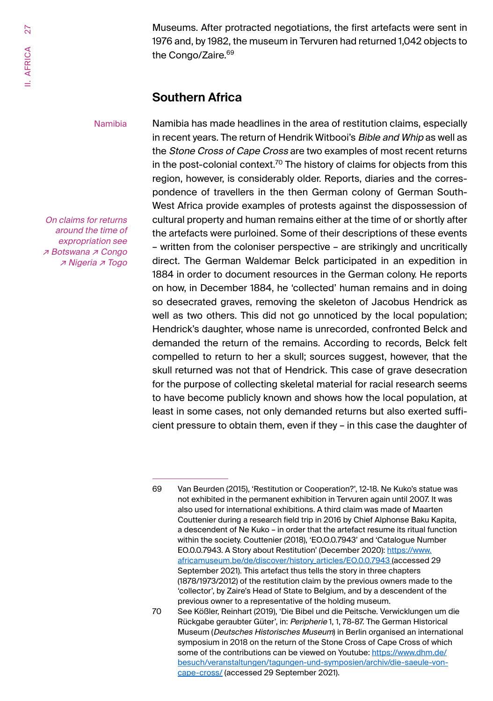27 AFRICA II. AFRICA

Museums. After protracted negotiations, the first artefacts were sent in 1976 and, by 1982, the museum in Tervuren had returned 1,042 objects to the Congo/Zaire.<sup>69</sup>

### **Southern Africa**

#### Namibia

On claims for returns around the time of expropriation see ↗ Botswana ↗ Congo ↗ Nigeria ↗ Togo

Namibia has made headlines in the area of restitution claims, especially in recent years. The return of Hendrik Witbooi's Bible and Whip as well as the Stone Cross of Cape Cross are two examples of most recent returns in the post-colonial context.<sup>70</sup> The history of claims for objects from this region, however, is considerably older. Reports, diaries and the correspondence of travellers in the then German colony of German South-West Africa provide examples of protests against the dispossession of cultural property and human remains either at the time of or shortly after the artefacts were purloined. Some of their descriptions of these events – written from the coloniser perspective – are strikingly and uncritically direct. The German Waldemar Belck participated in an expedition in 1884 in order to document resources in the German colony. He reports on how, in December 1884, he 'collected' human remains and in doing so desecrated graves, removing the skeleton of Jacobus Hendrick as well as two others. This did not go unnoticed by the local population; Hendrick's daughter, whose name is unrecorded, confronted Belck and demanded the return of the remains. According to records, Belck felt compelled to return to her a skull; sources suggest, however, that the skull returned was not that of Hendrick. This case of grave desecration for the purpose of collecting skeletal material for racial research seems to have become publicly known and shows how the local population, at least in some cases, not only demanded returns but also exerted sufficient pressure to obtain them, even if they – in this case the daughter of

<sup>69</sup> Van Beurden (2015), 'Restitution or Cooperation?', 12-18. Ne Kuko's statue was not exhibited in the permanent exhibition in Tervuren again until 2007. It was also used for international exhibitions. A third claim was made of Maarten Couttenier during a research field trip in 2016 by Chief Alphonse Baku Kapita, a descendent of Ne Kuko – in order that the artefact resume its ritual function within the society. Couttenier (2018), 'EO.O.0.7943' and 'Catalogue Number EO.0.0.7943. A Story about Restitution' (December 2020): https://www. africamuseum.be/de/discover/history\_articles/EO.0.0.7943 (accessed 29 September 2021). This artefact thus tells the story in three chapters (1878/1973/2012) of the restitution claim by the previous owners made to the 'collector', by Zaire's Head of State to Belgium, and by a descendent of the previous owner to a representative of the holding museum.

<sup>70</sup> See Kößler, Reinhart (2019), 'Die Bibel und die Peitsche. Verwicklungen um die Rückgabe geraubter Güter', in: Peripherie 1, 1, 78-87. The German Historical Museum (Deutsches Historisches Museum) in Berlin organised an international symposium in 2018 on the return of the Stone Cross of Cape Cross of which some of the contributions can be viewed on Youtube: https://www.dhm.de/ besuch/veranstaltungen/tagungen-und-symposien/archiv/die-saeule-voncape-cross/ (accessed 29 September 2021).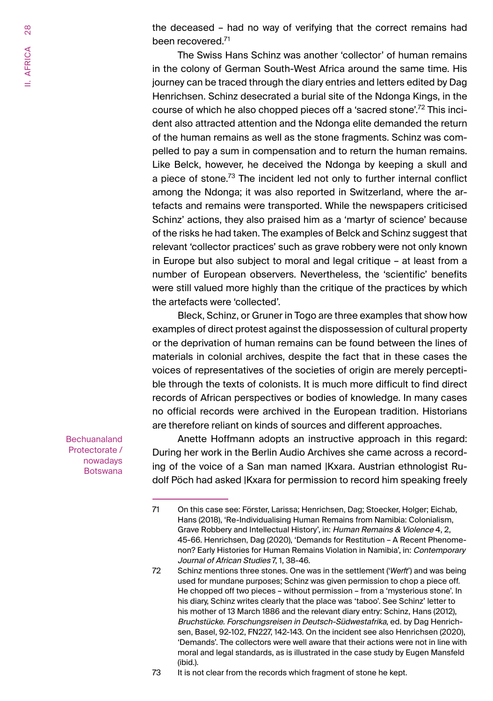<span id="page-27-0"></span>the deceased – had no way of verifying that the correct remains had been recovered.<sup>71</sup>

The Swiss Hans Schinz was another 'collector' of human remains in the colony of German South-West Africa around the same time. His journey can be traced through the diary entries and letters edited by Dag Henrichsen. Schinz desecrated a burial site of the Ndonga Kings, in the course of which he also chopped pieces off a 'sacred stone'.72 This incident also attracted attention and the Ndonga elite demanded the return of the human remains as well as the stone fragments. Schinz was compelled to pay a sum in compensation and to return the human remains. Like Belck, however, he deceived the Ndonga by keeping a skull and a piece of stone.<sup>73</sup> The incident led not only to further internal conflict among the Ndonga; it was also reported in Switzerland, where the artefacts and remains were transported. While the newspapers criticised Schinz' actions, they also praised him as a 'martyr of science' because of the risks he had taken. The examples of Belck and Schinz suggest that relevant 'collector practices' such as grave robbery were not only known in Europe but also subject to moral and legal critique – at least from a number of European observers. Nevertheless, the 'scientific' benefits were still valued more highly than the critique of the practices by which the artefacts were 'collected'.

Bleck, Schinz, or Gruner in Togo are three examples that show how examples of direct protest against the dispossession of cultural property or the deprivation of human remains can be found between the lines of materials in colonial archives, despite the fact that in these cases the voices of representatives of the societies of origin are merely perceptible through the texts of colonists. It is much more difficult to find direct records of African perspectives or bodies of knowledge. In many cases no official records were archived in the European tradition. Historians are therefore reliant on kinds of sources and different approaches.

**Bechuanaland** Protectorate / nowadays **Botswana** 

Anette Hoffmann adopts an instructive approach in this regard: During her work in the Berlin Audio Archives she came across a recording of the voice of a San man named |Kxara. Austrian ethnologist Rudolf Pöch had asked |Kxara for permission to record him speaking freely

73 It is not clear from the records which fragment of stone he kept.

<sup>71</sup> On this case see: Förster, Larissa; Henrichsen, Dag; Stoecker, Holger; Eichab, Hans (2018), 'Re-Individualising Human Remains from Namibia: Colonialism, Grave Robbery and Intellectual History', in: Human Remains & Violence 4, 2, 45-66. Henrichsen, Dag (2020), 'Demands for Restitution – A Recent Phenomenon? Early Histories for Human Remains Violation in Namibia', in: Contemporary Journal of African Studies 7, 1, 38-46.

<sup>72</sup> Schinz mentions three stones. One was in the settlement ('*Werft*') and was being used for mundane purposes; Schinz was given permission to chop a piece off. He chopped off two pieces – without permission – from a 'mysterious stone'. In his diary, Schinz writes clearly that the place was 'taboo'. See Schinz' letter to his mother of 13 March 1886 and the relevant diary entry: Schinz, Hans (2012), Bruchstücke. Forschungsreisen in Deutsch-Südwestafrika, ed. by Dag Henrichsen, Basel, 92-102, FN227, 142-143. On the incident see also Henrichsen (2020), 'Demands'. The collectors were well aware that their actions were not in line with moral and legal standards, as is illustrated in the case study by Eugen Mansfeld (ibid.).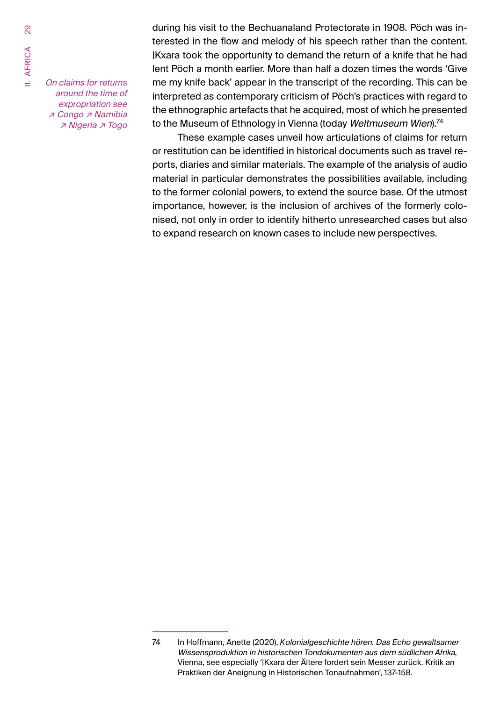On claims for returns around the time of expropriation see ↗ Congo ↗ Namibia ↗ Nigeria ↗ Togo

during his visit to the Bechuanaland Protectorate in 1908. Pöch was interested in the flow and melody of his speech rather than the content. |Kxara took the opportunity to demand the return of a knife that he had lent Pöch a month earlier. More than half a dozen times the words 'Give me my knife back' appear in the transcript of the recording. This can be interpreted as contemporary criticism of Pöch's practices with regard to the ethnographic artefacts that he acquired, most of which he presented to the Museum of Ethnology in Vienna (today Weltmuseum Wien).<sup>74</sup>

These example cases unveil how articulations of claims for return or restitution can be identified in historical documents such as travel reports, diaries and similar materials. The example of the analysis of audio material in particular demonstrates the possibilities available, including to the former colonial powers, to extend the source base. Of the utmost importance, however, is the inclusion of archives of the formerly colonised, not only in order to identify hitherto unresearched cases but also to expand research on known cases to include new perspectives.

<sup>74</sup> In Hoffmann, Anette (2020), *K*olonialgeschichte hören. Das Echo gewaltsamer Wissensproduktion in historischen Tondokumenten aus dem südlichen Afrika, Vienna, see especially '|Kxara der Ältere fordert sein Messer zurück. Kritik an Praktiken der Aneignung in Historischen Tonaufnahmen', 137-158.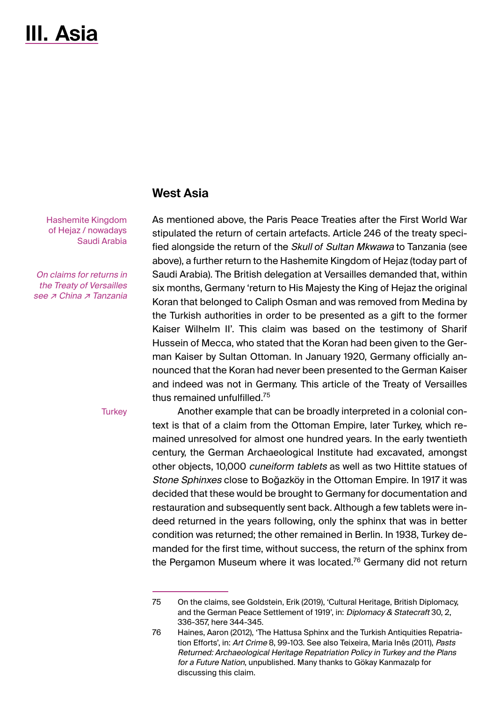# <span id="page-29-0"></span>**III. Asia**

### **West Asia**

Hashemite Kingdom of Hejaz / nowadays Saudi Arabia

On claims for returns in the Treaty of Versailles see ⊿ China ⊿ Tanzania

**Turkey** 

As mentioned above, the Paris Peace Treaties after the First World War stipulated the return of certain artefacts. Article 246 of the treaty specified alongside the return of the Skull *of* Sultan Mkwawa to Tanzania (see above), a further return to the Hashemite Kingdom of Hejaz (today part of Saudi Arabia). The British delegation at Versailles demanded that, within six months, Germany 'return to His Majesty the King of Hejaz the original Koran that belonged to Caliph Osman and was removed from Medina by the Turkish authorities in order to be presented as a gift to the former Kaiser Wilhelm II'. This claim was based on the testimony of Sharif Hussein of Mecca, who stated that the Koran had been given to the German Kaiser by Sultan Ottoman. In January 1920, Germany officially announced that the Koran had never been presented to the German Kaiser and indeed was not in Germany. This article of the Treaty of Versailles thus remained unfulfilled.<sup>75</sup>

Another example that can be broadly interpreted in a colonial context is that of a claim from the Ottoman Empire, later Turkey, which remained unresolved for almost one hundred years. In the early twentieth century, the German Archaeological Institute had excavated, amongst other objects, 10,000 cuneiform tablets as well as two Hittite statues of Stone Sphinxes close to Boğazköy in the Ottoman Empire. In 1917 it was decided that these would be brought to Germany for documentation and restauration and subsequently sent back. Although a few tablets were indeed returned in the years following, only the sphinx that was in better condition was returned; the other remained in Berlin. In 1938, Turkey demanded for the first time, without success, the return of the sphinx from the Pergamon Museum where it was located.<sup>76</sup> Germany did not return

<sup>75</sup> On the claims, see Goldstein, Erik (2019), 'Cultural Heritage, British Diplomacy, and the German Peace Settlement of 1919', in: Diplomacy & Statecraft 30, 2, 336-357, here 344-345.

<sup>76</sup> Haines, Aaron (2012), 'The Hattusa Sphinx and the Turkish Antiquities Repatriation Efforts', in: Art Crime 8, 99-103. See also Teixeira, Maria Inês (2011), Pasts Returned: Archaeological Heritage Repatriation Policy in Turkey and the Plans for <sup>a</sup> Future Nation, unpublished. Many thanks to Gökay Kanmazalp for discussing this claim.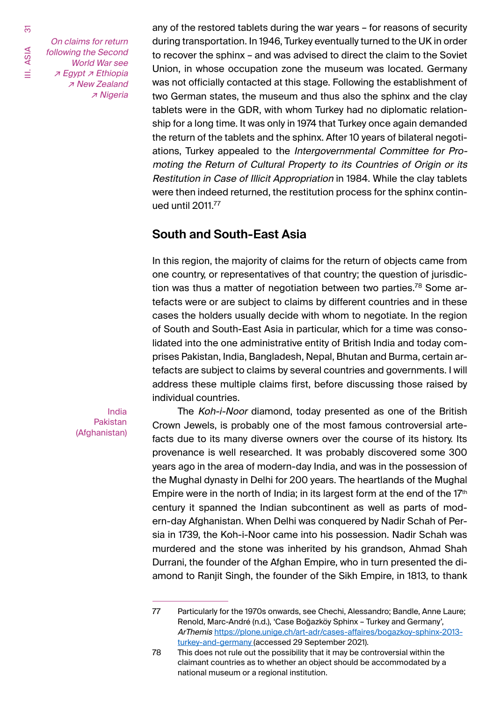<span id="page-30-0"></span>55

III. ASIA

On claims for return following the Second World War see ↗ Egypt ↗ Ethiopia ↗ New Zealand ↗ Nigeria any of the restored tablets during the war years – for reasons of security during transportation. In 1946, Turkey eventually turned to the UK in order to recover the sphinx – and was advised to direct the claim to the Soviet Union, in whose occupation zone the museum was located. Germany was not officially contacted at this stage. Following the establishment of two German states, the museum and thus also the sphinx and the clay tablets were in the GDR, with whom Turkey had no diplomatic relationship for a long time. It was only in 1974 that Turkey once again demanded the return of the tablets and the sphinx. After 10 years of bilateral negotiations, Turkey appealed to the Intergovernmental Committee for Promoting the Return of Cultural Property to its Countries of Origin or its Restitution in Case of Illicit Appropriation in 1984. While the clay tablets were then indeed returned, the restitution process for the sphinx continued until 2011.<sup>77</sup>

## **South and South-East Asia**

In this region, the majority of claims for the return of objects came from one country, or representatives of that country; the question of jurisdiction was thus a matter of negotiation between two parties.<sup>78</sup> Some artefacts were or are subject to claims by different countries and in these cases the holders usually decide with whom to negotiate. In the region of South and South-East Asia in particular, which for a time was consolidated into the one administrative entity of British India and today comprises Pakistan, India, Bangladesh, Nepal, Bhutan and Burma, certain artefacts are subject to claims by several countries and governments. I will address these multiple claims first, before discussing those raised by individual countries.

India Pakistan (Afghanistan)

The Koh-i-Noor diamond, today presented as one of the British Crown Jewels, is probably one of the most famous controversial artefacts due to its many diverse owners over the course of its history. Its provenance is well researched. It was probably discovered some 300 years ago in the area of modern-day India, and was in the possession of the Mughal dynasty in Delhi for 200 years. The heartlands of the Mughal Empire were in the north of India; in its largest form at the end of the  $17<sup>th</sup>$ century it spanned the Indian subcontinent as well as parts of modern-day Afghanistan. When Delhi was conquered by Nadir Schah of Persia in 1739, the Koh-i-Noor came into his possession. Nadir Schah was murdered and the stone was inherited by his grandson, Ahmad Shah Durrani, the founder of the Afghan Empire, who in turn presented the diamond to Ranjit Singh, the founder of the Sikh Empire, in 1813, to thank

<sup>77</sup> Particularly for the 1970s onwards, see Chechi, Alessandro; Bandle, Anne Laure; Renold, Marc-André (n.d.), 'Case Boğazköy Sphinx – Turkey and Germany', ArThemis https://plone.unige.ch/art-adr/cases-affaires/bogazkoy-sphinx-2013 turkey-and-germany (accessed 29 September 2021).

<sup>78</sup> This does not rule out the possibility that it may be controversial within the claimant countries as to whether an object should be accommodated by a national museum or a regional institution.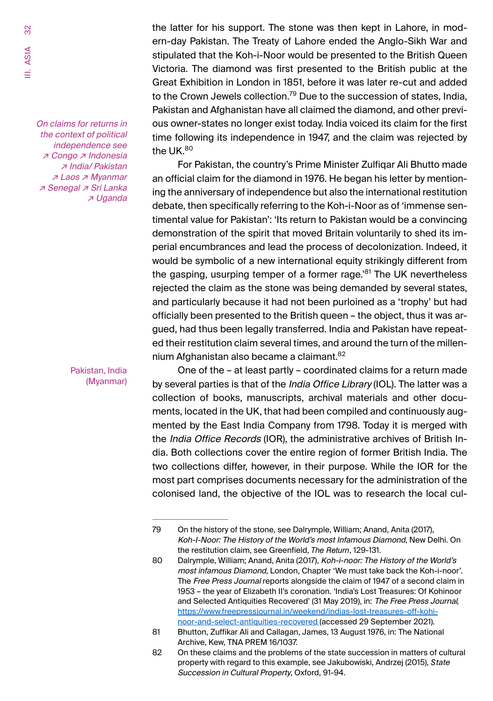On claims for returns in the context of political independence see ↗ Congo ↗ Indonesia ↗ India/ Pakistan ↗ Laos ↗ Myanmar ↗ Senegal ↗ Sri Lanka ↗ Uganda

> Pakistan, India (Myanmar)

the latter for his support. The stone was then kept in Lahore, in modern-day Pakistan. The Treaty of Lahore ended the Anglo-Sikh War and stipulated that the Koh-i-Noor would be presented to the British Queen Victoria. The diamond was first presented to the British public at the Great Exhibition in London in 1851, before it was later re-cut and added to the Crown Jewels collection.'<sup>9</sup> Due to the succession of states, India, Pakistan and Afghanistan have all claimed the diamond, and other previous owner-states no longer exist today. India voiced its claim for the first time following its independence in 1947, and the claim was rejected by the UK.<sup>80</sup>

For Pakistan, the country's Prime Minister Zulfiqar Ali Bhutto made an official claim for the diamond in 1976. He began his letter by mentioning the anniversary of independence but also the international restitution debate, then specifically referring to the Koh-i-Noor as of 'immense sentimental value for Pakistan': 'Its return to Pakistan would be a convincing demonstration of the spirit that moved Britain voluntarily to shed its imperial encumbrances and lead the process of decolonization. Indeed, it would be symbolic of a new international equity strikingly different from the gasping, usurping temper of a former rage.'81 The UK nevertheless rejected the claim as the stone was being demanded by several states, and particularly because it had not been purloined as a 'trophy' but had officially been presented to the British queen – the object, thus it was argued, had thus been legally transferred. India and Pakistan have repeated their restitution claim several times, and around the turn of the millennium Afghanistan also became a claimant. 82

One of the – at least partly – coordinated claims for a return made by several parties is that of the *India Office Library* (IOL). The latter was a collection of books, manuscripts, archival materials and other documents, located in the UK, that had been compiled and continuously augmented by the East India Company from 1798. Today it is merged with the India Office Records (IOR), the administrative archives of British India. Both collections cover the entire region of former British India. The two collections differ, however, in their purpose. While the IOR for the most part comprises documents necessary for the administration of the colonised land, the objective of the IOL was to research the local cul-

<sup>79</sup> On the history of the stone, see Dalrymple, William; Anand, Anita (2017), Koh-I-Noor: The History of the World's most Infamous Diamond, New Delhi. On the restitution claim, see Greenfield, *The Return*, 129-131.

<sup>80</sup> Dalrymple, William; Anand, Anita (2017), Koh-i-noor: The History of the World's most infamous Diamond, London, Chapter 'We must take back the Koh-i-noor'. The Free Press Journal reports alongside the claim of 1947 of a second claim in 1953 – the year of Elizabeth II's coronation. 'India's Lost Treasures: Of Kohinoor and Selected Antiquities Recovered' (31 May 2019), in: The Free Press Journal*,*  https://www.freepressjournal.in/weekend/indias-lost-treasures-off-kohinoor-and-select-antiquities-recovered (accessed 29 September 2021).

<sup>81</sup> Bhutton, Zuffikar Ali and Callagan, James, 13 August 1976, in: The National Archive, Kew, TNA PREM 16/1037.

<sup>82</sup> On these claims and the problems of the state succession in matters of cultural property with regard to this example, see Jakubowiski, Andrzej (2015), *S*tate Succession in Cultural Property, Oxford, 91-94.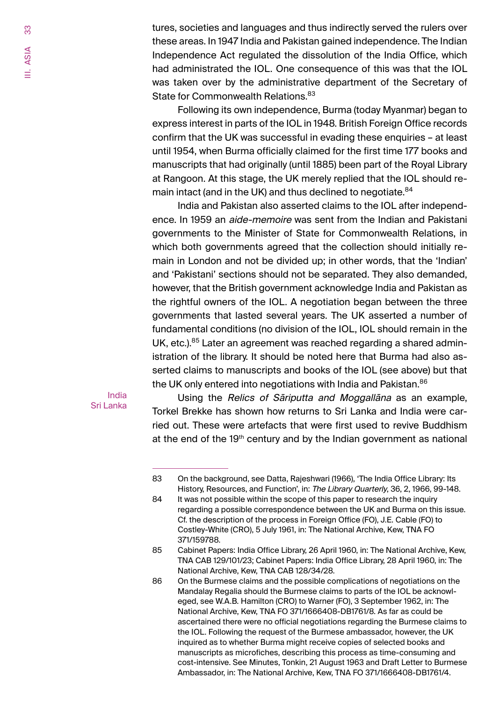tures, societies and languages and thus indirectly served the rulers over these areas. In 1947 India and Pakistan gained independence. The Indian Independence Act regulated the dissolution of the India Office, which had administrated the IOL. One consequence of this was that the IOL was taken over by the administrative department of the Secretary of State for Commonwealth Relations.<sup>83</sup>

Following its own independence, Burma (today Myanmar) began to express interest in parts of the IOL in 1948. British Foreign Office records confirm that the UK was successful in evading these enquiries - at least until 1954, when Burma officially claimed for the first time 177 books and manuscripts that had originally (until 1885) been part of the Royal Library at Rangoon. At this stage, the UK merely replied that the IOL should remain intact (and in the UK) and thus declined to negotiate.<sup>84</sup>

India and Pakistan also asserted claims to the IOL after independence. In 1959 an *aide-memoire* was sent from the Indian and Pakistani governments to the Minister of State for Commonwealth Relations, in which both governments agreed that the collection should initially remain in London and not be divided up; in other words, that the 'Indian' and 'Pakistani' sections should not be separated. They also demanded, however, that the British government acknowledge India and Pakistan as the rightful owners of the IOL. A negotiation began between the three governments that lasted several years. The UK asserted a number of fundamental conditions (no division of the IOL, IOL should remain in the UK, etc.).<sup>85</sup> Later an agreement was reached regarding a shared administration of the library. It should be noted here that Burma had also asserted claims to manuscripts and books of the IOL (see above) but that the UK only entered into negotiations with India and Pakistan.<sup>86</sup>

#### India Sri Lanka

Using the Relics of Sāriputta and Moggallāna as an example, Torkel Brekke has shown how returns to Sri Lanka and India were carried out. These were artefacts that were first used to revive Buddhism at the end of the  $19<sup>th</sup>$  century and by the Indian government as national

<sup>83</sup> On the background, see Datta, Rajeshwari (1966), 'The India Office Library: Its History, Resources, and Function', in: The Library Quarterly, 36, 2, 1966, 99-148.

<sup>84</sup> It was not possible within the scope of this paper to research the inquiry regarding a possible correspondence between the UK and Burma on this issue. Cf. the description of the process in Foreign Office (FO), J.E. Cable (FO) to Costley-White (CRO), 5 July 1961, in: The National Archive, Kew, TNA FO 371/159788.

<sup>85</sup> Cabinet Papers: India Office Library, 26 April 1960, in: The National Archive, Kew, TNA CAB 129/101/23; Cabinet Papers: India Office Library, 28 April 1960, in: The National Archive, Kew, TNA CAB 128/34/28.

<sup>86</sup> On the Burmese claims and the possible complications of negotiations on the Mandalay Regalia should the Burmese claims to parts of the IOL be acknowleged, see W.A.B. Hamilton (CRO) to Warner (FO), 3 September 1962, in: The National Archive, Kew, TNA FO 371/1666408-DB1761/8. As far as could be ascertained there were no official negotiations regarding the Burmese claims to the IOL. Following the request of the Burmese ambassador, however, the UK inquired as to whether Burma might receive copies of selected books and manuscripts as microfiches, describing this process as time-consuming and cost-intensive. See Minutes, Tonkin, 21 August 1963 and Draft Letter to Burmese Ambassador, in: The National Archive, Kew, TNA FO 371/1666408-DB1761/4.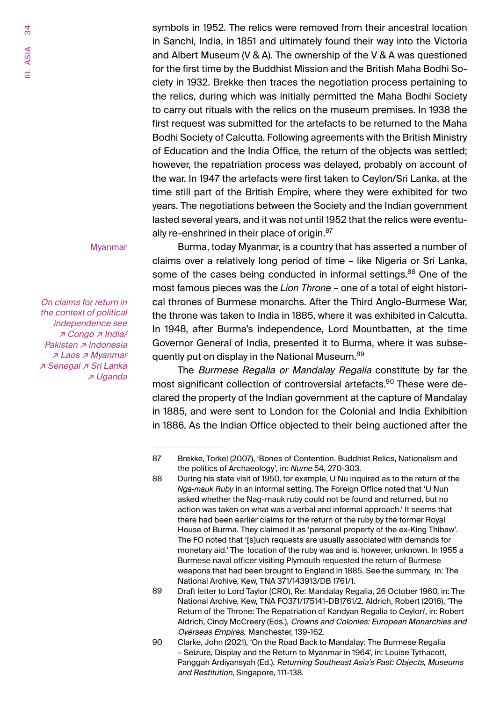symbols in 1952. The relics were removed from their ancestral location in Sanchi, India, in 1851 and ultimately found their way into the Victoria and Albert Museum (V & A). The ownership of the V & A was questioned for the first time by the Buddhist Mission and the British Maha Bodhi Society in 1932. Brekke then traces the negotiation process pertaining to the relics, during which was initially permitted the Maha Bodhi Society to carry out rituals with the relics on the museum premises. In 1938 the first request was submitted for the artefacts to be returned to the Maha Bodhi Society of Calcutta. Following agreements with the British Ministry of Education and the India Office, the return of the objects was settled; however, the repatriation process was delayed, probably on account of the war. In 1947 the artefacts were first taken to Ceylon/Sri Lanka, at the time still part of the British Empire, where they were exhibited for two years. The negotiations between the Society and the Indian government lasted several years, and it was not until 1952 that the relics were eventually re-enshrined in their place of origin. $87$ 

Myanmar

On claims for return in the context of political independence see ↗ Congo ↗ India/ Pakistan *⊼* Indonesia ↗ Laos ↗ Myanmar ↗ Senegal ↗ Sri Lanka ↗ Uganda

Burma, today Myanmar, is a country that has asserted a number of claims over a relatively long period of time – like Nigeria or Sri Lanka, some of the cases being conducted in informal settings.<sup>88</sup> One of the most famous pieces was the *Lion Throne* – one of a total of eight historical thrones of Burmese monarchs. After the Third Anglo-Burmese War, the throne was taken to India in 1885, where it was exhibited in Calcutta. In 1948, after Burma's independence, Lord Mountbatten, at the time Governor General of India, presented it to Burma, where it was subsequently put on display in the National Museum.<sup>89</sup>

The Burmese Regalia or Mandalay Regalia constitute by far the most significant collection of controversial artefacts.<sup>90</sup> These were declared the property of the Indian government at the capture of Mandalay in 1885, and were sent to London for the Colonial and India Exhibition in 1886. As the Indian Office objected to their being auctioned after the

<sup>87</sup> Brekke, Torkel (2007), 'Bones of Contention. Buddhist Relics, Nationalism and the politics of Archaeology', in: Nume 54, 270-303.

<sup>88</sup> During his state visit of 1950, for example, U Nu inquired as to the return of the *Nga-mauk Ruby* in an informal setting. The Foreign Office noted that 'U Nun asked whether the Nag-mauk ruby could not be found and returned, but no action was taken on what was a verbal and informal approach.' It seems that there had been earlier claims for the return of the ruby by the former Royal House of Burma. They claimed it as 'personal property of the ex-King Thibaw'. The FO noted that '[s]uch requests are usually associated with demands for monetary aid.' The location of the ruby was and is, however, unknown. In 1955 a Burmese naval officer visiting Plymouth requested the return of Burmese weapons that had been brought to England in 1885. See the summary, in: The National Archive, Kew, TNA 371/143913/DB 1761/1.

<sup>89</sup> Draft letter to Lord Taylor (CRO), Re: Mandalay Regalia, 26 October 1960, in: The National Archive, Kew, TNA FO371/175141-DB1761/2. Aldrich, Robert (2016), 'The Return of the Throne: The Repatriation of Kandyan Regalia to Ceylon', in: Robert Aldrich, Cindy McCreery (Eds.), Crowns and Colonies: European Monarchies and Overseas Empires*,* Manchester, 139-162.

<sup>90</sup> Clarke, John (2021), 'On the Road Back to Mandalay: The Burmese Regalia – Seizure, Display and the Return to Myanmar in 1964', in: Louise Tythacott, Panggah Ardiyansyah (Ed.), Returning Southeast Asia's Past: Objects, Museums and Restitution, Singapore, 111-138.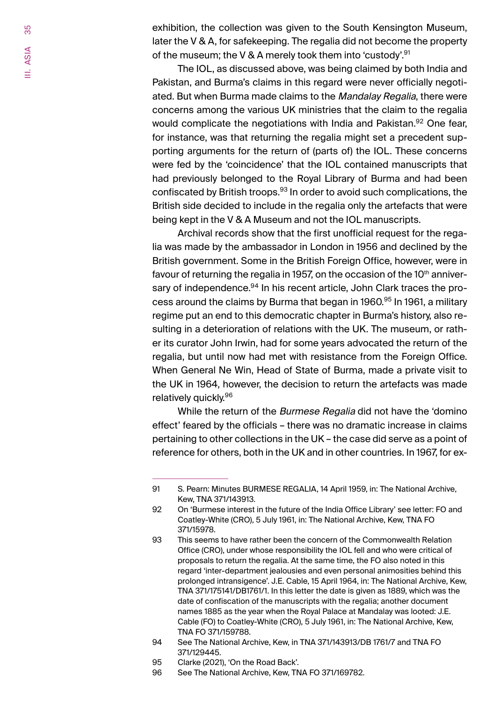exhibition, the collection was given to the South Kensington Museum, later the V & A, for safekeeping. The regalia did not become the property of the museum; the V & A merely took them into 'custody'.<sup>91</sup>

The IOL, as discussed above, was being claimed by both India and Pakistan, and Burma's claims in this regard were never officially negotiated. But when Burma made claims to the *Mandalay Regalia*, there were concerns among the various UK ministries that the claim to the regalia would complicate the negotiations with India and Pakistan.<sup>92</sup> One fear, for instance, was that returning the regalia might set a precedent supporting arguments for the return of (parts of) the IOL. These concerns were fed by the 'coincidence' that the IOL contained manuscripts that had previously belonged to the Royal Library of Burma and had been confiscated by British troops.<sup>93</sup> In order to avoid such complications, the British side decided to include in the regalia only the artefacts that were being kept in the V & A Museum and not the IOL manuscripts.

Archival records show that the first unofficial request for the regalia was made by the ambassador in London in 1956 and declined by the British government. Some in the British Foreign Office, however, were in favour of returning the regalia in 1957, on the occasion of the  $10<sup>th</sup>$  anniversary of independence.<sup>94</sup> In his recent article, John Clark traces the process around the claims by Burma that began in 1960.<sup>95</sup> In 1961, a military regime put an end to this democratic chapter in Burma's history, also resulting in a deterioration of relations with the UK. The museum, or rather its curator John Irwin, had for some years advocated the return of the regalia, but until now had met with resistance from the Foreign Office. When General Ne Win, Head of State of Burma, made a private visit to the UK in 1964, however, the decision to return the artefacts was made relatively quickly.96

While the return of the Burmese Regalia did not have the 'domino' effect' feared by the officials – there was no dramatic increase in claims pertaining to other collections in the UK – the case did serve as a point of reference for others, both in the UK and in other countries. In 1967, for ex-

- 94 See The National Archive, Kew, in TNA 371/143913/DB 1761/7 and TNA FO 371/129445.
- 95 Clarke (2021), 'On the Road Back'.<br>96 See The National Archive. Kew. TN
- See The National Archive, Kew, TNA FO 371/169782.

<sup>91</sup> S. Pearn: Minutes BURMESE REGALIA, 14 April 1959, in: The National Archive, Kew, TNA 371/143913.

<sup>92</sup> On 'Burmese interest in the future of the India Office Library' see letter: FO and Coatley-White (CRO), 5 July 1961, in: The National Archive, Kew, TNA FO 371/15978.

<sup>93</sup> This seems to have rather been the concern of the Commonwealth Relation Office (CRO), under whose responsibility the IOL fell and who were critical of proposals to return the regalia. At the same time, the FO also noted in this regard 'inter-department jealousies and even personal animosities behind this prolonged intransigence'. J.E. Cable, 15 April 1964, in: The National Archive, Kew, TNA 371/175141/DB1761/1. In this letter the date is given as 1889, which was the date of confiscation of the manuscripts with the regalia; another document names 1885 as the year when the Royal Palace at Mandalay was looted: J.E. Cable (FO) to Coatley-White (CRO), 5 July 1961, in: The National Archive, Kew, TNA FO 371/159788.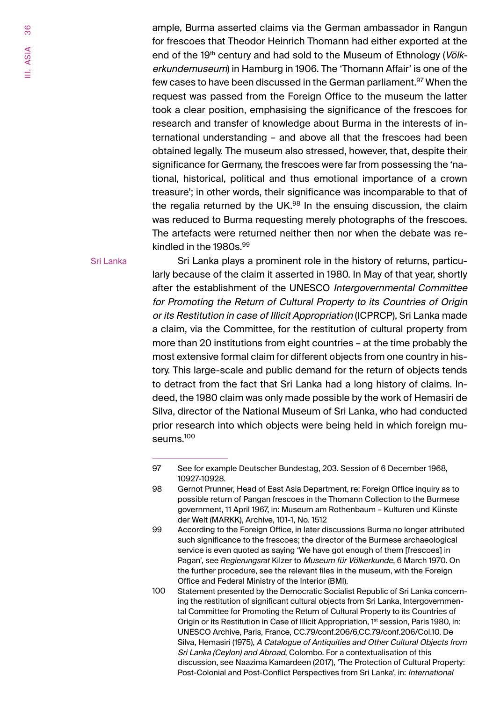ample, Burma asserted claims via the German ambassador in Rangun for frescoes that Theodor Heinrich Thomann had either exported at the end of the 19<sup>th</sup> century and had sold to the Museum of Ethnology (Völkerkundemuseum) in Hamburg in 1906. The 'Thomann Affair' is one of the few cases to have been discussed in the German parliament.<sup>97</sup> When the request was passed from the Foreign Office to the museum the latter took a clear position, emphasising the significance of the frescoes for research and transfer of knowledge about Burma in the interests of international understanding – and above all that the frescoes had been obtained legally. The museum also stressed, however, that, despite their significance for Germany, the frescoes were far from possessing the 'national, historical, political and thus emotional importance of a crown treasure'; in other words, their significance was incomparable to that of the regalia returned by the UK. $98$  In the ensuing discussion, the claim was reduced to Burma requesting merely photographs of the frescoes. The artefacts were returned neither then nor when the debate was rekindled in the 1980s.<sup>99</sup>

Sri Lanka

Sri Lanka plays a prominent role in the history of returns, particularly because of the claim it asserted in 1980. In May of that year, shortly after the establishment of the UNESCO Intergovernmental Committee for Promoting the Return of Cultural Property to its Countries of Origin or its Restitution in case of Illicit Appropriation (ICPRCP), Sri Lanka made a claim, via the Committee, for the restitution of cultural property from more than 20 institutions from eight countries – at the time probably the most extensive formal claim for different objects from one country in history. This large-scale and public demand for the return of objects tends to detract from the fact that Sri Lanka had a long history of claims. Indeed, the 1980 claim was only made possible by the work of Hemasiri de Silva, director of the National Museum of Sri Lanka, who had conducted prior research into which objects were being held in which foreign museums.<sup>100</sup>

<sup>97</sup> See for example Deutscher Bundestag, 203. Session of 6 December 1968, 10927-10928.

<sup>98</sup> Gernot Prunner, Head of East Asia Department, re: Foreign Office inquiry as to possible return of Pangan frescoes in the Thomann Collection to the Burmese government, 11 April 1967, in: Museum am Rothenbaum – Kulturen und Künste der Welt (MARKK), Archive, 101-1, No. 1512

<sup>99</sup> According to the Foreign Office, in later discussions Burma no longer attributed such significance to the frescoes; the director of the Burmese archaeological service is even quoted as saying 'We have got enough of them [frescoes] in Pagan', see *Regierungsrat* Kilzer to Museum für Völkerkunde, 6 March 1970. On the further procedure, see the relevant files in the museum, with the Foreign Office and Federal Ministry of the Interior (BMI).

<sup>100</sup> Statement presented by the Democratic Socialist Republic of Sri Lanka concerning the restitution of significant cultural objects from Sri Lanka, Intergovernmental Committee for Promoting the Return of Cultural Property to its Countries of Origin or its Restitution in Case of Illicit Appropriation, 1<sup>st</sup> session, Paris 1980, in: UNESCO Archive, Paris, France, CC.79/conf.206/6,CC.79/conf.206/Col.10. De Silva, Hemasiri (1975), <sup>A</sup> Catalogue of Antiquities and Other Cultural Objects from Sri Lanka (Ceylon) and Abroad, Colombo. For a contextualisation of this discussion, see Naazima Kamardeen (2017), 'The Protection of Cultural Property: Post-Colonial and Post-Conflict Perspectives from Sri Lanka', in: International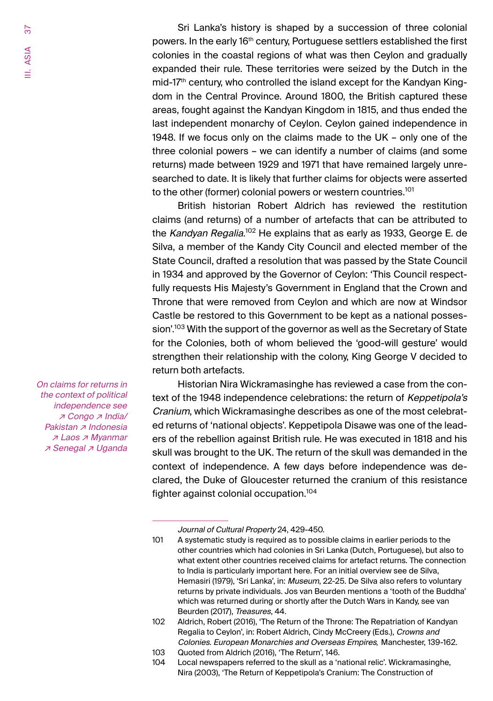Sri Lanka's history is shaped by a succession of three colonial powers. In the early 16th century, Portuguese settlers established the first colonies in the coastal regions of what was then Ceylon and gradually expanded their rule. These territories were seized by the Dutch in the mid-17<sup>th</sup> century, who controlled the island except for the Kandyan Kingdom in the Central Province. Around 1800, the British captured these areas, fought against the Kandyan Kingdom in 1815, and thus ended the last independent monarchy of Ceylon. Ceylon gained independence in 1948. If we focus only on the claims made to the UK – only one of the three colonial powers – we can identify a number of claims (and some returns) made between 1929 and 1971 that have remained largely unresearched to date. It is likely that further claims for objects were asserted to the other (former) colonial powers or western countries.<sup>101</sup>

British historian Robert Aldrich has reviewed the restitution claims (and returns) of a number of artefacts that can be attributed to the *Kandyan Regalia*.'<sup>02</sup> He explains that as early as 1933, George E. de Silva, a member of the Kandy City Council and elected member of the State Council, drafted a resolution that was passed by the State Council in 1934 and approved by the Governor of Ceylon: 'This Council respectfully requests His Majesty's Government in England that the Crown and Throne that were removed from Ceylon and which are now at Windsor Castle be restored to this Government to be kept as a national possession'.<sup>103</sup> With the support of the governor as well as the Secretary of State for the Colonies, both of whom believed the 'good-will gesture' would strengthen their relationship with the colony, King George V decided to return both artefacts.

Historian Nira Wickramasinghe has reviewed a case from the context of the 1948 independence celebrations: the return of Keppetipola's Cranium, which Wickramasinghe describes as one of the most celebrated returns of 'national objects'. Keppetipola Disawe was one of the leaders of the rebellion against British rule. He was executed in 1818 and his skull was brought to the UK. The return of the skull was demanded in the context of independence. A few days before independence was declared, the Duke of Gloucester returned the cranium of this resistance fighter against colonial occupation.<sup>104</sup>

On claims for returns in the context of political independence see ↗ Congo ↗ India/ Pakistan *⊼* Indonesia ↗ Laos ↗ Myanmar ↗ Senegal ↗ Uganda

Journal of Cultural Property 24, 429-450.

<sup>101</sup> A systematic study is required as to possible claims in earlier periods to the other countries which had colonies in Sri Lanka (Dutch, Portuguese), but also to what extent other countries received claims for artefact returns. The connection to India is particularly important here. For an initial overview see de Silva, Hemasiri (1979), 'Sri Lanka', in: Museum, 22-25. De Silva also refers to voluntary returns by private individuals. Jos van Beurden mentions a 'tooth of the Buddha' which was returned during or shortly after the Dutch Wars in Kandy, see van Beurden (2017), Treasures, 44.

<sup>102</sup> Aldrich, Robert (2016), 'The Return of the Throne: The Repatriation of Kandyan Regalia to Ceylon', in: Robert Aldrich, Cindy McCreery (Eds.), Crowns and Colonies. European Monarchies and Overseas Empires*,* Manchester, 139-162.

<sup>103</sup> Quoted from Aldrich (2016), 'The Return', 146.<br>104 Local newspapers referred to the skull as a 'n

Local newspapers referred to the skull as a 'national relic'. Wickramasinghe, Nira (2003), 'The Return of Keppetipola's Cranium: The Construction of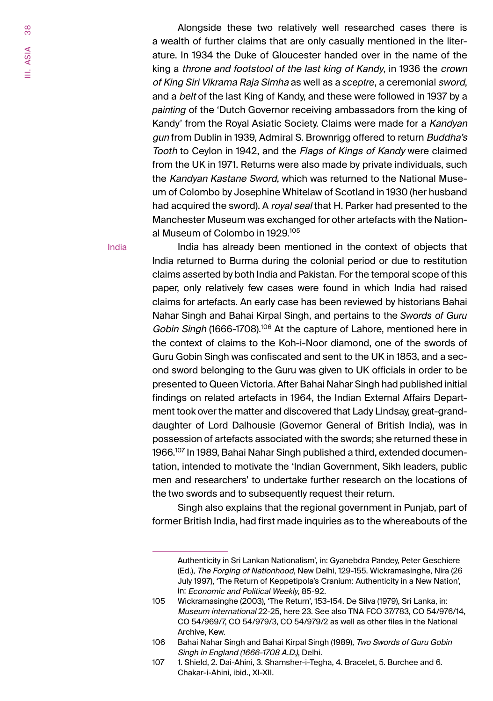Alongside these two relatively well researched cases there is a wealth of further claims that are only casually mentioned in the literature. In 1934 the Duke of Gloucester handed over in the name of the king a throne and footstool of the last king of Kandy, in 1936 the crown of King Siri Vikrama Raja Simha as well as a *sceptre*, a ceremonial sword, and a *belt* of the last King of Kandy, and these were followed in 1937 by a *painting* of the 'Dutch Governor receiving ambassadors from the king of Kandy' from the Royal Asiatic Society. Claims were made for a Kandyan gun from Dublin in 1939, Admiral S. Brownrigg offered to return Buddha's Tooth to Ceylon in 1942, and the Flags of Kings of Kandy were claimed from the UK in 1971. Returns were also made by private individuals, such the Kandyan Kastane Sword, which was returned to the National Museum of Colombo by Josephine Whitelaw of Scotland in 1930 (her husband had acquired the sword). A royal seal that H. Parker had presented to the Manchester Museum was exchanged for other artefacts with the National Museum of Colombo in 1929.105

India

India has already been mentioned in the context of objects that India returned to Burma during the colonial period or due to restitution claims asserted by both India and Pakistan. For the temporal scope of this paper, only relatively few cases were found in which India had raised claims for artefacts. An early case has been reviewed by historians Bahai Nahar Singh and Bahai Kirpal Singh, and pertains to the *Swords of Guru*  Gobin Singh (1666-1708).<sup>106</sup> At the capture of Lahore, mentioned here in the context of claims to the Koh-i-Noor diamond, one of the swords of Guru Gobin Singh was confiscated and sent to the UK in 1853, and a second sword belonging to the Guru was given to UK officials in order to be presented to Queen Victoria. After Bahai Nahar Singh had published initial findings on related artefacts in 1964, the Indian External Affairs Department took over the matter and discovered that Lady Lindsay, great-granddaughter of Lord Dalhousie (Governor General of British India), was in possession of artefacts associated with the swords; she returned these in 1966.107 In 1989, Bahai Nahar Singh published a third, extended documentation, intended to motivate the 'Indian Government, Sikh leaders, public men and researchers' to undertake further research on the locations of the two swords and to subsequently request their return.

Singh also explains that the regional government in Punjab, part of former British India, had first made inquiries as to the whereabouts of the

Authenticity in Sri Lankan Nationalism', in: Gyanebdra Pandey, Peter Geschiere (Ed.), The Forging of Nationhood, New Delhi, 129-155. Wickramasinghe, Nira (26 July 1997), 'The Return of Keppetipola's Cranium: Authenticity in a New Nation', in: Economic and Political Weekly, 85-92.

<sup>105</sup> Wickramasinghe (2003), 'The Return', 153-154. De Silva (1979), Sri Lanka, in: Museum international 22-25, here 23. See also TNA FCO 37/783, CO 54/976/14, CO 54/969/7, CO 54/979/3, CO 54/979/2 as well as other files in the National Archive, Kew.

<sup>106</sup> Bahai Nahar Singh and Bahai Kirpal Singh (1989), Two Swords of Guru Gobin Singh in England (1666-1708 A.D.), Delhi.

<sup>107</sup> 1. Shield, 2. Dai-Ahini, 3. Shamsher-i-Tegha, 4. Bracelet, 5. Burchee and 6. Chakar-i-Ahini, ibid., XI-XII.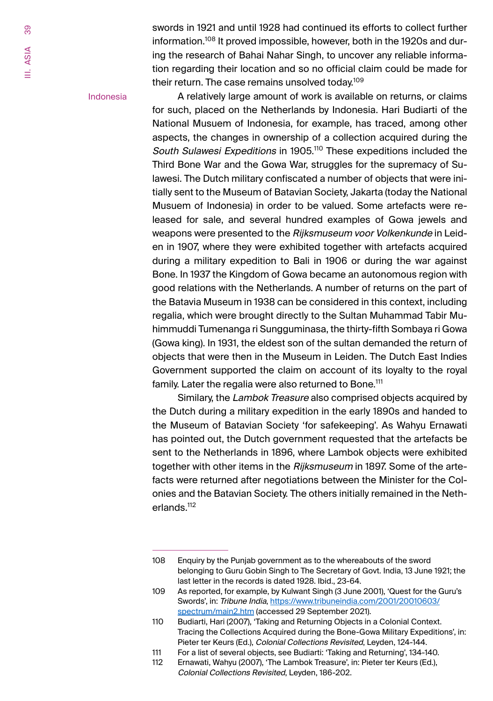swords in 1921 and until 1928 had continued its efforts to collect further information.108 It proved impossible, however, both in the 1920s and during the research of Bahai Nahar Singh, to uncover any reliable information regarding their location and so no official claim could be made for their return. The case remains unsolved today.<sup>109</sup>

Indonesia

A relatively large amount of work is available on returns, or claims for such, placed on the Netherlands by Indonesia. Hari Budiarti of the National Musuem of Indonesia, for example, has traced, among other aspects, the changes in ownership of a collection acquired during the South Sulawesi Expeditions in 1905.<sup>110</sup> These expeditions included the Third Bone War and the Gowa War, struggles for the supremacy of Sulawesi. The Dutch military confiscated a number of objects that were initially sent to the Museum of Batavian Society, Jakarta (today the National Musuem of Indonesia) in order to be valued. Some artefacts were released for sale, and several hundred examples of Gowa jewels and weapons were presented to the Rijksmuseum voor Volkenkunde in Leiden in 1907, where they were exhibited together with artefacts acquired during a military expedition to Bali in 1906 or during the war against Bone. In 1937 the Kingdom of Gowa became an autonomous region with good relations with the Netherlands. A number of returns on the part of the Batavia Museum in 1938 can be considered in this context, including regalia, which were brought directly to the Sultan Muhammad Tabir Muhimmuddi Tumenanga ri Sungguminasa, the thirty-fifth Sombaya ri Gowa (Gowa king). In 1931, the eldest son of the sultan demanded the return of objects that were then in the Museum in Leiden. The Dutch East Indies Government supported the claim on account of its loyalty to the royal family. Later the regalia were also returned to Bone.<sup>111</sup>

Similary, the Lambok Treasure also comprised objects acquired by the Dutch during a military expedition in the early 1890s and handed to the Museum of Batavian Society 'for safekeeping'. As Wahyu Ernawati has pointed out, the Dutch government requested that the artefacts be sent to the Netherlands in 1896, where Lambok objects were exhibited together with other items in the Rijksmuseum in 1897. Some of the artefacts were returned after negotiations between the Minister for the Colonies and the Batavian Society. The others initially remained in the Netherlands.112

<sup>108</sup> Enquiry by the Punjab government as to the whereabouts of the sword belonging to Guru Gobin Singh to The Secretary of Govt. India, 13 June 1921; the last letter in the records is dated 1928. Ibid., 23-64.

<sup>109</sup> As reported, for example, by Kulwant Singh (3 June 2001), 'Quest for the Guru's Swords', in: Tribune India, https://www.tribuneindia.com/2001/20010603/ spectrum/main2.htm (accessed 29 September 2021).

<sup>110</sup> Budiarti, Hari (2007), 'Taking and Returning Objects in a Colonial Context. Tracing the Collections Acquired during the Bone-Gowa Military Expeditions', in: Pieter ter Keurs (Ed.), Colonial Collections Revisited, Leyden, 124-144.

<sup>111</sup> For a list of several objects, see Budiarti: 'Taking and Returning', 134-140. Ernawati, Wahyu (2007), 'The Lambok Treasure', in: Pieter ter Keurs (Ed.), Colonial Collections Revisited, Leyden, 186-202.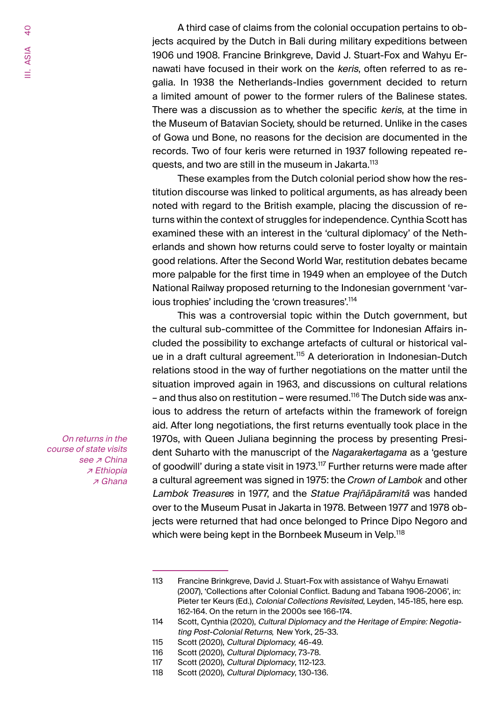A third case of claims from the colonial occupation pertains to objects acquired by the Dutch in Bali during military expeditions between 1906 und 1908. Francine Brinkgreve, David J. Stuart-Fox and Wahyu Ernawati have focused in their work on the keris, often referred to as regalia. In 1938 the Netherlands-Indies government decided to return a limited amount of power to the former rulers of the Balinese states. There was a discussion as to whether the specific keris, at the time in the Museum of Batavian Society, should be returned. Unlike in the cases of Gowa und Bone, no reasons for the decision are documented in the records. Two of four keris were returned in 1937 following repeated requests, and two are still in the museum in Jakarta.<sup>113</sup>

These examples from the Dutch colonial period show how the restitution discourse was linked to political arguments, as has already been noted with regard to the British example, placing the discussion of returns within the context of struggles for independence. Cynthia Scott has examined these with an interest in the 'cultural diplomacy' of the Netherlands and shown how returns could serve to foster loyalty or maintain good relations. After the Second World War, restitution debates became more palpable for the first time in 1949 when an employee of the Dutch National Railway proposed returning to the Indonesian government 'various trophies' including the 'crown treasures'.<sup>114</sup>

This was a controversial topic within the Dutch government, but the cultural sub-committee of the Committee for Indonesian Affairs included the possibility to exchange artefacts of cultural or historical value in a draft cultural agreement.<sup>115</sup> A deterioration in Indonesian-Dutch relations stood in the way of further negotiations on the matter until the situation improved again in 1963, and discussions on cultural relations – and thus also on restitution – were resumed.<sup>116</sup> The Dutch side was anxious to address the return of artefacts within the framework of foreign aid. After long negotiations, the first returns eventually took place in the 1970s, with Queen Juliana beginning the process by presenting President Suharto with the manuscript of the *Nagarakertagama* as a 'gesture of goodwill' during a state visit in 1973.<sup>117</sup> Further returns were made after a cultural agreement was signed in 1975: the *Crown of Lambok* and other Lambok Treasure*s* in 1977, and the Statue Prajñāpāramitā was handed over to the Museum Pusat in Jakarta in 1978. Between 1977 and 1978 objects were returned that had once belonged to Prince Dipo Negoro and which were being kept in the Bornbeek Museum in Velp.<sup>118</sup>

113 Francine Brinkgreve, David J. Stuart-Fox with assistance of Wahyu Ernawati (2007), 'Collections after Colonial Conflict. Badung and Tabana 1906-2006', in: Pieter ter Keurs (Ed.), Colonial Collections Revisited, Leyden, 145-185, here esp. 162-164. On the return in the 2000s see 166-174.

Scott (2020), Cultural Diplomacy, 130-136.

On returns in the course of state visits see *⊼* China ↗ Ethiopia ↗ Ghana

<sup>114</sup> Scott, Cynthia (2020), Cultural Diplomacy and the Heritage of Empire: Negotiating Post-Colonial Returns*,* New York, 25-33.

<sup>115</sup> Scott (2020), Cultural Diplomacy*,* 46-49.

<sup>116</sup> Scott (2020), Cultural Diplomacy, 73-78.

<sup>117</sup> Scott (2020), *Cultural Diplomacy*, 112-123.<br>118 Scott (2020), *Cultural Diplomacy,* 130-136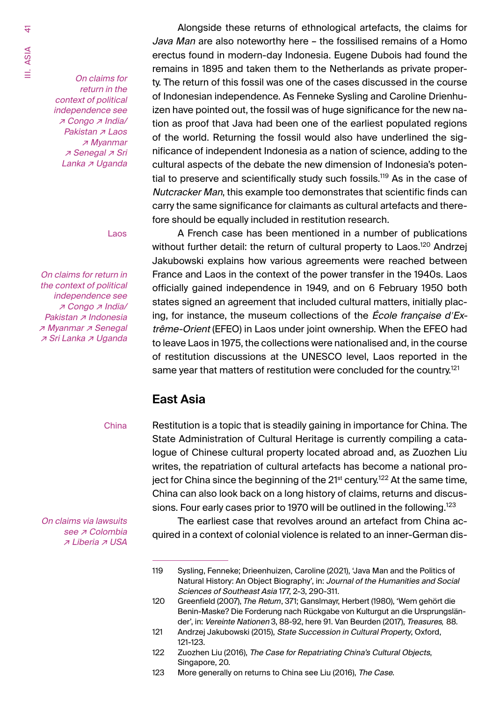<span id="page-40-0"></span>On claims for return in the context of political independence see ↗ Congo ↗ India/ Pakistan *⊼* Laos ↗ Myanmar ↗ Senegal ↗ Sri Lanka ↗ Uganda

Laos

On claims for return in the context of political independence see ↗ Congo ↗ India/ Pakistan *⊼* Indonesia ↗ Myanmar ↗ Senegal ↗ Sri Lanka ↗ Uganda

Alongside these returns of ethnological artefacts, the claims for Java Man are also noteworthy here – the fossilised remains of a Homo erectus found in modern-day Indonesia. Eugene Dubois had found the remains in 1895 and taken them to the Netherlands as private property. The return of this fossil was one of the cases discussed in the course of Indonesian independence. As Fenneke Sysling and Caroline Drienhuizen have pointed out, the fossil was of huge significance for the new nation as proof that Java had been one of the earliest populated regions of the world. Returning the fossil would also have underlined the significance of independent Indonesia as a nation of science, adding to the cultural aspects of the debate the new dimension of Indonesia's potential to preserve and scientifically study such fossils.<sup>119</sup> As in the case of Nutcracker Man, this example too demonstrates that scientific finds can carry the same significance for claimants as cultural artefacts and therefore should be equally included in restitution research.

A French case has been mentioned in a number of publications without further detail: the return of cultural property to Laos.<sup>120</sup> Andrzei Jakubowski explains how various agreements were reached between France and Laos in the context of the power transfer in the 1940s. Laos officially gained independence in 1949, and on 6 February 1950 both states signed an agreement that included cultural matters, initially placing, for instance, the museum collections of the *École francaise d'Ex*trême-Orient (EFEO) in Laos under joint ownership. When the EFEO had to leave Laos in 1975, the collections were nationalised and, in the course of restitution discussions at the UNESCO level, Laos reported in the same year that matters of restitution were concluded for the country.<sup>121</sup>

## **East Asia**

China

On claims via lawsuits see *⊼* Colombia ↗ Liberia ↗ USA

Restitution is a topic that is steadily gaining in importance for China. The State Administration of Cultural Heritage is currently compiling a catalogue of Chinese cultural property located abroad and, as Zuozhen Liu writes, the repatriation of cultural artefacts has become a national project for China since the beginning of the  $21^{st}$  century.<sup>122</sup> At the same time, China can also look back on a long history of claims, returns and discussions. Four early cases prior to 1970 will be outlined in the following.<sup>123</sup>

The earliest case that revolves around an artefact from China acquired in a context of colonial violence is related to an inner-German dis-

<sup>119</sup> Sysling, Fenneke; Drieenhuizen, Caroline (2021), 'Java Man and the Politics of Natural History: An Object Biography', in: Journal of the Humanities and Social Sciences of Southeast Asia 177, 2-3, 290-311.

<sup>120</sup> Greenfield (2007), *The Return*, 371; Ganslmayr, Herbert (1980), 'Wem gehört die Benin-Maske? Die Forderung nach Rückgabe von Kulturgut an die Ursprungsländer', in: Vereinte Nationen 3, 88-92, here 91. Van Beurden (2017), Treasures*,* 88.

<sup>121</sup> Andrzej Jakubowski (2015), State Succession in Cultural Property, Oxford, 121-123.

<sup>122</sup> Zuozhen Liu (2016), The Case for Repatriating China's Cultural Objects, Singapore, 20.

<sup>123</sup> More generally on returns to China see Liu (2016), The Case.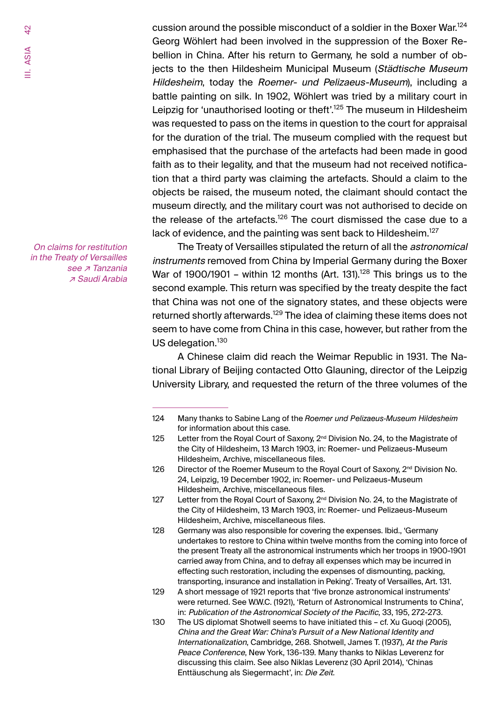cussion around the possible misconduct of a soldier in the Boxer War.<sup>124</sup> Georg Wöhlert had been involved in the suppression of the Boxer Rebellion in China. After his return to Germany, he sold a number of objects to the then Hildesheim Municipal Museum (Städtische Museum Hildesheim, today the Roemer- und Pelizaeus-Museum), including a battle painting on silk. In 1902, Wöhlert was tried by a military court in Leipzig for 'unauthorised looting or theft'.<sup>125</sup> The museum in Hildesheim was requested to pass on the items in question to the court for appraisal for the duration of the trial. The museum complied with the request but emphasised that the purchase of the artefacts had been made in good faith as to their legality, and that the museum had not received notification that a third party was claiming the artefacts. Should a claim to the objects be raised, the museum noted, the claimant should contact the museum directly, and the military court was not authorised to decide on the release of the artefacts.<sup>126</sup> The court dismissed the case due to a lack of evidence, and the painting was sent back to Hildesheim.<sup>127</sup>

The Treaty of Versailles stipulated the return of all the *astronomical* instruments removed from China by Imperial Germany during the Boxer War of 1900/1901 – within 12 months (Art. 131).<sup>128</sup> This brings us to the second example. This return was specified by the treaty despite the fact that China was not one of the signatory states, and these objects were returned shortly afterwards.<sup>129</sup> The idea of claiming these items does not seem to have come from China in this case, however, but rather from the US delegation.<sup>130</sup>

A Chinese claim did reach the Weimar Republic in 1931. The National Library of Beijing contacted Otto Glauning, director of the Leipzig University Library, and requested the return of the three volumes of the

On claims for restitution in the Treaty of Versailles see *⊼* Tanzania ↗ Saudi Arabia

<sup>124</sup> Many thanks to Sabine Lang of the *Roemer und Pelizaeus-Museum Hildesheim* for information about this case.

<sup>125</sup> Letter from the Royal Court of Saxony, 2<sup>nd</sup> Division No. 24, to the Magistrate of the City of Hildesheim, 13 March 1903, in: Roemer- und Pelizaeus-Museum Hildesheim, Archive, miscellaneous files.

<sup>126</sup> Director of the Roemer Museum to the Royal Court of Saxony,  $2^{nd}$  Division No. 24, Leipzig, 19 December 1902, in: Roemer- und Pelizaeus-Museum Hildesheim, Archive, miscellaneous files.

<sup>127</sup> Letter from the Royal Court of Saxony, 2<sup>nd</sup> Division No. 24, to the Magistrate of the City of Hildesheim, 13 March 1903, in: Roemer- und Pelizaeus-Museum Hildesheim, Archive, miscellaneous files.

<sup>128</sup> Germany was also responsible for covering the expenses. Ibid., 'Germany undertakes to restore to China within twelve months from the coming into force of the present Treaty all the astronomical instruments which her troops in 1900-1901 carried away from China, and to defray all expenses which may be incurred in effecting such restoration, including the expenses of dismounting, packing, transporting, insurance and installation in Peking'. Treaty of Versailles, Art. 131.

<sup>129</sup> A short message of 1921 reports that 'five bronze astronomical instruments' were returned. See W.W.C. (1921), 'Return of Astronomical Instruments to China', in: Publication of the Astronomical Society of the Pacific, 33, 195, 272-273.

<sup>130</sup> The US diplomat Shotwell seems to have initiated this – cf. Xu Guoqi (2005), China and the Great War: China's Pursuit of <sup>a</sup> New National Identity and Internationalization, Cambridge, 268. Shotwell, James T. (1937), At the Paris Peace Conference, New York, 136-139. Many thanks to Niklas Leverenz for discussing this claim. See also Niklas Leverenz (30 April 2014), 'Chinas Enttäuschung als Siegermacht', in: Die Zeit.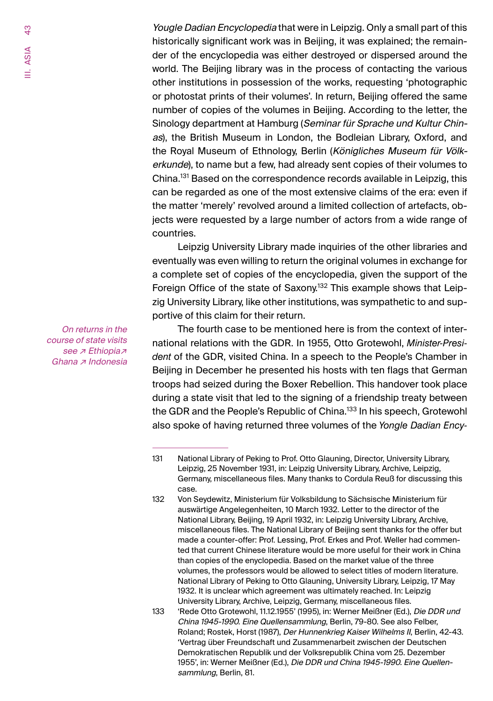Yougle Dadian Encyclopedia that were in Leipzig. Only a small part of this historically significant work was in Beijing, it was explained; the remainder of the encyclopedia was either destroyed or dispersed around the world. The Beijing library was in the process of contacting the various other institutions in possession of the works, requesting 'photographic or photostat prints of their volumes'. In return, Beijing offered the same number of copies of the volumes in Beijing. According to the letter, the Sinology department at Hamburg (Seminar für Sprache und Kultur Chinas), the British Museum in London, the Bodleian Library, Oxford, and the Royal Museum of Ethnology, Berlin (Königliches Museum für Völkerkunde), to name but a few, had already sent copies of their volumes to China.131 Based on the correspondence records available in Leipzig, this can be regarded as one of the most extensive claims of the era: even if the matter 'merely' revolved around a limited collection of artefacts, objects were requested by a large number of actors from a wide range of countries.

Leipzig University Library made inquiries of the other libraries and eventually was even willing to return the original volumes in exchange for a complete set of copies of the encyclopedia, given the support of the Foreign Office of the state of Saxony.<sup>132</sup> This example shows that Leipzig University Library, like other institutions, was sympathetic to and supportive of this claim for their return.

The fourth case to be mentioned here is from the context of international relations with the GDR. In 1955, Otto Grotewohl, *Minister-President* of the GDR, visited China. In a speech to the People's Chamber in Beijing in December he presented his hosts with ten flags that German troops had seized during the Boxer Rebellion. This handover took place during a state visit that led to the signing of a friendship treaty between the GDR and the People's Republic of China.<sup>133</sup> In his speech, Grotewohl also spoke of having returned three volumes of the *Yongle Dadian Ency-*

On returns in the course of state visits see ⊿ Ethiopia z Ghana <sub><sup>*⊼*</sup> Indonesia</sub>

<sup>131</sup> National Library of Peking to Prof. Otto Glauning, Director, University Library, Leipzig, 25 November 1931, in: Leipzig University Library, Archive, Leipzig, Germany, miscellaneous files. Many thanks to Cordula Reuß for discussing this case.

<sup>132</sup> Von Seydewitz, Ministerium für Volksbildung to Sächsische Ministerium für auswärtige Angelegenheiten, 10 March 1932. Letter to the director of the National Library, Beijing, 19 April 1932, in: Leipzig University Library, Archive, miscellaneous files. The National Library of Beijing sent thanks for the offer but made a counter-offer: Prof. Lessing, Prof. Erkes and Prof. Weller had commented that current Chinese literature would be more useful for their work in China than copies of the enyclopedia. Based on the market value of the three volumes, the professors would be allowed to select titles of modern literature. National Library of Peking to Otto Glauning, University Library, Leipzig, 17 May 1932. It is unclear which agreement was ultimately reached. In: Leipzig University Library, Archive, Leipzig, Germany, miscellaneous files.

<sup>133</sup> 'Rede Otto Grotewohl, 11.12.1955' (1995), in: Werner Meißner (Ed.), Die DDR und China 1945-1990. Eine Quellensammlung, Berlin, 79-80. See also Felber, Roland; Rostek, Horst (1987), Der Hunnenkrieg Kaiser Wilhelms II, Berlin, 42-43. 'Vertrag über Freundschaft und Zusammenarbeit zwischen der Deutschen Demokratischen Republik und der Volksrepublik China vom 25. Dezember 1955', in: Werner Meißner (Ed.), Die DDR und China 1945-1990. Eine Quellensammlung, Berlin, 81.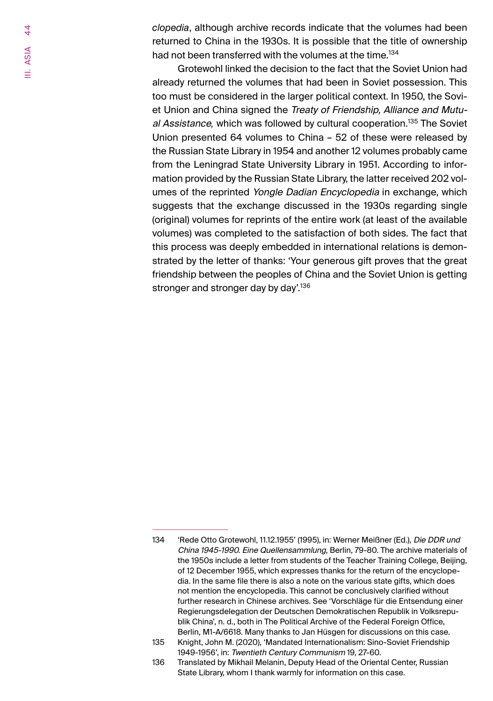*clopedia*, although archive records indicate that the volumes had been returned to China in the 1930s. It is possible that the title of ownership had not been transferred with the volumes at the time.<sup>134</sup>

Grotewohl linked the decision to the fact that the Soviet Union had already returned the volumes that had been in Soviet possession. This too must be considered in the larger political context. In 1950, the Soviet Union and China signed the Treaty of Friendship, Alliance and Mutual Assistance*,* which was followed by cultural cooperation.135 The Soviet Union presented 64 volumes to China – 52 of these were released by the Russian State Library in 1954 and another 12 volumes probably came from the Leningrad State University Library in 1951. According to information provided by the Russian State Library, the latter received 202 volumes of the reprinted Yongle Dadian Encyclopedia in exchange, which suggests that the exchange discussed in the 1930s regarding single (original) volumes for reprints of the entire work (at least of the available volumes) was completed to the satisfaction of both sides. The fact that this process was deeply embedded in international relations is demonstrated by the letter of thanks: 'Your generous gift proves that the great friendship between the peoples of China and the Soviet Union is getting stronger and stronger day by day'.<sup>136</sup>

<sup>134</sup> 'Rede Otto Grotewohl, 11.12.1955' (1995), in: Werner Meißner (Ed.), Die DDR und China 1945-1990. Eine Quellensammlung, Berlin, 79-80. The archive materials of the 1950s include a letter from students of the Teacher Training College, Beijing, of 12 December 1955, which expresses thanks for the return of the encyclopedia. In the same file there is also a note on the various state gifts, which does not mention the encyclopedia. This cannot be conclusively clarified without further research in Chinese archives. See 'Vorschläge für die Entsendung einer Regierungsdelegation der Deutschen Demokratischen Republik in Volksrepublik China', n. d., both in The Political Archive of the Federal Foreign Office, Berlin, M1-A/6618. Many thanks to Jan Hüsgen for discussions on this case.

<sup>135</sup> Knight, John M. (2020), 'Mandated Internationalism: Sino-Soviet Friendship 1949-1956', in: Twentieth Century Communism 19, 27-60.

<sup>136</sup> Translated by Mikhail Melanin, Deputy Head of the Oriental Center, Russian State Library, whom I thank warmly for information on this case.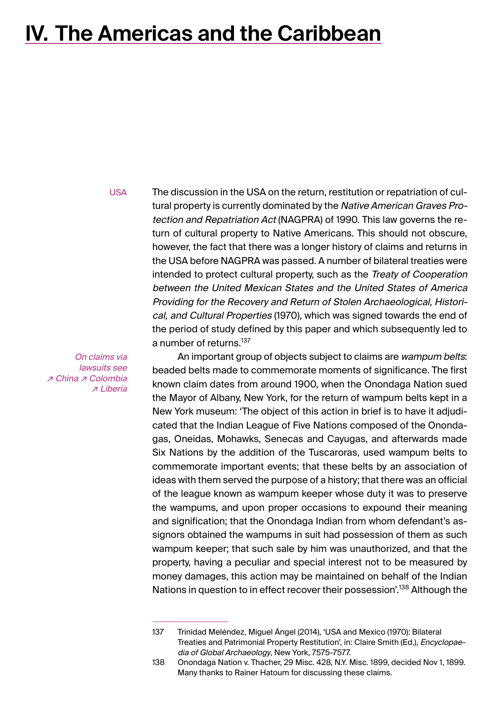## <span id="page-44-0"></span>**IV. The Americas and the Caribbean**

USA

The discussion in the USA on the return, restitution or repatriation of cultural property is currently dominated by the Native American Graves Protection and Repatriation Act (NAGPRA) of 1990. This law governs the return of cultural property to Native Americans. This should not obscure, however, the fact that there was a longer history of claims and returns in the USA before NAGPRA was passed. A number of bilateral treaties were intended to protect cultural property, such as the Treaty of Cooperation between the United Mexican States and the United States of America Providing for the Recovery and Return of Stolen Archaeological, Historical, and Cultural Properties (1970), which was signed towards the end of the period of study defined by this paper and which subsequently led to a number of returns.<sup>137</sup>

On claims via lawsuits see ↗ China ↗ Colombia ↗ Liberia

An important group of objects subject to claims are wampum belts: beaded belts made to commemorate moments of significance. The first known claim dates from around 1900, when the Onondaga Nation sued the Mayor of Albany, New York, for the return of wampum belts kept in a New York museum: 'The object of this action in brief is to have it adjudicated that the Indian League of Five Nations composed of the Onondagas, Oneidas, Mohawks, Senecas and Cayugas, and afterwards made Six Nations by the addition of the Tuscaroras, used wampum belts to commemorate important events; that these belts by an association of ideas with them served the purpose of a history; that there was an official of the league known as wampum keeper whose duty it was to preserve the wampums, and upon proper occasions to expound their meaning and signification; that the Onondaga Indian from whom defendant's assignors obtained the wampums in suit had possession of them as such wampum keeper; that such sale by him was unauthorized, and that the property, having a peculiar and special interest not to be measured by money damages, this action may be maintained on behalf of the Indian Nations in question to in effect recover their possession'.<sup>138</sup> Although the

<sup>137</sup> Trinidad Meléndez, Miguel Ángel (2014), 'USA and Mexico (1970): Bilateral Treaties and Patrimonial Property Restitution', in: Claire Smith (Ed.), Encyclopaedia of Global Archaeology, New York, 7575-7577.

<sup>138</sup> Onondaga Nation v. Thacher, 29 Misc. 428, N.Y. Misc. 1899, decided Nov 1, 1899. Many thanks to Rainer Hatoum for discussing these claims.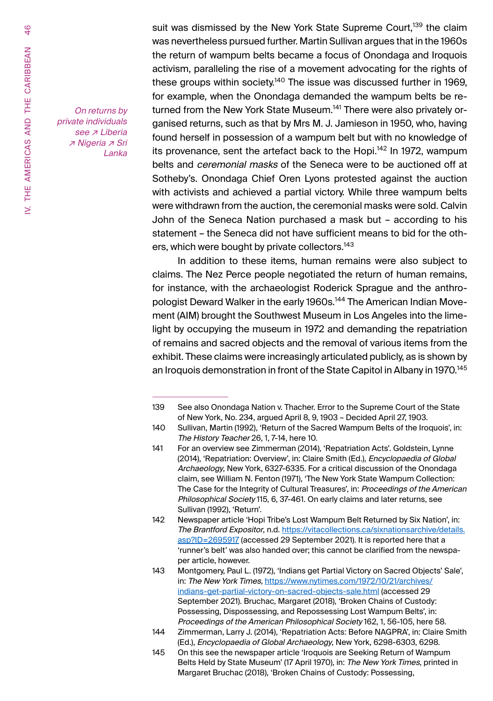On returns by private individuals see *⊼* Liberia ↗ Nigeria ↗ Sri Lanka suit was dismissed by the New York State Supreme Court.<sup>139</sup> the claim was nevertheless pursued further. Martin Sullivan argues that in the 1960s the return of wampum belts became a focus of Onondaga and Iroquois activism, paralleling the rise of a movement advocating for the rights of these groups within society.<sup>140</sup> The issue was discussed further in 1969, for example, when the Onondaga demanded the wampum belts be returned from the New York State Museum.<sup>141</sup> There were also privately organised returns, such as that by Mrs M. J. Jamieson in 1950, who, having found herself in possession of a wampum belt but with no knowledge of its provenance, sent the artefact back to the Hopi.<sup>142</sup> In 1972, wampum belts and *ceremonial masks* of the Seneca were to be auctioned off at Sotheby's. Onondaga Chief Oren Lyons protested against the auction with activists and achieved a partial victory. While three wampum belts were withdrawn from the auction, the ceremonial masks were sold. Calvin John of the Seneca Nation purchased a mask but – according to his statement – the Seneca did not have sufficient means to bid for the others, which were bought by private collectors.<sup>143</sup>

In addition to these items, human remains were also subject to claims. The Nez Perce people negotiated the return of human remains, for instance, with the archaeologist Roderick Sprague and the anthropologist Deward Walker in the early 1960s.<sup>144</sup> The American Indian Movement (AIM) brought the Southwest Museum in Los Angeles into the limelight by occupying the museum in 1972 and demanding the repatriation of remains and sacred objects and the removal of various items from the exhibit. These claims were increasingly articulated publicly, as is shown by an Iroquois demonstration in front of the State Capitol in Albany in 1970.<sup>145</sup>

<sup>139</sup> See also Onondaga Nation v. Thacher. Error to the Supreme Court of the State of New York, No. 234, argued April 8, 9, 1903 – Decided April 27, 1903.

<sup>140</sup> Sullivan, Martin (1992), 'Return of the Sacred Wampum Belts of the Iroquois', in: The History Teacher 26, 1, 7-14, here 10.

<sup>141</sup> For an overview see Zimmerman (2014), 'Repatriation Acts'. Goldstein, Lynne (2014), 'Repatriation: Overview', in: Claire Smith (Ed.), Encyclopaedia of Global Archaeology, New York, 6327-6335. For a critical discussion of the Onondaga claim, see William N. Fenton (1971), 'The New York State Wampum Collection: The Case for the Integrity of Cultural Treasures', in: Proceedings of the American Philosophical Society 115, 6, 37-461. On early claims and later returns, see Sullivan (1992), 'Return'.

<sup>142</sup> Newspaper article 'Hopi Tribe's Lost Wampum Belt Returned by Six Nation', in: The Brantford Expositor, n.d. https://vitacollections.ca/sixnationsarchive/details. asp?ID=2695917 (accessed 29 September 2021). It is reported here that a 'runner's belt' was also handed over; this cannot be clarified from the newspaper article, however.

<sup>143</sup> Montgomery, Paul L. (1972), 'Indians get Partial Victory on Sacred Objects' Sale', in: The New York Times, https://www.nytimes.com/1972/10/21/archives/ indians-get-partial-victory-on-sacred-objects-sale.html (accessed 29 September 2021). Bruchac, Margaret (2018), 'Broken Chains of Custody: Possessing, Dispossessing, and Repossessing Lost Wampum Belts', in: Proceedings of the American Philosophical Society 162, 1, 56-105, here 58.

<sup>144</sup> Zimmerman, Larry J. (2014), 'Repatriation Acts: Before NAGPRA', in: Claire Smith (Ed.), Encyclopaedia of Global Archaeology, New York, 6298-6303, 6298.

<sup>145</sup> On this see the newspaper article 'Iroquois are Seeking Return of Wampum Belts Held by State Museum' (17 April 1970), in: The New York Times, printed in Margaret Bruchac (2018), 'Broken Chains of Custody: Possessing,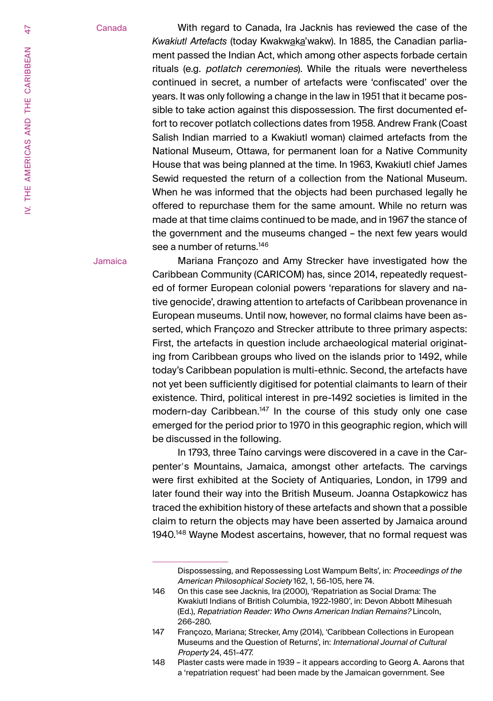#### Canada

With regard to Canada, Ira Jacknis has reviewed the case of the *Kwakiutl Artefacts* (today Kwakwaka'wakw). In 1885, the Canadian parliament passed the Indian Act, which among other aspects forbade certain rituals (e.g. potlatch ceremonies). While the rituals were nevertheless continued in secret, a number of artefacts were 'confiscated' over the years. It was only following a change in the law in 1951 that it became possible to take action against this dispossession. The first documented effort to recover potlatch collections dates from 1958. Andrew Frank (Coast Salish Indian married to a Kwakiutl woman) claimed artefacts from the National Museum, Ottawa, for permanent loan for a Native Community House that was being planned at the time. In 1963, Kwakiutl chief James Sewid requested the return of a collection from the National Museum. When he was informed that the objects had been purchased legally he offered to repurchase them for the same amount. While no return was made at that time claims continued to be made, and in 1967 the stance of the government and the museums changed – the next few years would see a number of returns.<sup>146</sup>

Jamaica

Mariana Françozo and Amy Strecker have investigated how the Caribbean Community (CARICOM) has, since 2014, repeatedly requested of former European colonial powers 'reparations for slavery and native genocide', drawing attention to artefacts of Caribbean provenance in European museums. Until now, however, no formal claims have been asserted, which Françozo and Strecker attribute to three primary aspects: First, the artefacts in question include archaeological material originating from Caribbean groups who lived on the islands prior to 1492, while today's Caribbean population is multi-ethnic. Second, the artefacts have not yet been sufficiently digitised for potential claimants to learn of their existence. Third, political interest in pre-1492 societies is limited in the modern-day Caribbean.<sup>147</sup> In the course of this study only one case emerged for the period prior to 1970 in this geographic region, which will be discussed in the following.

In 1793, three Taíno carvings were discovered in a cave in the Carpenter's Mountains, Jamaica, amongst other artefacts. The carvings were first exhibited at the Society of Antiquaries, London, in 1799 and later found their way into the British Museum. Joanna Ostapkowicz has traced the exhibition history of these artefacts and shown that a possible claim to return the objects may have been asserted by Jamaica around 1940.<sup>148</sup> Wayne Modest ascertains, however, that no formal request was

Dispossessing, and Repossessing Lost Wampum Belts', in: Proceedings of the American Philosophical Society 162, 1, 56-105, here 74.

<sup>146</sup> On this case see Jacknis, Ira (2000), 'Repatriation as Social Drama: The Kwakiutl Indians of British Columbia, 1922-1980', in: Devon Abbott Mihesuah (Ed.), Repatriation Reader: Who Owns American Indian Remains? Lincoln, 266-280.

<sup>147</sup> Françozo, Mariana; Strecker, Amy (2014), 'Caribbean Collections in European Museums and the Question of Returns', in: International Journal of Cultural Property 24, 451-477.

<sup>148</sup> Plaster casts were made in 1939 – it appears according to Georg A. Aarons that a 'repatriation request' had been made by the Jamaican government. See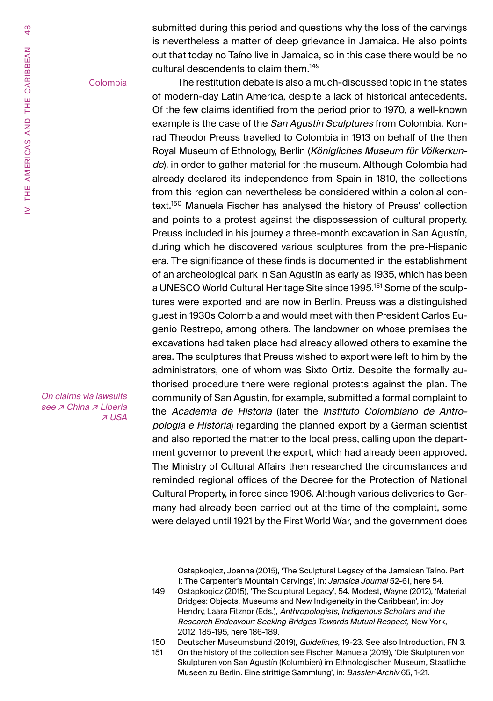submitted during this period and questions why the loss of the carvings is nevertheless a matter of deep grievance in Jamaica. He also points out that today no Taíno live in Jamaica, so in this case there would be no cultural descendents to claim them.149

#### Colombia

The restitution debate is also a much-discussed topic in the states of modern-day Latin America, despite a lack of historical antecedents. Of the few claims identified from the period prior to 1970, a well-known example is the case of the San Agustin Sculptures from Colombia. Konrad Theodor Preuss travelled to Colombia in 1913 on behalf of the then Royal Museum of Ethnology, Berlin (Königliches Museum für Völkerkunde), in order to gather material for the museum. Although Colombia had already declared its independence from Spain in 1810, the collections from this region can nevertheless be considered within a colonial context.150 Manuela Fischer has analysed the history of Preuss' collection and points to a protest against the dispossession of cultural property. Preuss included in his journey a three-month excavation in San Agustín, during which he discovered various sculptures from the pre-Hispanic era. The significance of these finds is documented in the establishment of an archeological park in San Agustín as early as 1935, which has been a UNESCO World Cultural Heritage Site since 1995.<sup>151</sup> Some of the sculptures were exported and are now in Berlin. Preuss was a distinguished guest in 1930s Colombia and would meet with then President Carlos Eugenio Restrepo, among others. The landowner on whose premises the excavations had taken place had already allowed others to examine the area. The sculptures that Preuss wished to export were left to him by the administrators, one of whom was Sixto Ortiz. Despite the formally authorised procedure there were regional protests against the plan. The community of San Agustín, for example, submitted a formal complaint to the Academia de Historia (later the Instituto Colombiano de Antropología e História) regarding the planned export by a German scientist and also reported the matter to the local press, calling upon the department governor to prevent the export, which had already been approved. The Ministry of Cultural Affairs then researched the circumstances and reminded regional offices of the Decree for the Protection of National Cultural Property, in force since 1906. Although various deliveries to Germany had already been carried out at the time of the complaint, some were delayed until 1921 by the First World War, and the government does

On claims via lawsuits see *⊼* China *⊼* Liberia ↗ USA

Ostapkoqicz, Joanna (2015), 'The Sculptural Legacy of the Jamaican Taíno. Part 1: The Carpenter's Mountain Carvings', in: Jamaica Journal 52-61, here 54.

<sup>149</sup> Ostapkoqicz (2015), 'The Sculptural Legacy', 54. Modest, Wayne (2012), 'Material Bridges: Objects, Museums and New Indigeneity in the Caribbean', in: Joy Hendry, Laara Fitznor (Eds.), Anthropologists, Indigenous Scholars and the Research Endeavour: Seeking Bridges Towards Mutual Respect*,* New York, 2012, 185-195, here 186-189.

<sup>150</sup> Deutscher Museumsbund (2019), Guidelines, 19-23. See also Introduction, FN 3.

<sup>151</sup> On the history of the collection see Fischer, Manuela (2019), 'Die Skulpturen von Skulpturen von San Agustín (Kolumbien) im Ethnologischen Museum, Staatliche Museen zu Berlin. Eine strittige Sammlung', in: Bassler-Archiv 65, 1-21.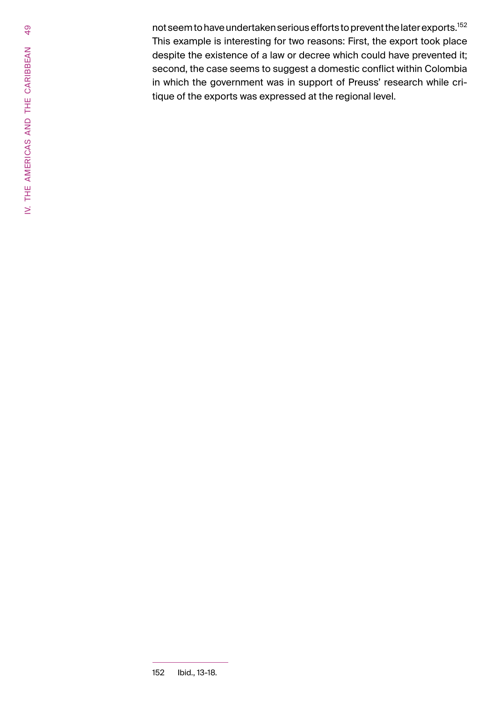not seem to have undertaken serious efforts to prevent the later exports.<sup>152</sup> This example is interesting for two reasons: First, the export took place despite the existence of a law or decree which could have prevented it; second, the case seems to suggest a domestic conflict within Colombia in which the government was in support of Preuss' research while critique of the exports was expressed at the regional level.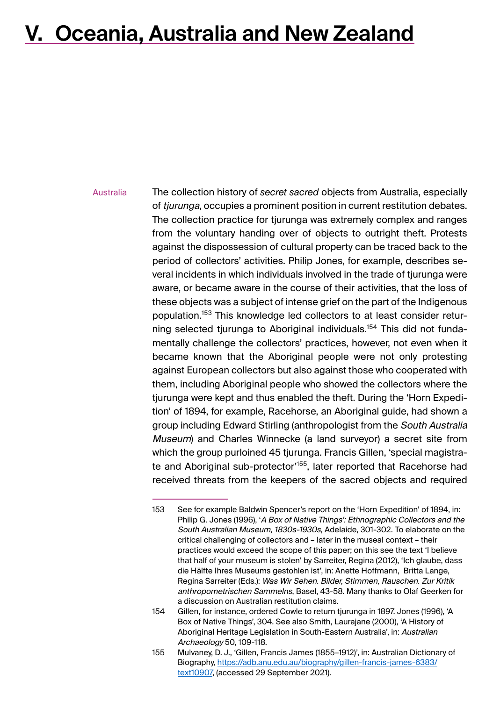## <span id="page-49-0"></span>**V. Oceania, Australia and New Zealand**

The collection history of *secret sacred* objects from Australia, especially of tjurunga, occupies a prominent position in current restitution debates. The collection practice for tjurunga was extremely complex and ranges from the voluntary handing over of objects to outright theft. Protests against the dispossession of cultural property can be traced back to the period of collectors' activities. Philip Jones, for example, describes several incidents in which individuals involved in the trade of tjurunga were aware, or became aware in the course of their activities, that the loss of these objects was a subject of intense grief on the part of the Indigenous population.153 This knowledge led collectors to at least consider returning selected tjurunga to Aboriginal individuals.<sup>154</sup> This did not fundamentally challenge the collectors' practices, however, not even when it became known that the Aboriginal people were not only protesting against European collectors but also against those who cooperated with them, including Aboriginal people who showed the collectors where the tjurunga were kept and thus enabled the theft. During the 'Horn Expedition' of 1894, for example, Racehorse, an Aboriginal guide, had shown a group including Edward Stirling (anthropologist from the South Australia Museum) and Charles Winnecke (a land surveyor) a secret site from which the group purloined 45 tjurunga. Francis Gillen, 'special magistrate and Aboriginal sub-protector<sup>155</sup>, later reported that Racehorse had received threats from the keepers of the sacred objects and required Australia

<sup>153</sup> See for example Baldwin Spencer's report on the 'Horn Expedition' of 1894, in: Philip G. Jones (1996), '<sup>A</sup> Box of Native Things': Ethnographic Collectors and the South Australian Museum, 1830s-1930s, Adelaide, 301-302. To elaborate on the critical challenging of collectors and – later in the museal context – their practices would exceed the scope of this paper; on this see the text 'I believe that half of your museum is stolen' by Sarreiter, Regina (2012), 'Ich glaube, dass die Hälfte Ihres Museums gestohlen ist', in: Anette Hoffmann, Britta Lange, Regina Sarreiter (Eds.): Was Wir Sehen. Bilder, Stimmen, Rauschen. Zur Kritik anthropometrischen Sammelns, Basel, 43-58. Many thanks to Olaf Geerken for a discussion on Australian restitution claims.

<sup>154</sup> Gillen, for instance, ordered Cowle to return tjurunga in 1897. Jones (1996), 'A Box of Native Things', 304. See also Smith, Laurajane (2000), 'A History of Aboriginal Heritage Legislation in South-Eastern Australia', in: Australian Archaeology 50, 109-118.

<sup>155</sup> Mulvaney, D. J., 'Gillen, Francis James (1855–1912)', in: Australian Dictionary of Biography, https://adb.anu.edu.au/biography/gillen-francis-james-6383/ text10907, (accessed 29 September 2021).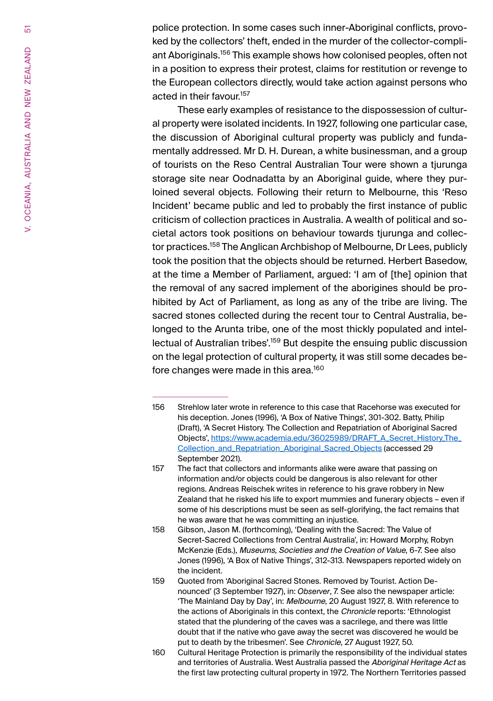police protection. In some cases such inner-Aboriginal conflicts, provoked by the collectors' theft, ended in the murder of the collector-compliant Aboriginals.<sup>156</sup> This example shows how colonised peoples, often not in a position to express their protest, claims for restitution or revenge to the European collectors directly, would take action against persons who acted in their favour.<sup>157</sup>

These early examples of resistance to the dispossession of cultural property were isolated incidents. In 1927, following one particular case, the discussion of Aboriginal cultural property was publicly and fundamentally addressed. Mr D. H. Durean, a white businessman, and a group of tourists on the Reso Central Australian Tour were shown a tjurunga storage site near Oodnadatta by an Aboriginal guide, where they purloined several objects. Following their return to Melbourne, this 'Reso Incident' became public and led to probably the first instance of public criticism of collection practices in Australia. A wealth of political and societal actors took positions on behaviour towards tjurunga and collector practices.<sup>158</sup> The Anglican Archbishop of Melbourne, Dr Lees, publicly took the position that the objects should be returned. Herbert Basedow, at the time a Member of Parliament, argued: 'I am of [the] opinion that the removal of any sacred implement of the aborigines should be prohibited by Act of Parliament, as long as any of the tribe are living. The sacred stones collected during the recent tour to Central Australia, belonged to the Arunta tribe, one of the most thickly populated and intellectual of Australian tribes'.<sup>159</sup> But despite the ensuing public discussion on the legal protection of cultural property, it was still some decades before changes were made in this area.<sup>160</sup>

<sup>156</sup> Strehlow later wrote in reference to this case that Racehorse was executed for his deception. Jones (1996), 'A Box of Native Things', 301-302. Batty, Philip (Draft), 'A Secret History. The Collection and Repatriation of Aboriginal Sacred Objects', https://www.academia.edu/36025989/DRAFT\_A\_Secret\_History\_The\_ Collection\_and\_Repatriation\_Aboriginal\_Sacred\_Objects (accessed 29 September 2021).

<sup>157</sup> The fact that collectors and informants alike were aware that passing on information and/or objects could be dangerous is also relevant for other regions. Andreas Reischek writes in reference to his grave robbery in New Zealand that he risked his life to export mummies and funerary objects – even if some of his descriptions must be seen as self-glorifying, the fact remains that he was aware that he was committing an injustice.

<sup>158</sup> Gibson, Jason M. (forthcoming), 'Dealing with the Sacred: The Value of Secret-Sacred Collections from Central Australia', in: Howard Morphy, Robyn McKenzie (Eds.), Museums, Societies and the Creation of Value, 6-7. See also Jones (1996), 'A Box of Native Things', 312-313. Newspapers reported widely on the incident.

<sup>159</sup> Quoted from 'Aboriginal Sacred Stones. Removed by Tourist. Action Denounced' (3 September 1927), in: *Observer*, 7. See also the newspaper article: 'The Mainland Day by Day', in: Melbourne, 20 August 1927, 8. With reference to the actions of Aboriginals in this context, the Chronicle reports: 'Ethnologist stated that the plundering of the caves was a sacrilege, and there was little doubt that if the native who gave away the secret was discovered he would be put to death by the tribesmen'. See Chronicle, 27 August 1927, 50.

<sup>160</sup> Cultural Heritage Protection is primarily the responsibility of the individual states and territories of Australia. West Australia passed the Aboriginal Heritage Act as the first law protecting cultural property in 1972. The Northern Territories passed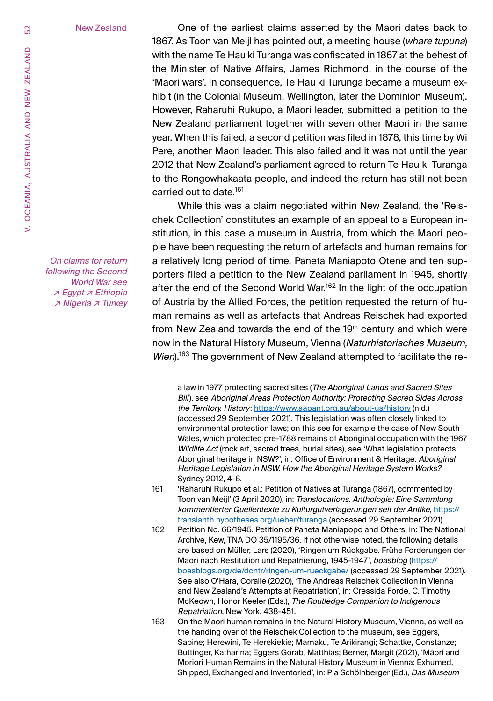New Zealand

One of the earliest claims asserted by the Maori dates back to 1867. As Toon van Meijl has pointed out, a meeting house (whare tupuna) with the name Te Hau ki Turanga was confiscated in 1867 at the behest of the Minister of Native Affairs, James Richmond, in the course of the 'Maori wars'. In consequence, Te Hau ki Turunga became a museum exhibit (in the Colonial Museum, Wellington, later the Dominion Museum). However, Raharuhi Rukupo, a Maori leader, submitted a petition to the New Zealand parliament together with seven other Maori in the same year. When this failed, a second petition was filed in 1878, this time by Wi Pere, another Maori leader. This also failed and it was not until the year 2012 that New Zealand's parliament agreed to return Te Hau ki Turanga to the Rongowhakaata people, and indeed the return has still not been carried out to date.<sup>161</sup>

While this was a claim negotiated within New Zealand, the 'Reischek Collection' constitutes an example of an appeal to a European institution, in this case a museum in Austria, from which the Maori people have been requesting the return of artefacts and human remains for a relatively long period of time. Paneta Maniapoto Otene and ten supporters filed a petition to the New Zealand parliament in 1945, shortly after the end of the Second World War.<sup>162</sup> In the light of the occupation of Austria by the Allied Forces, the petition requested the return of human remains as well as artefacts that Andreas Reischek had exported from New Zealand towards the end of the 19<sup>th</sup> century and which were now in the Natural History Museum, Vienna (Naturhistorisches Museum, Wien).<sup>163</sup> The government of New Zealand attempted to facilitate the re-

- 161 'Raharuhi Rukupo et al.: Petition of Natives at Turanga (1867), commented by Toon van Meijl' (3 April 2020), in: Translocations. Anthologie: Eine Sammlung kommentierter Quellentexte zu Kulturgutverlagerungen seit der Antike, https:// translanth.hypotheses.org/ueber/turanga (accessed 29 September 2021).
- 162 Petition No. 66/1945. Petition of Paneta Maniapopo and Others, in: The National Archive, Kew, TNA DO 35/1195/36. If not otherwise noted, the following details are based on Müller, Lars (2020), 'Ringen um Rückgabe. Frühe Forderungen der Maori nach Restitution und Repatriierung, 1945-1947', boasblog (https:// boasblogs.org/de/dcntr/ringen-um-rueckgabe/ (accessed 29 September 2021). See also O'Hara, Coralie (2020), 'The Andreas Reischek Collection in Vienna and New Zealand's Attempts at Repatriation', in: Cressida Forde, C. Timothy McKeown, Honor Keeler (Eds.), The Routledge Companion to Indigenous Repatriation, New York, 438-451.
- 163 On the Maori human remains in the Natural History Museum, Vienna, as well as the handing over of the Reischek Collection to the museum, see Eggers, Sabine; Herewini, Te Herekiekie; Mamaku, Te Arikirangi; Schattke, Constanze; Buttinger, Katharina; Eggers Gorab, Matthias; Berner, Margit (2021), 'Māori and Moriori Human Remains in the Natural History Museum in Vienna: Exhumed, Shipped, Exchanged and Inventoried', in: Pia Schölnberger (Ed.), Das Museum

On claims for return following the Second World War see ↗ Egypt ↗ Ethiopia ↗ Nigeria ↗ Turkey

a law in 1977 protecting sacred sites (The Aboriginal Lands and Sacred Sites Bill), see Aboriginal Areas Protection Authority: Protecting Sacred Sides Across the Territory. History: https://www.aapant.org.au/about-us/history (n.d.) (accessed 29 September 2021). This legislation was often closely linked to environmental protection laws; on this see for example the case of New South Wales, which protected pre-1788 remains of Aboriginal occupation with the 1967 Wildlife Act (rock art, sacred trees, burial sites), see 'What legislation protects Aboriginal heritage in NSW?', in: Office of Environment & Heritage: Aboriginal Heritage Legislation in NSW. How the Aboriginal Heritage System Works? Sydney 2012, 4-6.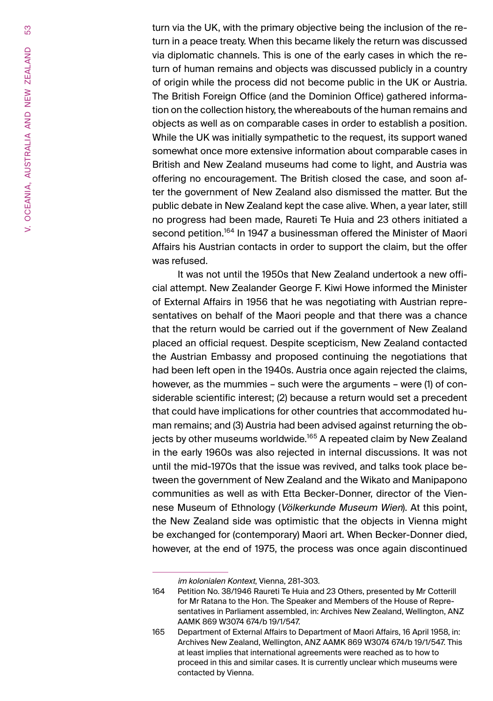turn via the UK, with the primary objective being the inclusion of the return in a peace treaty. When this became likely the return was discussed via diplomatic channels. This is one of the early cases in which the return of human remains and objects was discussed publicly in a country of origin while the process did not become public in the UK or Austria. The British Foreign Office (and the Dominion Office) gathered information on the collection history, the whereabouts of the human remains and objects as well as on comparable cases in order to establish a position. While the UK was initially sympathetic to the request, its support waned somewhat once more extensive information about comparable cases in British and New Zealand museums had come to light, and Austria was offering no encouragement. The British closed the case, and soon after the government of New Zealand also dismissed the matter. But the public debate in New Zealand kept the case alive. When, a year later, still no progress had been made, Raureti Te Huia and 23 others initiated a second petition.<sup>164</sup> In 1947 a businessman offered the Minister of Maori Affairs his Austrian contacts in order to support the claim, but the offer was refused.

It was not until the 1950s that New Zealand undertook a new official attempt. New Zealander George F. Kiwi Howe informed the Minister of External Affairs in 1956 that he was negotiating with Austrian representatives on behalf of the Maori people and that there was a chance that the return would be carried out if the government of New Zealand placed an official request. Despite scepticism, New Zealand contacted the Austrian Embassy and proposed continuing the negotiations that had been left open in the 1940s. Austria once again rejected the claims, however, as the mummies – such were the arguments – were (1) of considerable scientific interest; (2) because a return would set a precedent that could have implications for other countries that accommodated human remains; and (3) Austria had been advised against returning the objects by other museums worldwide.<sup>165</sup> A repeated claim by New Zealand in the early 1960s was also rejected in internal discussions. It was not until the mid-1970s that the issue was revived, and talks took place between the government of New Zealand and the Wikato and Manipapono communities as well as with Etta Becker-Donner, director of the Viennese Museum of Ethnology (Völkerkunde Museum Wien). At this point, the New Zealand side was optimistic that the objects in Vienna might be exchanged for (contemporary) Maori art. When Becker-Donner died, however, at the end of 1975, the process was once again discontinued

im kolonialen Kontext, Vienna, 281-303.

<sup>164</sup> Petition No. 38/1946 Raureti Te Huia and 23 Others, presented by Mr Cotterill for Mr Ratana to the Hon. The Speaker and Members of the House of Representatives in Parliament assembled, in: Archives New Zealand, Wellington, ANZ AAMK 869 W3074 674/b 19/1/547.

<sup>165</sup> Department of External Affairs to Department of Maori Affairs, 16 April 1958, in: Archives New Zealand, Wellington, ANZ AAMK 869 W3074 674/b 19/1/547. This at least implies that international agreements were reached as to how to proceed in this and similar cases. It is currently unclear which museums were contacted by Vienna.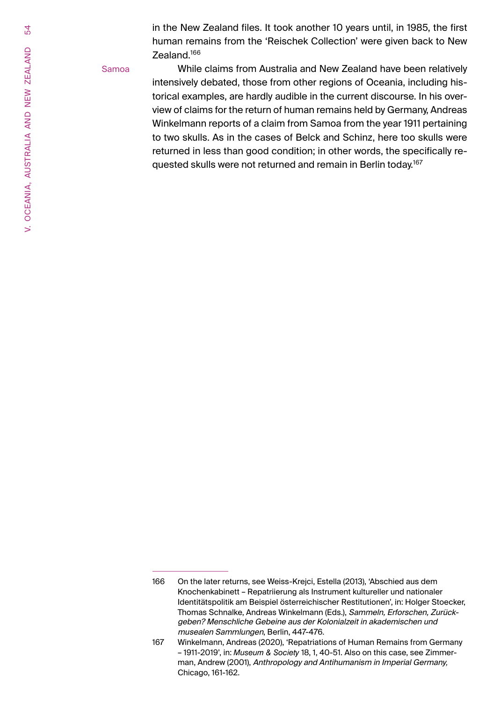in the New Zealand files. It took another 10 years until, in 1985, the first human remains from the 'Reischek Collection' were given back to New Zealand.166

#### Samoa

While claims from Australia and New Zealand have been relatively intensively debated, those from other regions of Oceania, including historical examples, are hardly audible in the current discourse. In his overview of claims for the return of human remains held by Germany, Andreas Winkelmann reports of a claim from Samoa from the year 1911 pertaining to two skulls. As in the cases of Belck and Schinz, here too skulls were returned in less than good condition; in other words, the specifically requested skulls were not returned and remain in Berlin today.<sup>167</sup>

54

<sup>166</sup> On the later returns, see Weiss-Krejci, Estella (2013), 'Abschied aus dem Knochenkabinett – Repatriierung als Instrument kultureller und nationaler Identitätspolitik am Beispiel österreichischer Restitutionen', in: Holger Stoecker, Thomas Schnalke, Andreas Winkelmann (Eds.), Sammeln, Erforschen, Zurückgeben? Menschliche Gebeine aus der Kolonialzeit in akademischen und musealen Sammlungen, Berlin, 447-476.

<sup>167</sup> Winkelmann, Andreas (2020), 'Repatriations of Human Remains from Germany – 1911-2019', in: *Museum & Society* 18, 1, 40-51. Also on this case, see Zimmerman, Andrew (2001), Anthropology and Antihumanism in Imperial Germany*,*  Chicago, 161-162.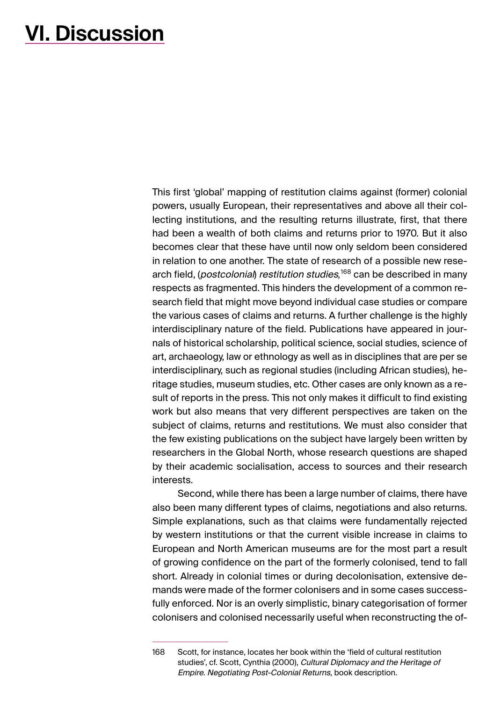## <span id="page-54-0"></span>**VI. Discussion**

This first 'global' mapping of restitution claims against (former) colonial powers, usually European, their representatives and above all their collecting institutions, and the resulting returns illustrate, first, that there had been a wealth of both claims and returns prior to 1970. But it also becomes clear that these have until now only seldom been considered in relation to one another. The state of research of a possible new research field, (postcolonial) restitution studies*,* 168 can be described in many respects as fragmented. This hinders the development of a common research field that might move beyond individual case studies or compare the various cases of claims and returns. A further challenge is the highly interdisciplinary nature of the field. Publications have appeared in journals of historical scholarship, political science, social studies, science of art, archaeology, law or ethnology as well as in disciplines that are per se interdisciplinary, such as regional studies (including African studies), heritage studies, museum studies, etc. Other cases are only known as a result of reports in the press. This not only makes it difficult to find existing work but also means that very different perspectives are taken on the subject of claims, returns and restitutions. We must also consider that the few existing publications on the subject have largely been written by researchers in the Global North, whose research questions are shaped by their academic socialisation, access to sources and their research interests.

Second, while there has been a large number of claims, there have also been many different types of claims, negotiations and also returns. Simple explanations, such as that claims were fundamentally rejected by western institutions or that the current visible increase in claims to European and North American museums are for the most part a result of growing confidence on the part of the formerly colonised, tend to fall short. Already in colonial times or during decolonisation, extensive demands were made of the former colonisers and in some cases successfully enforced. Nor is an overly simplistic, binary categorisation of former colonisers and colonised necessarily useful when reconstructing the of-

<sup>168</sup> Scott, for instance, locates her book within the 'field of cultural restitution studies', cf. Scott, Cynthia (2000), Cultural Diplomacy and the Heritage of Empire. Negotiating Post-Colonial Returns, book description.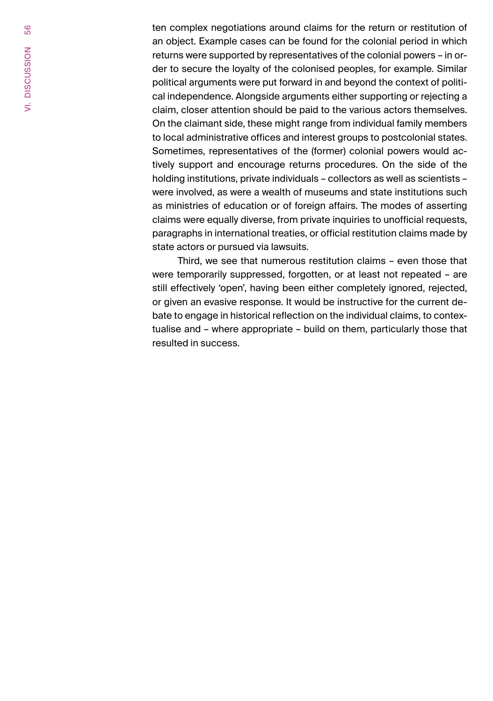ten complex negotiations around claims for the return or restitution of an object. Example cases can be found for the colonial period in which returns were supported by representatives of the colonial powers – in order to secure the loyalty of the colonised peoples, for example. Similar political arguments were put forward in and beyond the context of political independence. Alongside arguments either supporting or rejecting a claim, closer attention should be paid to the various actors themselves. On the claimant side, these might range from individual family members to local administrative offices and interest groups to postcolonial states. Sometimes, representatives of the (former) colonial powers would actively support and encourage returns procedures. On the side of the holding institutions, private individuals – collectors as well as scientists – were involved, as were a wealth of museums and state institutions such as ministries of education or of foreign affairs. The modes of asserting claims were equally diverse, from private inquiries to unofficial requests, paragraphs in international treaties, or official restitution claims made by state actors or pursued via lawsuits.

Third, we see that numerous restitution claims – even those that were temporarily suppressed, forgotten, or at least not repeated – are still effectively 'open', having been either completely ignored, rejected, or given an evasive response. It would be instructive for the current debate to engage in historical reflection on the individual claims, to contextualise and – where appropriate – build on them, particularly those that resulted in success.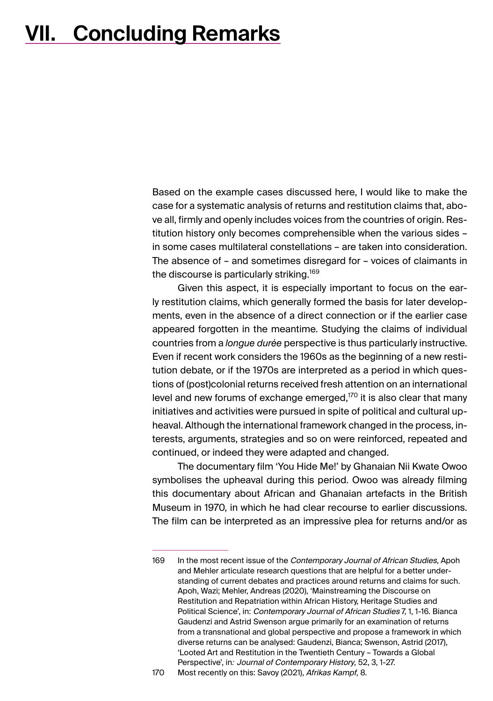# <span id="page-56-0"></span>**VII. Concluding Remarks**

Based on the example cases discussed here, I would like to make the case for a systematic analysis of returns and restitution claims that, above all, firmly and openly includes voices from the countries of origin. Restitution history only becomes comprehensible when the various sides – in some cases multilateral constellations – are taken into consideration. The absence of – and sometimes disregard for – voices of claimants in the discourse is particularly striking.<sup>169</sup>

Given this aspect, it is especially important to focus on the early restitution claims, which generally formed the basis for later developments, even in the absence of a direct connection or if the earlier case appeared forgotten in the meantime. Studying the claims of individual countries from a *longue durée* perspective is thus particularly instructive. Even if recent work considers the 1960s as the beginning of a new restitution debate, or if the 1970s are interpreted as a period in which questions of (post)colonial returns received fresh attention on an international level and new forums of exchange emerged, $170$  it is also clear that many initiatives and activities were pursued in spite of political and cultural upheaval. Although the international framework changed in the process, interests, arguments, strategies and so on were reinforced, repeated and continued, or indeed they were adapted and changed.

The documentary film 'You Hide Me!' by Ghanaian Nii Kwate Owoo symbolises the upheaval during this period. Owoo was already filming this documentary about African and Ghanaian artefacts in the British Museum in 1970, in which he had clear recourse to earlier discussions. The film can be interpreted as an impressive plea for returns and/or as

<sup>169</sup> In the most recent issue of the Contemporary Journal of African Studies, Apoh and Mehler articulate research questions that are helpful for a better understanding of current debates and practices around returns and claims for such. Apoh, Wazi; Mehler, Andreas (2020), 'Mainstreaming the Discourse on Restitution and Repatriation within African History, Heritage Studies and Political Science', in: Contemporary Journal of African Studies 7, 1, 1-16. Bianca Gaudenzi and Astrid Swenson argue primarily for an examination of returns from a transnational and global perspective and propose a framework in which diverse returns can be analysed: Gaudenzi, Bianca; Swenson, Astrid (2017), 'Looted Art and Restitution in the Twentieth Century – Towards a Global Perspective', in*:* Journal of Contemporary History, 52, 3, 1-27.

<sup>170</sup> Most recently on this: Savoy (2021), Afrikas Kampf, 8.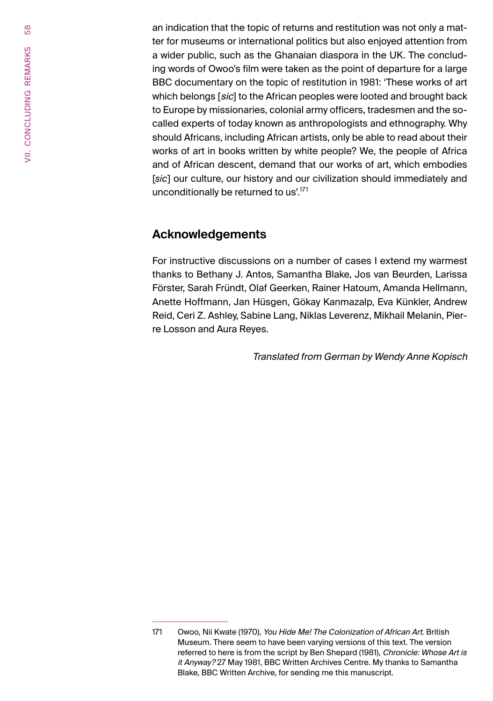an indication that the topic of returns and restitution was not only a matter for museums or international politics but also enjoyed attention from a wider public, such as the Ghanaian diaspora in the UK. The concluding words of Owoo's film were taken as the point of departure for a large BBC documentary on the topic of restitution in 1981: 'These works of art which belongs [sic] to the African peoples were looted and brought back to Europe by missionaries, colonial army officers, tradesmen and the socalled experts of today known as anthropologists and ethnography. Why should Africans, including African artists, only be able to read about their works of art in books written by white people? We, the people of Africa and of African descent, demand that our works of art, which embodies [*sic*] our culture, our history and our civilization should immediately and unconditionally be returned to us'.<sup>171</sup>

## **Acknowledgements**

For instructive discussions on a number of cases I extend my warmest thanks to Bethany J. Antos, Samantha Blake, Jos van Beurden, Larissa Förster, Sarah Fründt, Olaf Geerken, Rainer Hatoum, Amanda Hellmann, Anette Hoffmann, Jan Hüsgen, Gökay Kanmazalp, Eva Künkler, Andrew Reid, Ceri Z. Ashley, Sabine Lang, Niklas Leverenz, Mikhail Melanin, Pierre Losson and Aura Reyes.

Translated from German by Wendy Anne Kopisch

<sup>171</sup> Owoo, Nii Kwate (1970), You Hide Me! The Colonization of African Art. British Museum. There seem to have been varying versions of this text. The version referred to here is from the script by Ben Shepard (1981), Chronicle: Whose Art is it Anyway? 27 May 1981, BBC Written Archives Centre. My thanks to Samantha Blake, BBC Written Archive, for sending me this manuscript.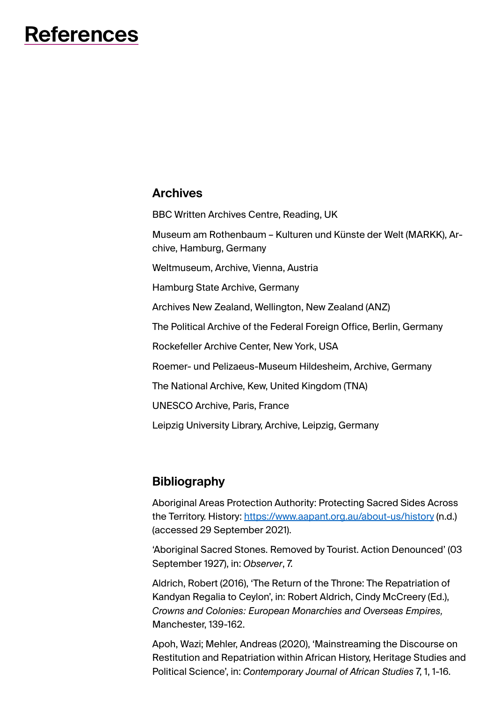# <span id="page-58-0"></span>59 **References**

### **Archives**

BBC Written Archives Centre, Reading, UK

Museum am Rothenbaum – Kulturen und Künste der Welt (MARKK), Archive, Hamburg, Germany

Weltmuseum, Archive, Vienna, Austria

Hamburg State Archive, Germany

Archives New Zealand, Wellington, New Zealand (ANZ)

The Political Archive of the Federal Foreign Office, Berlin, Germany

Rockefeller Archive Center, New York, USA

Roemer- und Pelizaeus-Museum Hildesheim, Archive, Germany

The National Archive, Kew, United Kingdom (TNA)

UNESCO Archive, Paris, France

Leipzig University Library, Archive, Leipzig, Germany

## **Bibliography**

Aboriginal Areas Protection Authority: Protecting Sacred Sides Across the Territory. History: <https://www.aapant.org.au/about-us/history> (n.d.) (accessed 29 September 2021).

'Aboriginal Sacred Stones. Removed by Tourist. Action Denounced' (03 September 1927), in: *Observer*, 7.

Aldrich, Robert (2016), 'The Return of the Throne: The Repatriation of Kandyan Regalia to Ceylon', in: Robert Aldrich, Cindy McCreery (Ed.), *Crowns and Colonies: European Monarchies and Overseas Empires,*  Manchester, 139-162.

Apoh, Wazi; Mehler, Andreas (2020), 'Mainstreaming the Discourse on Restitution and Repatriation within African History, Heritage Studies and Political Science', in: *Contemporary Journal of African Studies* 7, 1, 1-16.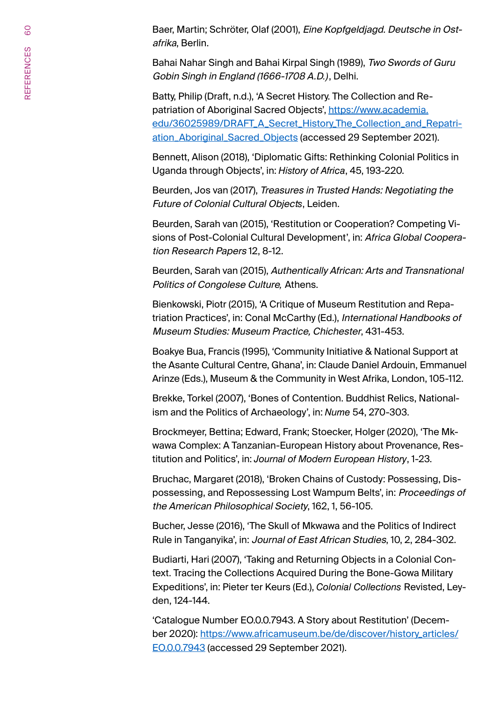Baer, Martin; Schröter, Olaf (2001), Eine Kopfgeldjagd. Deutsche in Ostafrika, Berlin.

Bahai Nahar Singh and Bahai Kirpal Singh (1989), Two Swords of Guru Gobin Singh in England (1666-1708 A.D*.)*, Delhi.

Batty, Philip (Draft, n.d.), 'A Secret History. The Collection and Repatriation of Aboriginal Sacred Objects', [https://www.academia.](https://www.academia.edu/36025989/DRAFT_A_Secret_History_The_Collection_and_Repatriation_Aboriginal_Sacred_Objects) [edu/36025989/DRAFT\\_A\\_Secret\\_History\\_The\\_Collection\\_and\\_Repatri](https://www.academia.edu/36025989/DRAFT_A_Secret_History_The_Collection_and_Repatriation_Aboriginal_Sacred_Objects)[ation\\_Aboriginal\\_Sacred\\_Objects](https://www.academia.edu/36025989/DRAFT_A_Secret_History_The_Collection_and_Repatriation_Aboriginal_Sacred_Objects) (accessed 29 September 2021).

Bennett, Alison (2018), 'Diplomatic Gifts: Rethinking Colonial Politics in Uganda through Objects', in: *History of Africa*, 45, 193-220.

Beurden, Jos van (2017), Treasures in Trusted Hands: Negotiating the Future of Colonial Cultural Object*s*, Leiden.

Beurden, Sarah van (2015), 'Restitution or Cooperation? Competing Visions of Post-Colonial Cultural Development', in: Africa Global Cooperation Research Papers 12, 8-12.

Beurden, Sarah van (2015), Authentically African: Arts and Transnational Politics of Congolese Culture*,* Athens.

Bienkowski, Piotr (2015), 'A Critique of Museum Restitution and Repatriation Practices', in: Conal McCarthy (Ed.), International Handbooks of Museum Studies: Museum Practice, Chichester, 431-453.

Boakye Bua, Francis (1995), 'Community Initiative & National Support at the Asante Cultural Centre, Ghana', in: Claude Daniel Ardouin, Emmanuel Arinze (Eds.), Museum & the Community in West Afrika, London, 105-112.

Brekke, Torkel (2007), 'Bones of Contention. Buddhist Relics, Nationalism and the Politics of Archaeology', in: *Nume* 54, 270-303.

Brockmeyer, Bettina; Edward, Frank; Stoecker, Holger (2020), 'The Mkwawa Complex: A Tanzanian-European History about Provenance, Restitution and Politics', in: *Journal of Modern European History*, 1-23.

Bruchac, Margaret (2018), 'Broken Chains of Custody: Possessing, Dispossessing, and Repossessing Lost Wampum Belts', in: Proceedings of the American Philosophical Society, 162, 1, 56-105.

Bucher, Jesse (2016), 'The Skull of Mkwawa and the Politics of Indirect Rule in Tanganyika', in: Journal of East African Studies, 10, 2, 284-302.

Budiarti, Hari (2007), 'Taking and Returning Objects in a Colonial Context. Tracing the Collections Acquired During the Bone-Gowa Military Expeditions', in: Pieter ter Keurs (Ed.), *Colonial Collections* Revisted, Leyden, 124-144.

'Catalogue Number EO.0.0.7943. A Story about Restitution' (December 2020): [https://www.africamuseum.be/de/discover/history\\_articles/](https://www.africamuseum.be/de/discover/history_articles/EO.0.0.7943) [EO.0.0.7943](https://www.africamuseum.be/de/discover/history_articles/EO.0.0.7943) (accessed 29 September 2021).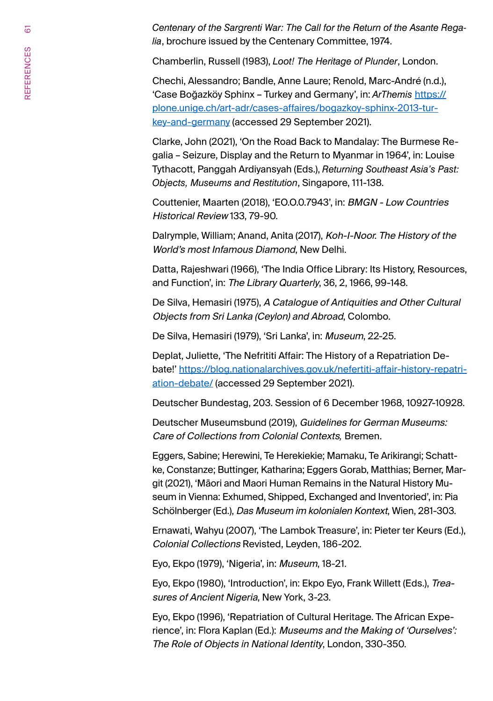*Centenary of the Sargrenti War: The Call for the Return of the Asante Regalia*, brochure issued by the Centenary Committee, 1974.

Chamberlin, Russell (1983), *Loot! The Heritage of Plunder*, London.

Chechi, Alessandro; Bandle, Anne Laure; Renold, Marc-André (n.d.), 'Case Boğazköy Sphinx – Turkey and Germany', in: *ArThemis* [https://](https://plone.unige.ch/art-adr/cases-affaires/bogazkoy-sphinx-2013-turkey-and-germany) [plone.unige.ch/art-adr/cases-affaires/bogazkoy-sphinx-2013-tur](https://plone.unige.ch/art-adr/cases-affaires/bogazkoy-sphinx-2013-turkey-and-germany)[key-and-germany](https://plone.unige.ch/art-adr/cases-affaires/bogazkoy-sphinx-2013-turkey-and-germany) (accessed 29 September 2021).

Clarke, John (2021), 'On the Road Back to Mandalay: The Burmese Regalia – Seizure, Display and the Return to Myanmar in 1964', in: Louise Tythacott, Panggah Ardiyansyah (Eds.), *Returning Southeast Asia's Past: Objects, Museums and Restitution*, Singapore, 111-138.

Couttenier, Maarten (2018), 'EO.O.0.7943', in: BMGN - Low Countries Historical Review 133, 79-90.

Dalrymple, William; Anand, Anita (2017), Koh-I-Noor. The History of the World's most Infamous Diamond, New Delhi.

Datta, Rajeshwari (1966), 'The India Office Library: Its History, Resources, and Function', in: The Library Quarterly, 36, 2, 1966, 99-148.

De Silva, Hemasiri (1975), A Catalogue of Antiquities and Other Cultural Objects from Sri Lanka (Ceylon) and Abroad, Colombo.

De Silva, Hemasiri (1979), 'Sri Lanka', in: Museum, 22-25.

Deplat, Juliette, 'The Nefrititi Affair: The History of a Repatriation Debate!' [https://blog.nationalarchives.gov.uk/nefertiti-affair-history-repatri](https://blog.nationalarchives.gov.uk/nefertiti-affair-history-repatriation-debate/)[ation-debate/](https://blog.nationalarchives.gov.uk/nefertiti-affair-history-repatriation-debate/) (accessed 29 September 2021).

Deutscher Bundestag, 203. Session of 6 December 1968, 10927-10928.

Deutscher Museumsbund (2019), Guidelines for German Museums: Care of Collections from Colonial Contexts*,* Bremen.

Eggers, Sabine; Herewini, Te Herekiekie; Mamaku, Te Arikirangi; Schattke, Constanze; Buttinger, Katharina; Eggers Gorab, Matthias; Berner, Margit (2021), 'Māori and Maori Human Remains in the Natural History Museum in Vienna: Exhumed, Shipped, Exchanged and Inventoried', in: Pia Schölnberger (Ed.), Das Museum im kolonialen Kontext, Wien, 281-303.

Ernawati, Wahyu (2007), 'The Lambok Treasure', in: Pieter ter Keurs (Ed.), Colonial Collections Revisted, Leyden, 186-202.

Eyo, Ekpo (1979), 'Nigeria', in: Museum, 18-21.

Eyo, Ekpo (1980), 'Introduction', in: Ekpo Eyo, Frank Willett (Eds.), Treasures of Ancient Nigeria, New York, 3-23.

Eyo, Ekpo (1996), 'Repatriation of Cultural Heritage. The African Experience', in: Flora Kaplan (Ed.): Museums and the Making of 'Ourselves': The Role of Objects in National Identity, London, 330-350.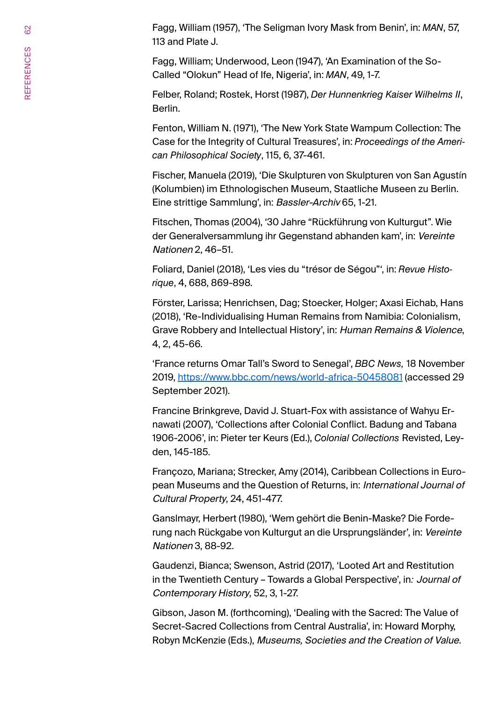Fagg, William (1957), 'The Seligman Ivory Mask from Benin', in: *MAN*, 57, 113 and Plate J.

Fagg, William; Underwood, Leon (1947), 'An Examination of the So-Called "Olokun" Head of Ife, Nigeria', in: *MAN*, 49, 1-7.

Felber, Roland; Rostek, Horst (1987), *Der Hunnenkrieg Kaiser Wilhelms II*, Berlin.

Fenton, William N. (1971), 'The New York State Wampum Collection: The Case for the Integrity of Cultural Treasures', in: *Proceedings of the American Philosophical Society*, 115, 6, 37-461.

Fischer, Manuela (2019), 'Die Skulpturen von Skulpturen von San Agustín (Kolumbien) im Ethnologischen Museum, Staatliche Museen zu Berlin. Eine strittige Sammlung', in: Bassler-Archiv 65, 1-21.

Fitschen, Thomas (2004), '30 Jahre "Rückführung von Kulturgut". Wie der Generalversammlung ihr Gegenstand abhanden kam', in: Vereinte Nationen 2, 46–51.

Foliard, Daniel (2018), 'Les vies du "trésor de Ségou"', in: *Revue Historique*, 4, 688, 869-898.

Förster, Larissa; Henrichsen, Dag; Stoecker, Holger; Axasi Eichab, Hans (2018), 'Re-Individualising Human Remains from Namibia: Colonialism, Grave Robbery and Intellectual History', in: Human Remains & Violence, 4, 2, 45-66.

'France returns Omar Tall's Sword to Senegal', *BBC News,* 18 November 2019, <https://www.bbc.com/news/world-africa-50458081> (accessed 29 September 2021).

Francine Brinkgreve, David J. Stuart-Fox with assistance of Wahyu Ernawati (2007), 'Collections after Colonial Conflict. Badung and Tabana 1906-2006', in: Pieter ter Keurs (Ed.), *Colonial Collections* Revisted, Leyden, 145-185.

Françozo, Mariana; Strecker, Amy (2014), Caribbean Collections in European Museums and the Question of Returns, in: International Journal of Cultural Property, 24, 451-477.

Ganslmayr, Herbert (1980), 'Wem gehört die Benin-Maske? Die Forderung nach Rückgabe von Kulturgut an die Ursprungsländer', in: Vereinte Nationen 3, 88-92.

Gaudenzi, Bianca; Swenson, Astrid (2017), 'Looted Art and Restitution in the Twentieth Century – Towards a Global Perspective', in*:* Journal of Contemporary History, 52, 3, 1-27.

Gibson, Jason M. (forthcoming), 'Dealing with the Sacred: The Value of Secret-Sacred Collections from Central Australia', in: Howard Morphy, Robyn McKenzie (Eds.), Museums, Societies and the Creation of Value.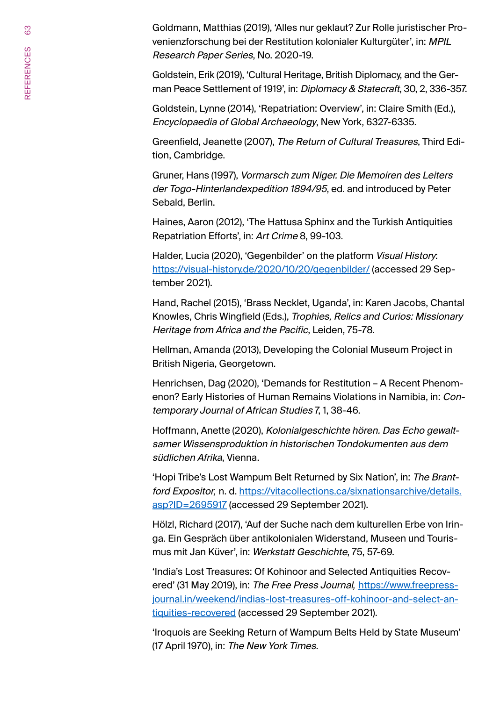Goldmann, Matthias (2019), 'Alles nur geklaut? Zur Rolle juristischer Provenienzforschung bei der Restitution kolonialer Kulturgüter', in: MPIL Research Paper Series, No. 2020-19.

Goldstein, Erik (2019), 'Cultural Heritage, British Diplomacy, and the German Peace Settlement of 1919', in: Diplomacy & Statecraft, 30, 2, 336-357.

Goldstein, Lynne (2014), 'Repatriation: Overview', in: Claire Smith (Ed.), Encyclopaedia of Global Archaeology, New York, 6327-6335.

Greenfield, Jeanette (2007), The Return of Cultural Treasures, Third Edition, Cambridge.

Gruner, Hans (1997), Vormarsch zum Niger. Die Memoiren des Leiters der Togo-Hinterlandexpedition 1894/95, ed. and introduced by Peter Sebald, Berlin.

Haines, Aaron (2012), 'The Hattusa Sphinx and the Turkish Antiquities Repatriation Efforts', in: Art Crime 8, 99-103.

Halder, Lucia (2020), 'Gegenbilder' on the platform Visual History: <https://visual-history.de/2020/10/20/gegenbilder/> (accessed 29 September 2021).

Hand, Rachel (2015), 'Brass Necklet, Uganda', in: Karen Jacobs, Chantal Knowles, Chris Wingfield (Eds.), Trophies, Relics and Curios: Missionary Heritage from Africa and the Pacific, Leiden, 75-78.

Hellman, Amanda (2013), Developing the Colonial Museum Project in British Nigeria, Georgetown.

Henrichsen, Dag (2020), 'Demands for Restitution – A Recent Phenomenon? Early Histories of Human Remains Violations in Namibia, in: Contemporary Journal of African Studies 7, 1, 38-46.

Hoffmann, Anette (2020), Kolonialgeschichte hören. Das Echo gewaltsamer Wissensproduktion in historischen Tondokumenten aus dem südlichen Afrika, Vienna.

'Hopi Tribe's Lost Wampum Belt Returned by Six Nation', in: The Brantford Expositor*,* n. d. [https://vitacollections.ca/sixnationsarchive/details.](https://vitacollections.ca/sixnationsarchive/details.asp?ID=2695917) [asp?ID=2695917](https://vitacollections.ca/sixnationsarchive/details.asp?ID=2695917) (accessed 29 September 2021).

Hölzl, Richard (2017), 'Auf der Suche nach dem kulturellen Erbe von Iringa. Ein Gespräch über antikolonialen Widerstand, Museen und Tourismus mit Jan Küver', in: Werkstatt Geschichte, 75, 57-69.

'India's Lost Treasures: Of Kohinoor and Selected Antiquities Recovered' (31 May 2019), in: The Free Press Journal*,* [https://www.freepress](https://www.freepressjournal.in/weekend/indias-lost-treasures-off-kohinoor-and-select-antiquities-recovered)[journal.in/weekend/indias-lost-treasures-off-kohinoor-and-select-an](https://www.freepressjournal.in/weekend/indias-lost-treasures-off-kohinoor-and-select-antiquities-recovered)[tiquities-recovered](https://www.freepressjournal.in/weekend/indias-lost-treasures-off-kohinoor-and-select-antiquities-recovered) (accessed 29 September 2021).

'Iroquois are Seeking Return of Wampum Belts Held by State Museum' (17 April 1970), in: The New York Times.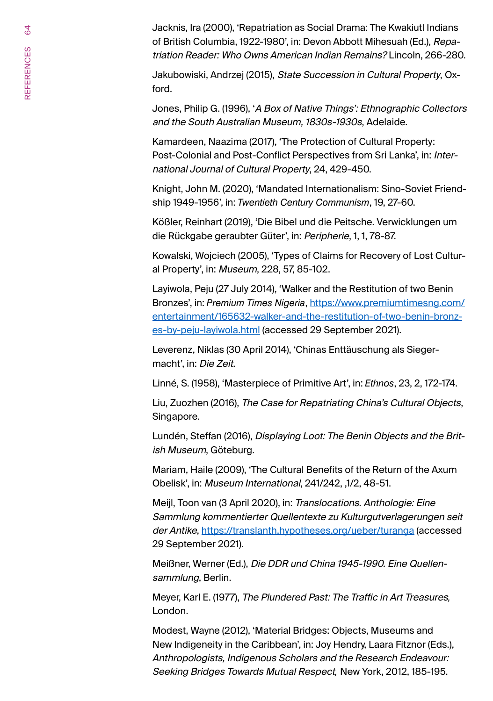Jacknis, Ira (2000), 'Repatriation as Social Drama: The Kwakiutl Indians of British Columbia, 1922-1980', in: Devon Abbott Mihesuah (Ed.), Repatriation Reader: Who Owns American Indian Remains? Lincoln, 266-280.

Jakubowiski, Andrzej (2015), State Succession in Cultural Property, Oxford.

Jones, Philip G. (1996), 'A Box of Native Things': Ethnographic Collectors and the South Australian Museum, 1830s-1930s, Adelaide.

Kamardeen, Naazima (2017), 'The Protection of Cultural Property: Post-Colonial and Post-Conflict Perspectives from Sri Lanka', in: International Journal of Cultural Property, 24, 429-450.

Knight, John M. (2020), 'Mandated Internationalism: Sino-Soviet Friendship 1949-1956', in: *Twentieth Century Communism*, 19, 27-60.

Kößler, Reinhart (2019), 'Die Bibel und die Peitsche. Verwicklungen um die Rückgabe geraubter Güter', in: Peripherie, 1, 1, 78-87.

Kowalski, Wojciech (2005), 'Types of Claims for Recovery of Lost Cultural Property', in: Museum, 228, 57, 85-102.

Layiwola, Peju (27 July 2014), 'Walker and the Restitution of two Benin Bronzes', in: *Premium Times Nigeria*, [https://www.premiumtimesng.com/](https://www.premiumtimesng.com/entertainment/165632-walker-and-the-restitution-of-two-benin-bronzes-by-peju-layiwola.html) [entertainment/165632-walker-and-the-restitution-of-two-benin-bronz](https://www.premiumtimesng.com/entertainment/165632-walker-and-the-restitution-of-two-benin-bronzes-by-peju-layiwola.html)[es-by-peju-layiwola.html](https://www.premiumtimesng.com/entertainment/165632-walker-and-the-restitution-of-two-benin-bronzes-by-peju-layiwola.html) (accessed 29 September 2021).

Leverenz, Niklas (30 April 2014), 'Chinas Enttäuschung als Siegermacht', in: Die Zeit.

Linné, S. (1958), 'Masterpiece of Primitive Art', in: *Ethnos*, 23, 2, 172-174.

Liu, Zuozhen (2016), The Case for Repatriating China's Cultural Objects, Singapore.

Lundén, Steffan (2016), Displaying Loot: The Benin Objects and the British Museum, Göteburg.

Mariam, Haile (2009), 'The Cultural Benefits of the Return of the Axum Obelisk', in: Museum International, 241/242, ,1/2, 48-51.

Meijl, Toon van (3 April 2020), in: Translocations. Anthologie: Eine Sammlung kommentierter Quellentexte zu Kulturgutverlagerungen seit der Antike,<https://translanth.hypotheses.org/ueber/turanga> (accessed 29 September 2021).

Meißner, Werner (Ed.), Die DDR und China 1945-1990. Eine Quellensammlung, Berlin.

Meyer, Karl E. (1977), The Plundered Past: The Traffic in Art Treasures*,*  London.

Modest, Wayne (2012), 'Material Bridges: Objects, Museums and New Indigeneity in the Caribbean', in: Joy Hendry, Laara Fitznor (Eds.), Anthropologists, Indigenous Scholars and the Research Endeavour: Seeking Bridges Towards Mutual Respect*,* New York, 2012, 185-195.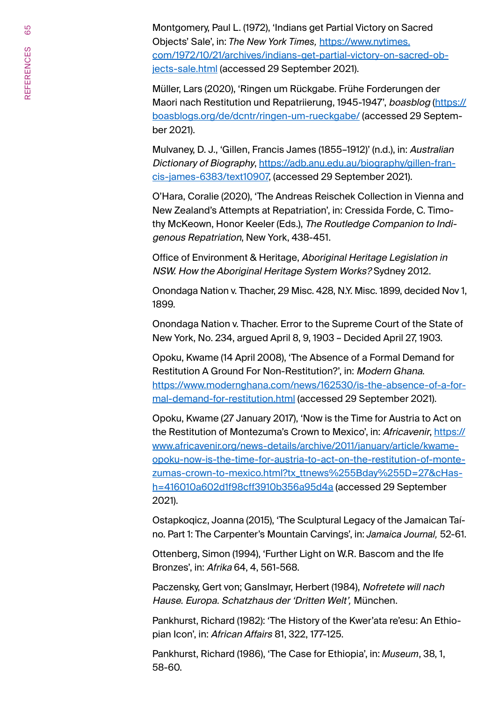Montgomery, Paul L. (1972), 'Indians get Partial Victory on Sacred Objects' Sale', in: *The New York Times,* [https://www.nytimes.](https://www.nytimes.com/1972/10/21/archives/indians-get-partial-victory-on-sacred-objects-sale.html) [com/1972/10/21/archives/indians-get-partial-victory-on-sacred-ob](https://www.nytimes.com/1972/10/21/archives/indians-get-partial-victory-on-sacred-objects-sale.html)[jects-sale.html](https://www.nytimes.com/1972/10/21/archives/indians-get-partial-victory-on-sacred-objects-sale.html) (accessed 29 September 2021).

Müller, Lars (2020), 'Ringen um Rückgabe. Frühe Forderungen der Maori nach Restitution und Repatriierung, 1945-1947', boasblog [\(https://](https://boasblogs.org/de/dcntr/ringen-um-rueckgabe/) [boasblogs.org/de/dcntr/ringen-um-rueckgabe/](https://boasblogs.org/de/dcntr/ringen-um-rueckgabe/) (accessed 29 September 2021).

Mulvaney, D. J., 'Gillen, Francis James (1855–1912)' (n.d.), in: Australian Dictionary of Biography, [https://adb.anu.edu.au/biography/gillen-fran](https://adb.anu.edu.au/biography/gillen-francis-james-6383/text10907)[cis-james-6383/text10907](https://adb.anu.edu.au/biography/gillen-francis-james-6383/text10907), (accessed 29 September 2021).

O'Hara, Coralie (2020), 'The Andreas Reischek Collection in Vienna and New Zealand's Attempts at Repatriation', in: Cressida Forde, C. Timothy McKeown, Honor Keeler (Eds.), The Routledge Companion to Indigenous Repatriation, New York, 438-451.

Office of Environment & Heritage, Aboriginal Heritage Legislation in NSW. How the Aboriginal Heritage System Works? Sydney 2012.

Onondaga Nation v. Thacher, 29 Misc. 428, N.Y. Misc. 1899, decided Nov 1, 1899.

Onondaga Nation v. Thacher. Error to the Supreme Court of the State of New York, No. 234, argued April 8, 9, 1903 – Decided April 27, 1903.

[Opoku](https://www.modernghana.com/author/KwameOpoku), Kwame (14 April 2008), 'The Absence of a Formal Demand for Restitution A Ground For Non-Restitution?', in: Modern Ghana. [https://www.modernghana.com/news/162530/is-the-absence-of-a-for](https://www.modernghana.com/news/162530/is-the-absence-of-a-formal-demand-for-restitution.html)[mal-demand-for-restitution.html](https://www.modernghana.com/news/162530/is-the-absence-of-a-formal-demand-for-restitution.html) (accessed 29 September 2021).

Opoku, Kwame (27 January 2017), 'Now is the Time for Austria to Act on the Restitution of Montezuma's Crown to Mexico', in: Africavenir, [https://](https://www.africavenir.org/news-details/archive/2011/january/article/kwame-opoku-now-is-the-time-for-austria-to-act-on-the-restitution-of-montezumas-crown-to-mexico.html?tx_ttnews%255Bday%255D=27&cHash=416010a602d1f98cff3910b356a95d4a) [www.africavenir.org/news-details/archive/2011/january/article/kwame](https://www.africavenir.org/news-details/archive/2011/january/article/kwame-opoku-now-is-the-time-for-austria-to-act-on-the-restitution-of-montezumas-crown-to-mexico.html?tx_ttnews%255Bday%255D=27&cHash=416010a602d1f98cff3910b356a95d4a)[opoku-now-is-the-time-for-austria-to-act-on-the-restitution-of-monte](https://www.africavenir.org/news-details/archive/2011/january/article/kwame-opoku-now-is-the-time-for-austria-to-act-on-the-restitution-of-montezumas-crown-to-mexico.html?tx_ttnews%255Bday%255D=27&cHash=416010a602d1f98cff3910b356a95d4a)[zumas-crown-to-mexico.html?tx\\_ttnews%255Bday%255D=27&cHas](https://www.africavenir.org/news-details/archive/2011/january/article/kwame-opoku-now-is-the-time-for-austria-to-act-on-the-restitution-of-montezumas-crown-to-mexico.html?tx_ttnews%255Bday%255D=27&cHash=416010a602d1f98cff3910b356a95d4a)[h=416010a602d1f98cff3910b356a95d4a](https://www.africavenir.org/news-details/archive/2011/january/article/kwame-opoku-now-is-the-time-for-austria-to-act-on-the-restitution-of-montezumas-crown-to-mexico.html?tx_ttnews%255Bday%255D=27&cHash=416010a602d1f98cff3910b356a95d4a) (accessed 29 September 2021).

Ostapkoqicz, Joanna (2015), 'The Sculptural Legacy of the Jamaican Taíno. Part 1: The Carpenter's Mountain Carvings', in: *Jamaica Journal,* 52-61.

Ottenberg, Simon (1994), 'Further Light on W.R. Bascom and the Ife Bronzes', in: Afrika 64, 4, 561-568.

Paczensky, Gert von; Ganslmayr, Herbert (1984), Nofretete will nach Hause. Europa. Schatzhaus der 'Dritten Welt'*,* München.

Pankhurst, Richard (1982): 'The History of the Kwer'ata re'esu: An Ethiopian Icon', in: African Affairs 81, 322, 177-125.

Pankhurst, Richard (1986), 'The Case for Ethiopia', in: *Museum*, 38, 1, 58-60.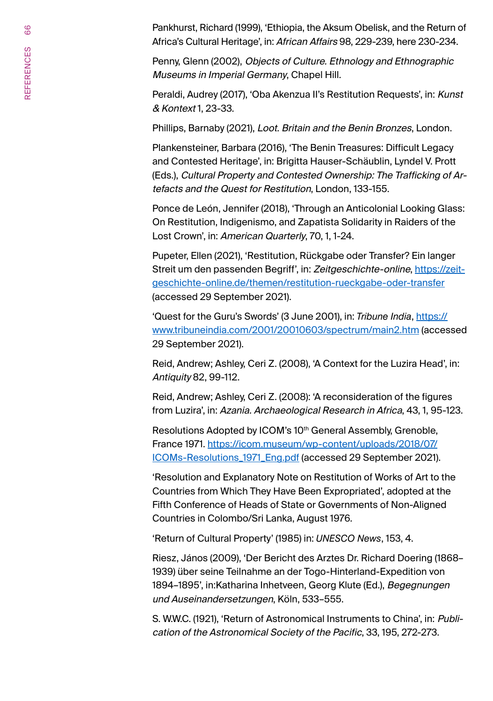Pankhurst, Richard (1999), 'Ethiopia, the Aksum Obelisk, and the Return of Africa's Cultural Heritage', in: African Affairs 98, 229-239, here 230-234.

Penny, Glenn (2002), Objects of Culture. Ethnology and Ethnographic Museums in Imperial Germany, Chapel Hill.

Peraldi, Audrey (2017), 'Oba Akenzua II's Restitution Requests', in: Kunst & Kontext 1, 23-33.

Phillips, Barnaby (2021), Loot. Britain and the Benin Bronzes, London.

Plankensteiner, Barbara (2016), 'The Benin Treasures: Difficult Legacy and Contested Heritage', in: Brigitta Hauser-Schäublin, Lyndel V. Prott (Eds.), Cultural Property and Contested Ownership: The Trafficking of Artefacts and the Quest for Restitution, London, 133-155.

Ponce de León, Jennifer (2018), 'Through an Anticolonial Looking Glass: On Restitution, Indigenismo, and Zapatista Solidarity in Raiders of the Lost Crown', in: American Quarterly, 70, 1, 1-24.

Pupeter, Ellen (2021), 'Restitution, Rückgabe oder Transfer? Ein langer Streit um den passenden Begriff', in: Zeitgeschichte-online, [https://zeit](https://zeitgeschichte-online.de/themen/restitution-rueckgabe-oder-transfer)[geschichte-online.de/themen/restitution-rueckgabe-oder-transfer](https://zeitgeschichte-online.de/themen/restitution-rueckgabe-oder-transfer) (accessed 29 September 2021).

'Quest for the Guru's Swords' (3 June 2001), in: *Tribune India*, [https://](https://www.tribuneindia.com/2001/20010603/spectrum/main2.htm) [www.tribuneindia.com/2001/20010603/spectrum/main2.htm](https://www.tribuneindia.com/2001/20010603/spectrum/main2.htm) (accessed 29 September 2021).

Reid, Andrew; Ashley, Ceri Z. (2008), 'A Context for the Luzira Head', in: Antiquity 82, 99-112.

Reid, Andrew; Ashley, Ceri Z. (2008): 'A reconsideration of the figures from Luzira', in: Azania. Archaeological Research in Africa, 43, 1, 95-123.

Resolutions Adopted by ICOM's 10<sup>th</sup> General Assembly, Grenoble, France 1971. [https://icom.museum/wp-content/uploads/2018/07/](https://icom.museum/wp-content/uploads/2018/07/ICOMs-Resolutions_1971_Eng.pdf) [ICOMs-Resolutions\\_1971\\_Eng.pdf](https://icom.museum/wp-content/uploads/2018/07/ICOMs-Resolutions_1971_Eng.pdf) (accessed 29 September 2021).

'Resolution and Explanatory Note on Restitution of Works of Art to the Countries from Which They Have Been Expropriated', adopted at the Fifth Conference of Heads of State or Governments of Non-Aligned Countries in Colombo/Sri Lanka, August 1976.

'Return of Cultural Property' (1985) in: *UNESCO News*, 153, 4.

Riesz, János (2009), 'Der Bericht des Arztes Dr. Richard Doering (1868– 1939) über seine Teilnahme an der Togo-Hinterland-Expedition von 1894–1895', in:Katharina Inhetveen, Georg Klute (Ed.), Begegnungen und Auseinandersetzungen, Köln, 533–555.

S. W.W.C. (1921), 'Return of Astronomical Instruments to China', in: Publication of the Astronomical Society of the Pacific, 33, 195, 272-273.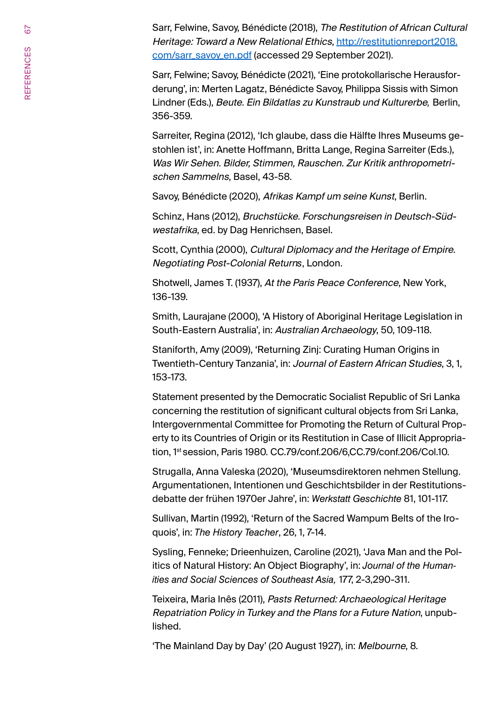Sarr, Felwine, Savoy, Bénédicte (2018), The Restitution of African Cultural Heritage: Toward a New Relational Ethics, [http://restitutionreport2018.](http://restitutionreport2018.com/sarr_savoy_en.pdf) [com/sarr\\_savoy\\_en.pdf](http://restitutionreport2018.com/sarr_savoy_en.pdf) (accessed 29 September 2021).

Sarr, Felwine; Savoy, Bénédicte (2021), 'Eine protokollarische Herausforderung', in: Merten Lagatz, Bénédicte Savoy, Philippa Sissis with Simon Lindner (Eds.), Beute. Ein Bildatlas zu Kunstraub und Kulturerbe*,* Berlin, 356-359.

Sarreiter, Regina (2012), 'Ich glaube, dass die Hälfte Ihres Museums gestohlen ist', in: Anette Hoffmann, Britta Lange, Regina Sarreiter (Eds.), Was Wir Sehen. Bilder, Stimmen, Rauschen. Zur Kritik anthropometrischen Sammelns, Basel, 43-58.

Savoy, Bénédicte (2020), Afrikas Kampf um seine Kunst, Berlin.

Schinz, Hans (2012), Bruchstücke. Forschungsreisen in Deutsch-Südwestafrika, ed. by Dag Henrichsen, Basel.

Scott, Cynthia (2000), Cultural Diplomacy and the Heritage of Empire. Negotiating Post-Colonial Return*s*, London.

Shotwell, James T. (1937), At the Paris Peace Conference, New York, 136-139.

Smith, Laurajane (2000), 'A History of Aboriginal Heritage Legislation in South-Eastern Australia', in: Australian Archaeology, 50, 109-118.

Staniforth, Amy (2009), 'Returning Zinj: Curating Human Origins in Twentieth-Century Tanzania', in: Journal of Eastern African Studies, 3, 1, 153-173.

Statement presented by the Democratic Socialist Republic of Sri Lanka concerning the restitution of significant cultural objects from Sri Lanka, Intergovernmental Committee for Promoting the Return of Cultural Property to its Countries of Origin or its Restitution in Case of Illicit Appropriation, 1st session, Paris 1980. CC.79/conf.206/6,CC.79/conf.206/Col.10.

Strugalla, Anna Valeska (2020), 'Museumsdirektoren nehmen Stellung. Argumentationen, Intentionen und Geschichtsbilder in der Restitutionsdebatte der frühen 1970er Jahre', in: *Werkstatt Geschichte* 81, 101-117.

Sullivan, Martin (1992), 'Return of the Sacred Wampum Belts of the Iroquois', in: *The History Teacher*, 26, 1, 7-14.

Sysling, Fenneke; Drieenhuizen, Caroline (2021), 'Java Man and the Politics of Natural History: An Object Biography', in: *Journal of the Humanities and Social Sciences of Southeast Asia,* 177, 2-3,290-311.

Teixeira, Maria Inês (2011), Pasts Returned: Archaeological Heritage Repatriation Policy in Turkey and the Plans for a Future Nation, unpublished.

'The Mainland Day by Day' (20 August 1927), in: Melbourne, 8.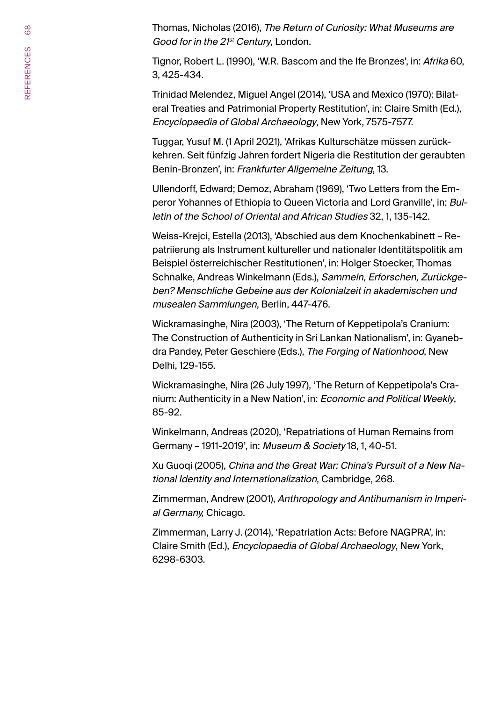Thomas, Nicholas (2016), The Return of Curiosity: What Museums are Good for in the 21<sup>st</sup> Century, London.

Tignor, Robert L. (1990), 'W.R. Bascom and the Ife Bronzes', in: Afrika 60, 3, 425-434.

Trinidad Melendez, Miguel Angel (2014), 'USA and Mexico (1970): Bilateral Treaties and Patrimonial Property Restitution', in: Claire Smith (Ed.), Encyclopaedia of Global Archaeology, New York, 7575-7577.

Tuggar, Yusuf M. (1 April 2021), 'Afrikas Kulturschätze müssen zurückkehren. Seit fünfzig Jahren fordert Nigeria die Restitution der geraubten Benin-Bronzen', in: Frankfurter Allgemeine Zeitung, 13.

Ullendorff, Edward; Demoz, Abraham (1969), 'Two Letters from the Emperor Yohannes of Ethiopia to Queen Victoria and Lord Granville', in: Bulletin of the School of Oriental and African Studies 32, 1, 135-142.

Weiss-Krejci, Estella (2013), 'Abschied aus dem Knochenkabinett – Repatriierung als Instrument kultureller und nationaler Identitätspolitik am Beispiel österreichischer Restitutionen', in: Holger Stoecker, Thomas Schnalke, Andreas Winkelmann (Eds.), Sammeln, Erforschen, Zurückgeben? Menschliche Gebeine aus der Kolonialzeit in akademischen und musealen Sammlungen, Berlin, 447-476.

Wickramasinghe, Nira (2003), 'The Return of Keppetipola's Cranium: The Construction of Authenticity in Sri Lankan Nationalism', in: Gyanebdra Pandey, Peter Geschiere (Eds.), The Forging of Nationhood, New Delhi, 129-155.

Wickramasinghe, Nira (26 July 1997), 'The Return of Keppetipola's Cranium: Authenticity in a New Nation', in: Economic and Political Weekly, 85-92.

Winkelmann, Andreas (2020), 'Repatriations of Human Remains from Germany – 1911-2019', in: Museum & Society 18, 1, 40-51.

Xu Guoqi (2005), China and the Great War: China's Pursuit of a New National Identity and Internationalization, Cambridge, 268.

Zimmerman, Andrew (2001), Anthropology and Antihumanism in Imperial Germany, Chicago.

Zimmerman, Larry J. (2014), 'Repatriation Acts: Before NAGPRA', in: Claire Smith (Ed.), Encyclopaedia of Global Archaeology, New York, 6298-6303.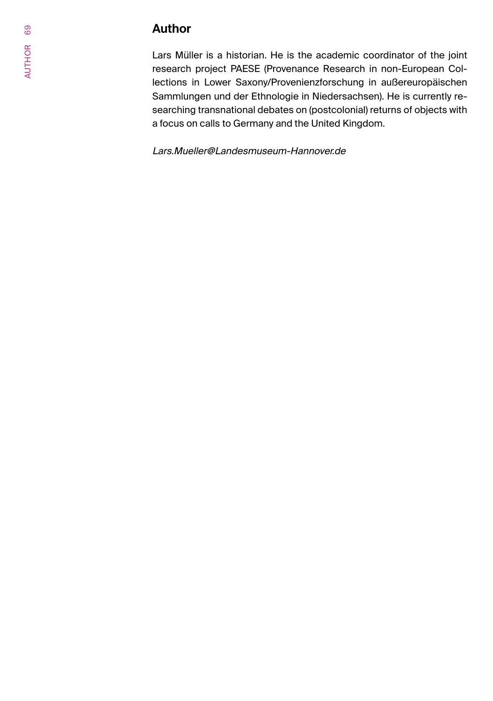## **Author**

Lars Müller is a historian. He is the academic coordinator of the joint research project PAESE (Provenance Research in non-European Collections in Lower Saxony/Provenienzforschung in außereuropäischen Sammlungen und der Ethnologie in Niedersachsen). He is currently researching transnational debates on (postcolonial) returns of objects with a focus on calls to Germany and the United Kingdom.

Lars.Mueller@Landesmuseum-Hannover.de